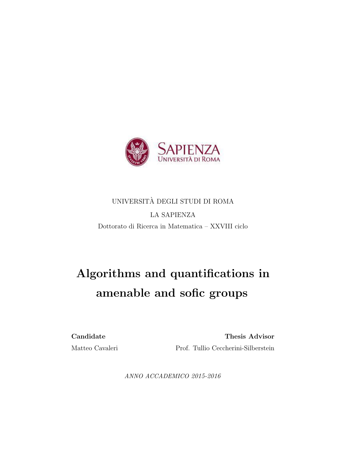

## UNIVERSITA DEGLI STUDI DI ROMA ` LA SAPIENZA Dottorato di Ricerca in Matematica – XXVIII ciclo

# Algorithms and quantifications in amenable and sofic groups

Candidate Thesis Advisor Matteo Cavaleri Prof. Tullio Ceccherini-Silberstein

ANNO ACCADEMICO 2015-2016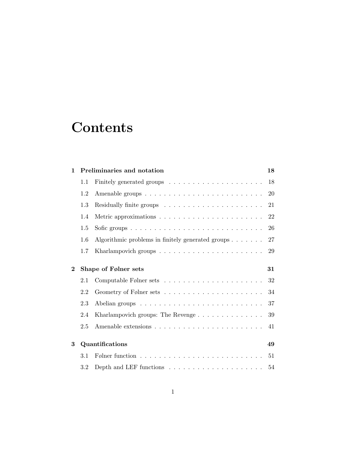# **Contents**

| 1        |     | Preliminaries and notation<br>18                                       |    |  |  |
|----------|-----|------------------------------------------------------------------------|----|--|--|
|          | 1.1 |                                                                        | 18 |  |  |
|          | 1.2 |                                                                        | 20 |  |  |
|          | 1.3 |                                                                        | 21 |  |  |
|          | 1.4 |                                                                        | 22 |  |  |
|          | 1.5 |                                                                        | 26 |  |  |
|          | 1.6 | Algorithmic problems in finitely generated groups $\ldots \ldots$      | 27 |  |  |
|          | 1.7 |                                                                        | 29 |  |  |
| $\bf{2}$ |     | Shape of Følner sets<br>31                                             |    |  |  |
|          | 2.1 |                                                                        | 32 |  |  |
|          | 2.2 |                                                                        | 34 |  |  |
|          | 2.3 |                                                                        | 37 |  |  |
|          | 2.4 |                                                                        | 39 |  |  |
|          | 2.5 |                                                                        | 41 |  |  |
| 3        |     | Quantifications                                                        | 49 |  |  |
|          | 3.1 |                                                                        | 51 |  |  |
|          | 3.2 | Depth and LEF functions $\ldots \ldots \ldots \ldots \ldots \ldots 54$ |    |  |  |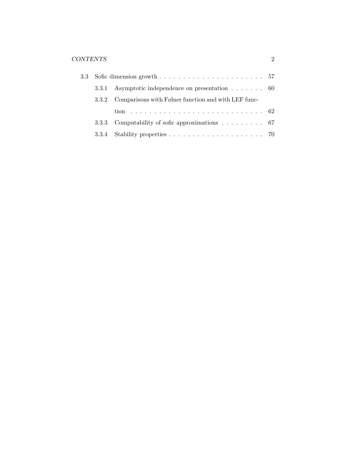|                                                           | 3.3.1 Asymptotic independence on presentation $\dots \dots$ 60        |  |  |  |
|-----------------------------------------------------------|-----------------------------------------------------------------------|--|--|--|
| 3.3.2 Comparisons with Følner function and with LEF func- |                                                                       |  |  |  |
|                                                           |                                                                       |  |  |  |
|                                                           | 3.3.3 Computability of sofic approximations $\ldots \ldots \ldots$ 67 |  |  |  |
|                                                           |                                                                       |  |  |  |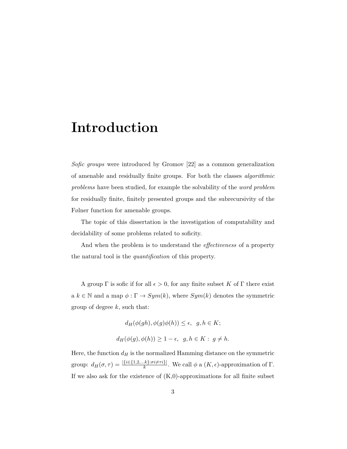# Introduction

Sofic groups were introduced by Gromov [22] as a common generalization of amenable and residually finite groups. For both the classes algorithmic problems have been studied, for example the solvability of the word problem for residually finite, finitely presented groups and the subrecursivity of the Følner function for amenable groups.

The topic of this dissertation is the investigation of computability and decidability of some problems related to soficity.

And when the problem is to understand the *effectiveness* of a property the natural tool is the quantification of this property.

A group  $\Gamma$  is sofic if for all  $\epsilon > 0$ , for any finite subset K of  $\Gamma$  there exist a  $k \in \mathbb{N}$  and a map  $\phi : \Gamma \to Sym(k)$ , where  $Sym(k)$  denotes the symmetric group of degree  $k$ , such that:

$$
d_H(\phi(gh), \phi(g)\phi(h)) \le \epsilon, \ \ g, h \in K;
$$
  

$$
d_H(\phi(g), \phi(h)) \ge 1 - \epsilon, \ \ g, h \in K: \ g \ne h.
$$

Here, the function  $d_H$  is the normalized Hamming distance on the symmetric group:  $d_H(\sigma, \tau) = \frac{|\{i \in \{1, 2, \dots k\}: \sigma i \neq \tau i\}|}{k}$ . We call  $\phi$  a  $(K, \epsilon)$ -approximation of  $\Gamma$ . If we also ask for the existence of  $(K,0)$ -approximations for all finite subset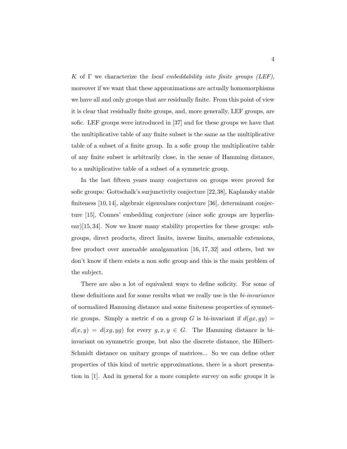K of  $\Gamma$  we characterize the local embeddability into finite groups (LEF), moreover if we want that these approximations are actually homomorphisms we have all and only groups that are residually finite. From this point of view it is clear that residually finite groups, and, more generally, LEF groups, are sofic. LEF groups were introduced in [37] and for these groups we have that the multiplicative table of any finite subset is the same as the multiplicative table of a subset of a finite group. In a sofic group the multiplicative table of any finite subset is arbitrarily close, in the sense of Hamming distance, to a multiplicative table of a subset of a symmetric group.

In the last fifteen years many conjectures on groups were proved for sofic groups: Gottschalk's surjunctivity conjecture [22,38], Kaplansky stable finiteness [10, 14], algebraic eigenvalues conjecture [36], determinant conjecture [15], Connes' embedding conjecture (since sofic groups are hyperlinear)[15, 34]. Now we know many stability properties for these groups: subgroups, direct products, direct limits, inverse limits, amenable extensions, free product over amenable amalgamation [16, 17, 32] and others, but we don't know if there exists a non sofic group and this is the main problem of the subject.

There are also a lot of equivalent ways to define soficity. For some of these definitions and for some results what we really use is the *bi-invariance* of normalized Hamming distance and some finiteness properties of symmetric groups. Simply a metric d on a group G is bi-invariant if  $d(gx, gy) =$  $d(x, y) = d(xg, yg)$  for every  $g, x, y \in G$ . The Hamming distance is biinvariant on symmetric groups, but also the discrete distance, the Hilbert-Schmidt distance on unitary groups of matrices... So we can define other properties of this kind of metric approximations, there is a short presentation in [1]. And in general for a more complete survey on sofic groups it is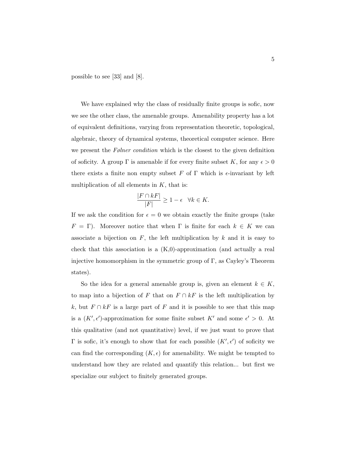possible to see [33] and [8].

We have explained why the class of residually finite groups is sofic, now we see the other class, the amenable groups. Amenability property has a lot of equivalent definitions, varying from representation theoretic, topological, algebraic, theory of dynamical systems, theoretical computer science. Here we present the  $F\phi$  *pher condition* which is the closest to the given definition of soficity. A group  $\Gamma$  is amenable if for every finite subset K, for any  $\epsilon > 0$ there exists a finite non empty subset F of  $\Gamma$  which is  $\epsilon$ -invariant by left multiplication of all elements in  $K$ , that is:

$$
\frac{|F \cap kF|}{|F|} \ge 1 - \epsilon \quad \forall k \in K.
$$

If we ask the condition for  $\epsilon = 0$  we obtain exactly the finite groups (take  $F = \Gamma$ ). Moreover notice that when  $\Gamma$  is finite for each  $k \in K$  we can associate a bijection on  $F$ , the left multiplication by  $k$  and it is easy to check that this association is a  $(K,0)$ -approximation (and actually a real injective homomorphism in the symmetric group of  $\Gamma$ , as Cayley's Theorem states).

So the idea for a general amenable group is, given an element  $k \in K$ , to map into a bijection of F that on  $F \cap kF$  is the left multiplication by k, but  $F \cap kF$  is a large part of F and it is possible to see that this map is a  $(K', \epsilon')$ -approximation for some finite subset K' and some  $\epsilon' > 0$ . At this qualitative (and not quantitative) level, if we just want to prove that  $\Gamma$  is sofic, it's enough to show that for each possible  $(K', \epsilon')$  of soficity we can find the corresponding  $(K, \epsilon)$  for amenability. We might be tempted to understand how they are related and quantify this relation... but first we specialize our subject to finitely generated groups.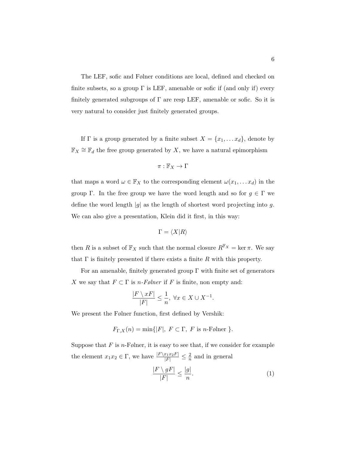The LEF, sofic and Følner conditions are local, defined and checked on finite subsets, so a group  $\Gamma$  is LEF, amenable or sofic if (and only if) every finitely generated subgroups of  $\Gamma$  are resp LEF, amenable or sofic. So it is very natural to consider just finitely generated groups.

If  $\Gamma$  is a group generated by a finite subset  $X = \{x_1, \ldots x_d\}$ , denote by  $\mathbb{F}_X \cong \mathbb{F}_d$  the free group generated by X, we have a natural epimorphism

$$
\pi:\mathbb{F}_X\to\Gamma
$$

that maps a word  $\omega \in \mathbb{F}_X$  to the corresponding element  $\omega(x_1, \ldots, x_d)$  in the group Γ. In the free group we have the word length and so for  $g \in Γ$  we define the word length  $|g|$  as the length of shortest word projecting into g. We can also give a presentation, Klein did it first, in this way:

$$
\Gamma = \langle X | R \rangle
$$

then R is a subset of  $\mathbb{F}_X$  such that the normal closure  $R^{\mathbb{F}_X} = \ker \pi$ . We say that  $\Gamma$  is finitely presented if there exists a finite R with this property.

For an amenable, finitely generated group  $\Gamma$  with finite set of generators X we say that  $F \subset \Gamma$  is *n*-Følner if F is finite, non empty and:

$$
\frac{|F \setminus xF|}{|F|} \le \frac{1}{n}, \ \forall x \in X \cup X^{-1}.
$$

We present the Følner function, first defined by Vershik:

$$
F_{\Gamma,X}(n) = \min\{|F|, F \subset \Gamma, F \text{ is } n\text{-Følner }\}.
$$

Suppose that  $F$  is  $n$ -Følner, it is easy to see that, if we consider for example the element  $x_1x_2 \in \Gamma$ , we have  $\frac{|F\setminus x_1x_2F|}{|F|} \leq \frac{2}{n}$  $\frac{2}{n}$  and in general

$$
\frac{|F \setminus gF|}{|F|} \le \frac{|g|}{n}.\tag{1}
$$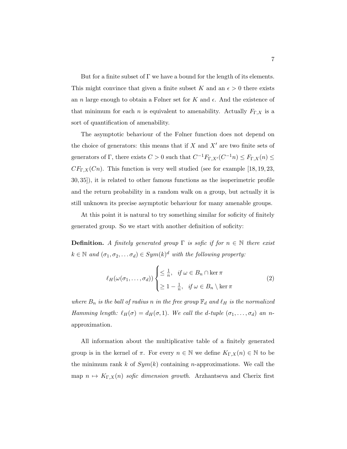But for a finite subset of  $\Gamma$  we have a bound for the length of its elements. This might convince that given a finite subset K and an  $\epsilon > 0$  there exists an *n* large enough to obtain a Følner set for K and  $\epsilon$ . And the existence of that minimum for each *n* is equivalent to amenability. Actually  $F_{\Gamma,X}$  is a sort of quantification of amenability.

The asymptotic behaviour of the Følner function does not depend on the choice of generators: this means that if  $X$  and  $X'$  are two finite sets of generators of  $\Gamma$ , there exists  $C > 0$  such that  $C^{-1}F_{\Gamma,X'}(C^{-1}n) \leq F_{\Gamma,X}(n) \leq$  $CF_{\Gamma,X}(C_n)$ . This function is very well studied (see for example [18, 19, 23, 30, 35]), it is related to other famous functions as the isoperimetric profile and the return probability in a random walk on a group, but actually it is still unknown its precise asymptotic behaviour for many amenable groups.

At this point it is natural to try something similar for soficity of finitely generated group. So we start with another definition of soficity:

**Definition.** A finitely generated group  $\Gamma$  is sofic if for  $n \in \mathbb{N}$  there exist  $k \in \mathbb{N}$  and  $(\sigma_1, \sigma_2, \ldots, \sigma_d) \in Sym(k)^d$  with the following property:

$$
\ell_H(\omega(\sigma_1,\ldots,\sigma_d))\begin{cases} \leq \frac{1}{n}, & \text{if } \omega \in B_n \cap \ker \pi \\ \geq 1 - \frac{1}{n}, & \text{if } \omega \in B_n \setminus \ker \pi \end{cases} \tag{2}
$$

where  $B_n$  is the ball of radius n in the free group  $\mathbb{F}_d$  and  $\ell_H$  is the normalized Hamming length:  $\ell_H(\sigma) = d_H(\sigma, 1)$ . We call the d-tuple  $(\sigma_1, \ldots, \sigma_d)$  an napproximation.

All information about the multiplicative table of a finitely generated group is in the kernel of  $\pi$ . For every  $n \in \mathbb{N}$  we define  $K_{\Gamma,X}(n) \in \mathbb{N}$  to be the minimum rank k of  $Sym(k)$  containing n-approximations. We call the map  $n \mapsto K_{\Gamma,X}(n)$  sofic dimension growth. Arzhantseva and Cherix first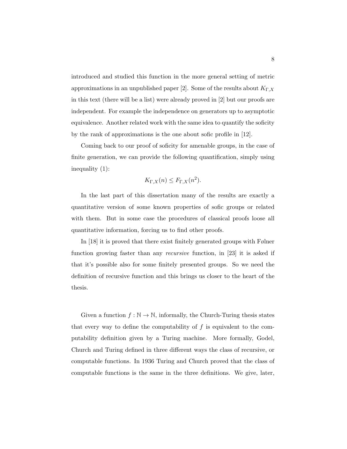introduced and studied this function in the more general setting of metric approximations in an unpublished paper [2]. Some of the results about  $K_{\Gamma,X}$ in this text (there will be a list) were already proved in [2] but our proofs are independent. For example the independence on generators up to asymptotic equivalence. Another related work with the same idea to quantify the soficity by the rank of approximations is the one about sofic profile in [12].

Coming back to our proof of soficity for amenable groups, in the case of finite generation, we can provide the following quantification, simply using inequality (1):

$$
K_{\Gamma,X}(n) \le F_{\Gamma,X}(n^2).
$$

In the last part of this dissertation many of the results are exactly a quantitative version of some known properties of sofic groups or related with them. But in some case the procedures of classical proofs loose all quantitative information, forcing us to find other proofs.

In [18] it is proved that there exist finitely generated groups with Følner function growing faster than any *recursive* function, in [23] it is asked if that it's possible also for some finitely presented groups. So we need the definition of recursive function and this brings us closer to the heart of the thesis.

Given a function  $f : \mathbb{N} \to \mathbb{N}$ , informally, the Church-Turing thesis states that every way to define the computability of  $f$  is equivalent to the computability definition given by a Turing machine. More formally, Godel, Church and Turing defined in three different ways the class of recursive, or computable functions. In 1936 Turing and Church proved that the class of computable functions is the same in the three definitions. We give, later,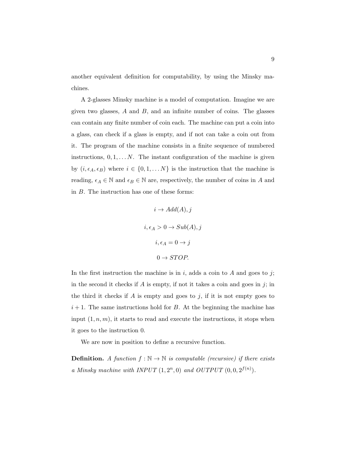another equivalent definition for computability, by using the Minsky machines.

A 2-glasses Minsky machine is a model of computation. Imagine we are given two glasses,  $A$  and  $B$ , and an infinite number of coins. The glasses can contain any finite number of coin each. The machine can put a coin into a glass, can check if a glass is empty, and if not can take a coin out from it. The program of the machine consists in a finite sequence of numbered instructions,  $0, 1, \ldots N$ . The instant configuration of the machine is given by  $(i, \epsilon_A, \epsilon_B)$  where  $i \in \{0, 1, \ldots N\}$  is the instruction that the machine is reading,  $\epsilon_A \in \mathbb{N}$  and  $\epsilon_B \in \mathbb{N}$  are, respectively, the number of coins in  $A$  and in B. The instruction has one of these forms:

$$
i \to Add(A), j
$$

$$
i, \epsilon_A > 0 \to Sub(A), j
$$

$$
i, \epsilon_A = 0 \to j
$$

$$
0 \to STOP.
$$

In the first instruction the machine is in  $i$ , adds a coin to  $A$  and goes to  $j$ ; in the second it checks if  $A$  is empty, if not it takes a coin and goes in j; in the third it checks if  $A$  is empty and goes to  $j$ , if it is not empty goes to  $i+1$ . The same instructions hold for B. At the beginning the machine has input  $(1, n, m)$ , it starts to read and execute the instructions, it stops when it goes to the instruction 0.

We are now in position to define a recursive function.

**Definition.** A function  $f : \mathbb{N} \to \mathbb{N}$  is computable (recursive) if there exists a Minsky machine with INPUT  $(1, 2^n, 0)$  and OUTPUT  $(0, 0, 2^{f(n)})$ .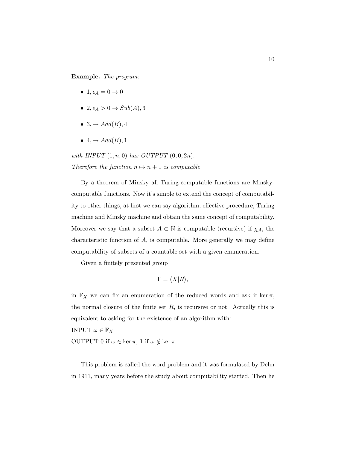Example. The program:

- 1,  $\epsilon_A = 0 \rightarrow 0$
- 2,  $\epsilon_A > 0 \rightarrow Sub(A), 3$
- 3,  $\rightarrow$  Add(B), 4
- $\bullet$  4,  $\rightarrow$  Add(B), 1

with INPUT  $(1, n, 0)$  has OUTPUT  $(0, 0, 2n)$ . Therefore the function  $n \mapsto n + 1$  is computable.

By a theorem of Minsky all Turing-computable functions are Minskycomputable functions. Now it's simple to extend the concept of computability to other things, at first we can say algorithm, effective procedure, Turing machine and Minsky machine and obtain the same concept of computability. Moreover we say that a subset  $A \subset \mathbb{N}$  is computable (recursive) if  $\chi_A$ , the characteristic function of A, is computable. More generally we may define computability of subsets of a countable set with a given enumeration.

Given a finitely presented group

$$
\Gamma = \langle X | R \rangle,
$$

in  $\mathbb{F}_X$  we can fix an enumeration of the reduced words and ask if ker  $\pi$ , the normal closure of the finite set  $R$ , is recursive or not. Actually this is equivalent to asking for the existence of an algorithm with:

INPUT  $\omega \in \mathbb{F}_X$ 

OUTPUT 0 if  $\omega \in \ker \pi$ , 1 if  $\omega \notin \ker \pi$ .

This problem is called the word problem and it was formulated by Dehn in 1911, many years before the study about computability started. Then he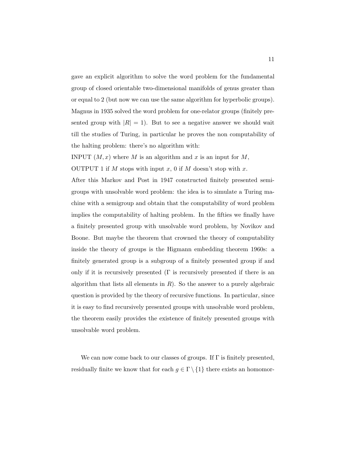gave an explicit algorithm to solve the word problem for the fundamental group of closed orientable two-dimensional manifolds of genus greater than or equal to 2 (but now we can use the same algorithm for hyperbolic groups). Magnus in 1935 solved the word problem for one-relator groups (finitely presented group with  $|R| = 1$ ). But to see a negative answer we should wait till the studies of Turing, in particular he proves the non computability of the halting problem: there's no algorithm with:

INPUT  $(M, x)$  where M is an algorithm and x is an input for M,

OUTPUT 1 if M stops with input x, 0 if M doesn't stop with x.

After this Markov and Post in 1947 constructed finitely presented semigroups with unsolvable word problem: the idea is to simulate a Turing machine with a semigroup and obtain that the computability of word problem implies the computability of halting problem. In the fifties we finally have a finitely presented group with unsolvable word problem, by Novikov and Boone. But maybe the theorem that crowned the theory of computability inside the theory of groups is the Higmann embedding theorem 1960s: a finitely generated group is a subgroup of a finitely presented group if and only if it is recursively presented  $(\Gamma)$  is recursively presented if there is an algorithm that lists all elements in  $R$ ). So the answer to a purely algebraic question is provided by the theory of recursive functions. In particular, since it is easy to find recursively presented groups with unsolvable word problem, the theorem easily provides the existence of finitely presented groups with unsolvable word problem.

We can now come back to our classes of groups. If  $\Gamma$  is finitely presented, residually finite we know that for each  $g \in \Gamma \setminus \{1\}$  there exists an homomor-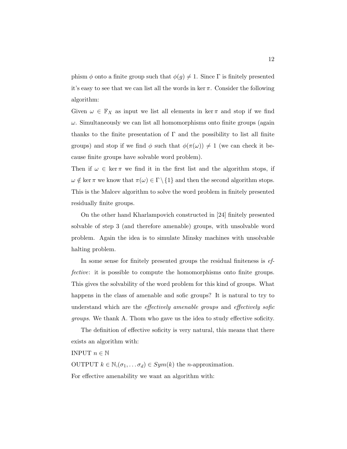phism  $\phi$  onto a finite group such that  $\phi(g) \neq 1$ . Since  $\Gamma$  is finitely presented it's easy to see that we can list all the words in ker  $\pi$ . Consider the following algorithm:

Given  $\omega \in \mathbb{F}_X$  as input we list all elements in ker  $\pi$  and stop if we find  $\omega$ . Simultaneously we can list all homomorphisms onto finite groups (again thanks to the finite presentation of  $\Gamma$  and the possibility to list all finite groups) and stop if we find  $\phi$  such that  $\phi(\pi(\omega)) \neq 1$  (we can check it because finite groups have solvable word problem).

Then if  $\omega \in \ker \pi$  we find it in the first list and the algorithm stops, if  $\omega \notin \ker \pi$  we know that  $\pi(\omega) \in \Gamma \setminus \{1\}$  and then the second algorithm stops. This is the Malcev algorithm to solve the word problem in finitely presented residually finite groups.

On the other hand Kharlampovich constructed in [24] finitely presented solvable of step 3 (and therefore amenable) groups, with unsolvable word problem. Again the idea is to simulate Minsky machines with unsolvable halting problem.

In some sense for finitely presented groups the residual finiteness is effective: it is possible to compute the homomorphisms onto finite groups. This gives the solvability of the word problem for this kind of groups. What happens in the class of amenable and sofic groups? It is natural to try to understand which are the *effectively amenable groups* and *effectively sofic* groups. We thank A. Thom who gave us the idea to study effective soficity.

The definition of effective soficity is very natural, this means that there exists an algorithm with:

INPUT  $n \in \mathbb{N}$ 

OUTPUT  $k \in \mathbb{N}, (\sigma_1, \ldots, \sigma_d) \in Sym(k)$  the *n*-approximation. For effective amenability we want an algorithm with: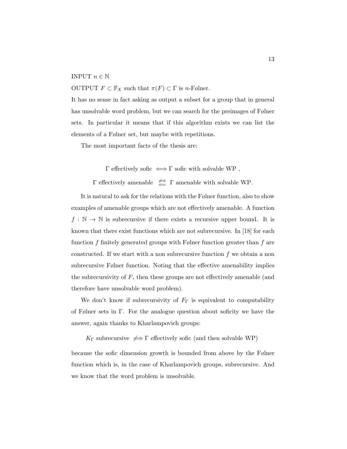#### INPUT  $n \in \mathbb{N}$

OUTPUT  $F \subset \mathbb{F}_X$  such that  $\pi(F) \subset \Gamma$  is *n*-Følner.

It has no sense in fact asking as output a subset for a group that in general has unsolvable word problem, but we can search for the preimages of Følner sets. In particular it means that if this algorithm exists we can list the elements of a Følner set, but maybe with repetitions.

The most important facts of the thesis are:

 $\Gamma$  effectively sofic  $\iff\Gamma$  sofic with solvable WP ,

 $\Gamma$  effectively amenable  $\iff$   $\Gamma$  amenable with solvable WP.

It is natural to ask for the relations with the Følner function, also to show examples of amenable groups which are not effectively amenable. A function  $f : \mathbb{N} \to \mathbb{N}$  is subrecursive if there exists a recursive upper bound. It is known that there exist functions which are not subrecursive. In [18] for each function f finitely generated groups with  $F\phi$ lner function greater than f are constructed. If we start with a non subrecursive function  $f$  we obtain a non subrecursive Følner function. Noting that the effective amenability implies the subrecursivity of  $F$ , then these groups are not effectively amenable (and therefore have unsolvable word problem).

We don't know if subrecursivity of  $F_{\Gamma}$  is equivalent to computability of Følner sets in Γ. For the analogue question about soficity we have the answer, again thanks to Kharlampovich groups:

 $K_{\Gamma}$  subrecursive  $\Rightarrow$   $\Gamma$  effectively sofic (and then solvable WP)

because the sofic dimension growth is bounded from above by the Følner function which is, in the case of Kharlampovich groups, subrecursive. And we know that the word problem is unsolvable.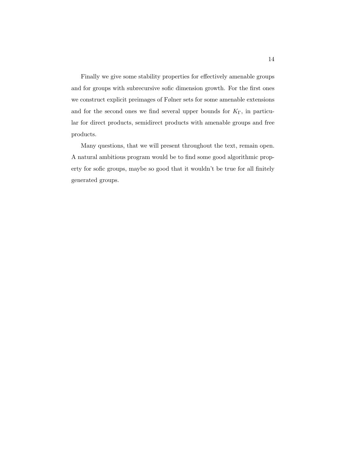Finally we give some stability properties for effectively amenable groups and for groups with subrecursive sofic dimension growth. For the first ones we construct explicit preimages of Følner sets for some amenable extensions and for the second ones we find several upper bounds for  $K_{\Gamma}$ , in particular for direct products, semidirect products with amenable groups and free products.

Many questions, that we will present throughout the text, remain open. A natural ambitious program would be to find some good algorithmic property for sofic groups, maybe so good that it wouldn't be true for all finitely generated groups.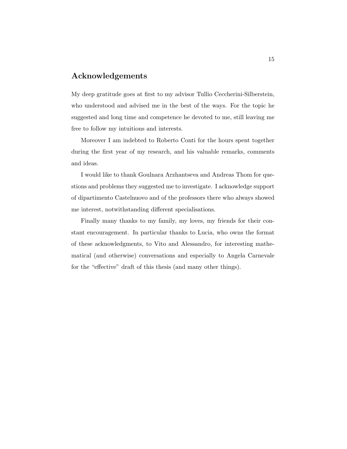### Acknowledgements

My deep gratitude goes at first to my advisor Tullio Ceccherini-Silberstein, who understood and advised me in the best of the ways. For the topic he suggested and long time and competence he devoted to me, still leaving me free to follow my intuitions and interests.

Moreover I am indebted to Roberto Conti for the hours spent together during the first year of my research, and his valuable remarks, comments and ideas.

I would like to thank Goulnara Arzhantseva and Andreas Thom for questions and problems they suggested me to investigate. I acknowledge support of dipartimento Castelnuovo and of the professors there who always showed me interest, notwithstanding different specialisations.

Finally many thanks to my family, my loves, my friends for their constant encouragement. In particular thanks to Lucia, who owns the format of these acknowledgments, to Vito and Alessandro, for interesting mathematical (and otherwise) conversations and especially to Angela Carnevale for the "effective" draft of this thesis (and many other things).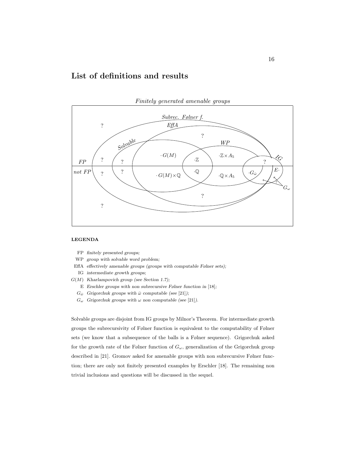## List of definitions and results



#### LEGENDA

- FP finitely presented groups;
- WP group with solvable word problem;
- EffA effectively amenable groups (groups with computable Følner sets);
- IG intermediate growth groups;
- $G(M)$  Kharlampovich group (see Section 1.7);
	- E Erschler groups with non subrecursive Følner function in  $[18]$ ;
	- $G_{\overline{\omega}}$  Grigorchuk groups with  $\overline{\omega}$  computable (see [21]);
	- $G_{\omega}$  Grigorchuk groups with  $\omega$  non computable (see [21]).

Solvable groups are disjoint from IG groups by Milnor's Theorem. For intermediate growth groups the subrecursivity of Følner function is equivalent to the computability of Følner sets (we know that a subsequence of the balls is a Følner sequence). Grigorchuk asked for the growth rate of the Følner function of  $G_{\omega}$ , generalization of the Grigorchuk group described in [21]. Gromov asked for amenable groups with non subrecursive Følner function; there are only not finitely presented examples by Erschler [18]. The remaining non trivial inclusions and questions will be discussed in the sequel.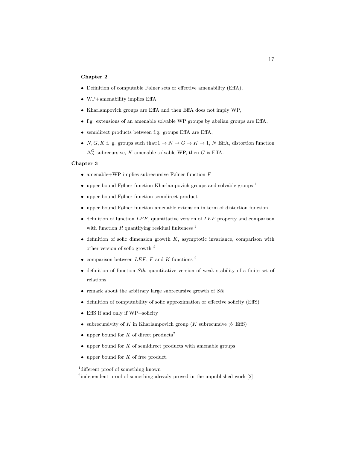#### Chapter 2

- Definition of computable Følner sets or effective amenability (EffA),
- WP+amenability implies EffA,
- Kharlampovich groups are EffA and then EffA does not imply WP,
- f.g. extensions of an amenable solvable WP groups by abelian groups are EffA,
- semidirect products between f.g. groups EffA are EffA,
- N, G, K f. g. groups such that: $1 \rightarrow N \rightarrow G \rightarrow K \rightarrow 1$ , N EffA, distortion function  $\Delta_N^G$  subrecursive, K amenable solvable WP, then G is EffA.

#### Chapter 3

- amenable+WP implies subrecursive Følner function  $F$
- upper bound Følner function Kharlampovich groups and solvable groups  $<sup>1</sup>$ </sup>
- upper bound Følner function semidirect product
- upper bound Følner function amenable extension in term of distortion function
- $\bullet$  definition of function  $LEF$ , quantitative version of  $LEF$  property and comparison with function  $R$  quantifying residual finiteness  $^2$
- $\bullet$  definition of sofic dimension growth  $K$ , asymptotic invariance, comparison with other version of sofic growth <sup>2</sup>
- comparison between  $LEF$ , F and K functions<sup>2</sup>
- $\bullet$  definition of function *Stb*, quantitative version of weak stability of a finite set of relations
- $\bullet$  remark about the arbitrary large subrecursive growth of  $Stb$
- definition of computability of sofic approximation or effective soficity (EffS)
- EffS if and only if WP+soficity
- subrecursivity of K in Kharlampovich group (K subrecursive  $\neq$  EffS)
- upper bound for K of direct products<sup>2</sup>
- $\bullet$  upper bound for  $K$  of semidirect products with amenable groups
- upper bound for  $K$  of free product.

<sup>&</sup>lt;sup>1</sup> different proof of something known

<sup>&</sup>lt;sup>2</sup>independent proof of something already proved in the unpublished work [2]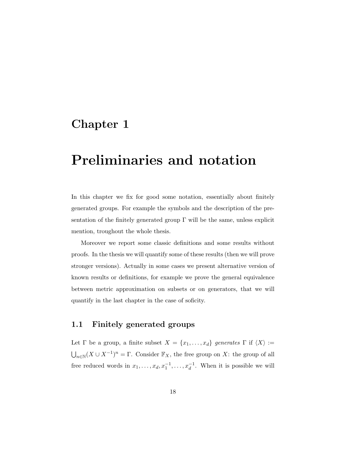# Chapter 1

# Preliminaries and notation

In this chapter we fix for good some notation, essentially about finitely generated groups. For example the symbols and the description of the presentation of the finitely generated group  $\Gamma$  will be the same, unless explicit mention, troughout the whole thesis.

Moreover we report some classic definitions and some results without proofs. In the thesis we will quantify some of these results (then we will prove stronger versions). Actually in some cases we present alternative version of known results or definitions, for example we prove the general equivalence between metric approximation on subsets or on generators, that we will quantify in the last chapter in the case of soficity.

### 1.1 Finitely generated groups

Let  $\Gamma$  be a group, a finite subset  $X = \{x_1, \ldots, x_d\}$  generates  $\Gamma$  if  $\langle X \rangle :=$  $\bigcup_{n\in\mathbb{N}}(X\cup X^{-1})^n=\Gamma.$  Consider  $\mathbb{F}_X$ , the free group on X: the group of all free reduced words in  $x_1, \ldots, x_d, x_1^{-1}, \ldots, x_d^{-1}$ . When it is possible we will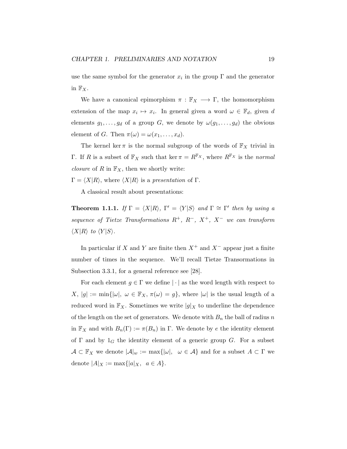use the same symbol for the generator  $x_i$  in the group  $\Gamma$  and the generator in  $\mathbb{F}_X$ .

We have a canonical epimorphism  $\pi : \mathbb{F}_X \longrightarrow \Gamma$ , the homomorphism extension of the map  $x_i \mapsto x_i$ . In general given a word  $\omega \in \mathbb{F}_d$ , given d elements  $g_1, \ldots, g_d$  of a group G, we denote by  $\omega(g_1, \ldots, g_d)$  the obvious element of G. Then  $\pi(\omega) = \omega(x_1, \ldots, x_d)$ .

The kernel ker  $\pi$  is the normal subgroup of the words of  $\mathbb{F}_X$  trivial in Γ. If R is a subset of  $\mathbb{F}_X$  such that ker  $\pi = R^{\mathbb{F}_X}$ , where  $R^{\mathbb{F}_X}$  is the normal *closure* of R in  $\mathbb{F}_X$ , then we shortly write:

 $\Gamma = \langle X|R \rangle$ , where  $\langle X|R \rangle$  is a presentation of Γ.

A classical result about presentations:

**Theorem 1.1.1.** If  $\Gamma = \langle X|R \rangle$ ,  $\Gamma' = \langle Y|S \rangle$  and  $\Gamma \cong \Gamma'$  then by using a sequence of Tietze Transformations  $R^+$ ,  $R^-$ ,  $X^+$ ,  $X^-$  we can transform  $\langle X|R\rangle$  to  $\langle Y|S\rangle$ .

In particular if X and Y are finite then  $X^+$  and  $X^-$  appear just a finite number of times in the sequence. We'll recall Tietze Transormations in Subsection 3.3.1, for a general reference see [28].

For each element  $g \in \Gamma$  we define  $|\cdot|$  as the word length with respect to  $X, |g| := \min\{|\omega|, \omega \in \mathbb{F}_X, \pi(\omega) = g\},\$  where  $|\omega|$  is the usual length of a reduced word in  $\mathbb{F}_X$ . Sometimes we write  $|g|_X$  to underline the dependence of the length on the set of generators. We denote with  $B_n$  the ball of radius n in  $\mathbb{F}_X$  and with  $B_n(\Gamma) := \pi(B_n)$  in  $\Gamma$ . We denote by e the identity element of  $\Gamma$  and by  $1_G$  the identity element of a generic group G. For a subset  $\mathcal{A} \subset \mathbb{F}_X$  we denote  $|\mathcal{A}|_w := \max\{|\omega|, \omega \in \mathcal{A}\}\$ and for a subset  $A \subset \Gamma$  we denote  $|A|_X := \max\{|a|_X, a \in A\}.$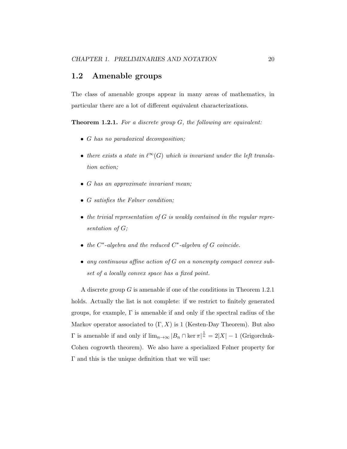#### 1.2 Amenable groups

The class of amenable groups appear in many areas of mathematics, in particular there are a lot of different equivalent characterizations.

**Theorem 1.2.1.** For a discrete group  $G$ , the following are equivalent:

- G has no paradoxical decomposition;
- there exists a state in  $\ell^{\infty}(G)$  which is invariant under the left translation action;
- G has an approximate invariant mean;
- G satisfies the Følner condition;
- the trivial representation of  $G$  is weakly contained in the regular representation of G;
- the  $C^*$ -algebra and the reduced  $C^*$ -algebra of  $G$  coincide.
- any continuous affine action of G on a nonempty compact convex subset of a locally convex space has a fixed point.

A discrete group G is amenable if one of the conditions in Theorem 1.2.1 holds. Actually the list is not complete: if we restrict to finitely generated groups, for example, Γ is amenable if and only if the spectral radius of the Markov operator associated to  $(\Gamma, X)$  is 1 (Kesten-Day Theorem). But also  $\Gamma$  is amenable if and only if  $\lim_{n\to\infty} |B_n \cap \ker \pi|^{\frac{1}{n}} = 2|X| - 1$  (Grigorchuk-Cohen cogrowth theorem). We also have a specialized Følner property for Γ and this is the unique definition that we will use: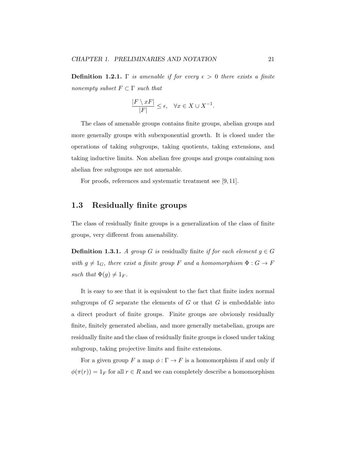**Definition 1.2.1.** Γ is amenable if for every  $\epsilon > 0$  there exists a finite nonempty subset  $F \subset \Gamma$  such that

$$
\frac{|F\setminus xF|}{|F|}\leq \epsilon, \quad \forall x\in X\cup X^{-1}.
$$

The class of amenable groups contains finite groups, abelian groups and more generally groups with subexponential growth. It is closed under the operations of taking subgroups, taking quotients, taking extensions, and taking inductive limits. Non abelian free groups and groups containing non abelian free subgroups are not amenable.

For proofs, references and systematic treatment see [9, 11].

### 1.3 Residually finite groups

The class of residually finite groups is a generalization of the class of finite groups, very different from amenability.

**Definition 1.3.1.** A group G is residually finite if for each element  $q \in G$ with  $g \neq 1_G$ , there exist a finite group F and a homomorphism  $\Phi : G \to F$ such that  $\Phi(g) \neq 1_F$ .

It is easy to see that it is equivalent to the fact that finite index normal subgroups of  $G$  separate the elements of  $G$  or that  $G$  is embeddable into a direct product of finite groups. Finite groups are obviously residually finite, finitely generated abelian, and more generally metabelian, groups are residually finite and the class of residually finite groups is closed under taking subgroup, taking projective limits and finite extensions.

For a given group F a map  $\phi : \Gamma \to F$  is a homomorphism if and only if  $\phi(\pi(r)) = 1_F$  for all  $r \in R$  and we can completely describe a homomorphism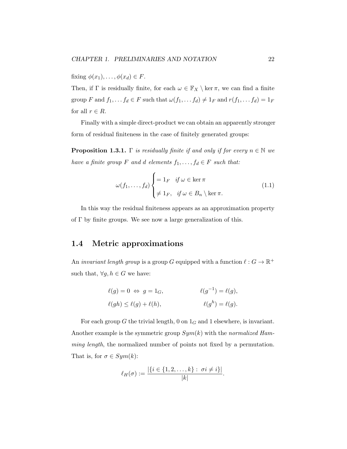fixing  $\phi(x_1), \ldots, \phi(x_d) \in F$ .

Then, if  $\Gamma$  is residually finite, for each  $\omega \in \mathbb{F}_X \setminus \ker \pi$ , we can find a finite group F and  $f_1, \ldots, f_d \in F$  such that  $\omega(f_1, \ldots, f_d) \neq 1_F$  and  $r(f_1, \ldots, f_d) = 1_F$ for all  $r \in R$ .

Finally with a simple direct-product we can obtain an apparently stronger form of residual finiteness in the case of finitely generated groups:

**Proposition 1.3.1.** Γ is residually finite if and only if for every  $n \in \mathbb{N}$  we have a finite group F and d elements  $f_1, \ldots, f_d \in F$  such that:

$$
\omega(f_1, \dots, f_d) \begin{cases} = 1_F & \text{if } \omega \in \ker \pi \\ \neq 1_F, & \text{if } \omega \in B_n \setminus \ker \pi. \end{cases}
$$
 (1.1)

In this way the residual finiteness appears as an approximation property of  $\Gamma$  by finite groups. We see now a large generalization of this.

#### 1.4 Metric approximations

An *invariant length group* is a group G equipped with a function  $\ell : G \to \mathbb{R}^+$ such that,  $\forall g, h \in G$  we have:

$$
\ell(g) = 0 \Leftrightarrow g = 1_G, \qquad \qquad \ell(g^{-1}) = \ell(g),
$$
  

$$
\ell(gh) \le \ell(g) + \ell(h), \qquad \qquad \ell(g^h) = \ell(g).
$$

For each group G the trivial length, 0 on  $1_G$  and 1 elsewhere, is invariant. Another example is the symmetric group  $Sym(k)$  with the normalized Hamming length, the normalized number of points not fixed by a permutation. That is, for  $\sigma \in Sym(k)$ :

$$
\ell_H(\sigma) := \frac{|\{i \in \{1, 2, \dots, k\} : \ \sigma i \neq i\}|}{|k|}.
$$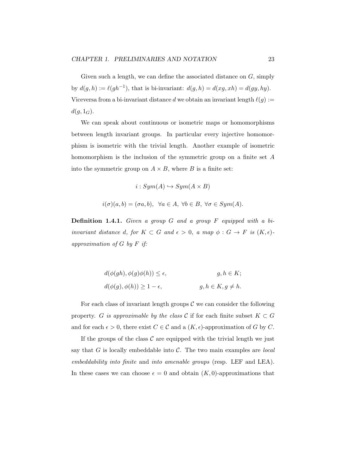Given such a length, we can define the associated distance on  $G$ , simply by  $d(g, h) := \ell(gh^{-1})$ , that is bi-invariant:  $d(g, h) = d(xg, xh) = d(gy, hy)$ . Viceversa from a bi-invariant distance d we obtain an invariant length  $\ell(g) :=$  $d(g, 1_G)$ .

We can speak about continuous or isometric maps or homomorphisms between length invariant groups. In particular every injective homomorphism is isometric with the trivial length. Another example of isometric homomorphism is the inclusion of the symmetric group on a finite set A into the symmetric group on  $A \times B$ , where B is a finite set:

$$
i: Sym(A) \hookrightarrow Sym(A \times B)
$$
  

$$
i(\sigma)(a, b) = (\sigma a, b), \ \forall a \in A, \ \forall b \in B, \ \forall \sigma \in Sym(A).
$$

**Definition 1.4.1.** Given a group  $G$  and a group  $F$  equipped with a biinvariant distance d, for  $K \subset G$  and  $\epsilon > 0$ , a map  $\phi : G \to F$  is  $(K, \epsilon)$ approximation of G by F if:

$$
d(\phi(gh), \phi(g)\phi(h)) \le \epsilon, \qquad g, h \in K;
$$
  

$$
d(\phi(g), \phi(h)) \ge 1 - \epsilon, \qquad g, h \in K, g \ne h.
$$

For each class of invariant length groups  $\mathcal C$  we can consider the following property. G is approximable by the class C if for each finite subset  $K \subset G$ and for each  $\epsilon > 0$ , there exist  $C \in \mathcal{C}$  and a  $(K, \epsilon)$ -approximation of G by C.

If the groups of the class  $\mathcal C$  are equipped with the trivial length we just say that G is locally embeddable into C. The two main examples are *local* embeddability into finite and into amenable groups (resp. LEF and LEA). In these cases we can choose  $\epsilon = 0$  and obtain  $(K, 0)$ -approximations that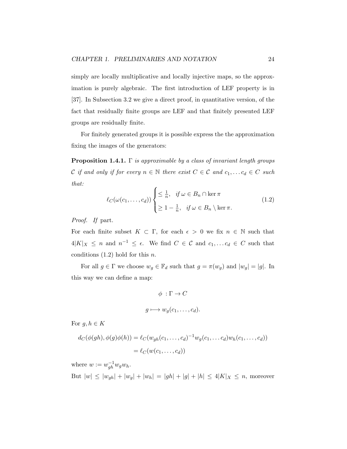simply are locally multiplicative and locally injective maps, so the approximation is purely algebraic. The first introduction of LEF property is in [37]. In Subsection 3.2 we give a direct proof, in quantitative version, of the fact that residually finite groups are LEF and that finitely presented LEF groups are residually finite.

For finitely generated groups it is possible express the the approximation fixing the images of the generators:

**Proposition 1.4.1.** Γ is approximable by a class of invariant length groups C if and only if for every  $n \in \mathbb{N}$  there exist  $C \in \mathcal{C}$  and  $c_1, \ldots c_d \in C$  such that:

$$
\ell_C(\omega(c_1,\ldots,c_d))\begin{cases} \leq \frac{1}{n}, & \text{if } \omega \in B_n \cap \ker \pi \\ \geq 1 - \frac{1}{n}, & \text{if } \omega \in B_n \setminus \ker \pi. \end{cases}
$$
(1.2)

Proof. If part.

For each finite subset  $K \subset \Gamma$ , for each  $\epsilon > 0$  we fix  $n \in \mathbb{N}$  such that  $4|K|_X \leq n$  and  $n^{-1} \leq \epsilon$ . We find  $C \in \mathcal{C}$  and  $c_1, \ldots c_d \in C$  such that conditions  $(1.2)$  hold for this *n*.

For all  $g \in \Gamma$  we choose  $w_g \in \mathbb{F}_d$  such that  $g = \pi(w_g)$  and  $|w_g| = |g|$ . In this way we can define a map:

$$
\phi : \Gamma \to C
$$

$$
g \longmapsto w_g(c_1, \dots, c_d).
$$

For  $g, h \in K$ 

$$
d_C(\phi(gh), \phi(g)\phi(h)) = \ell_C(w_{gh}(c_1, \dots, c_d)^{-1} w_g(c_1, \dots, c_d) w_h(c_1, \dots, c_d))
$$
  
=  $\ell_C(w(c_1, \dots, c_d))$ 

where  $w := w_{gh}^{-1} w_g w_h$ . But  $|w| \le |w_{gh}| + |w_g| + |w_h| = |gh| + |g| + |h| \le 4|K|_X \le n$ , moreover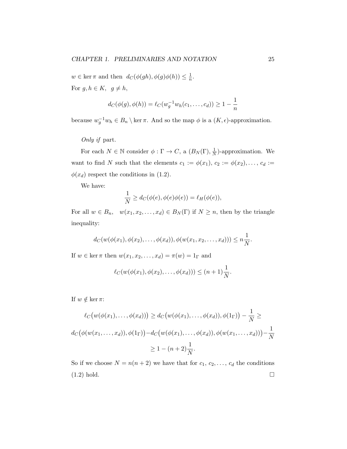$w \in \ker \pi$  and then  $d_C(\phi(gh), \phi(g)\phi(h)) \leq \frac{1}{n}$  $\frac{1}{n}$ .

For  $g, h \in K$ ,  $g \neq h$ ,

$$
d_C(\phi(g), \phi(h)) = \ell_C(w_g^{-1}w_h(c_1, \dots, c_d)) \ge 1 - \frac{1}{n}
$$

because  $w_g^{-1}w_h \in B_n \setminus \ker \pi$ . And so the map  $\phi$  is a  $(K, \epsilon)$ -approximation.

Only if part.

For each  $N \in \mathbb{N}$  consider  $\phi : \Gamma \to C$ , a  $(B_N(\Gamma), \frac{1}{N})$  $\frac{1}{N}$ )-approximation. We want to find N such that the elements  $c_1 := \phi(x_1), c_2 := \phi(x_2), \ldots, c_d :=$  $\phi(x_d)$  respect the conditions in (1.2).

We have:

$$
\frac{1}{N} \ge d_C(\phi(e), \phi(e)\phi(e)) = \ell_H(\phi(e)),
$$

For all  $w \in B_n$ ,  $w(x_1, x_2, \ldots, x_d) \in B_N(\Gamma)$  if  $N \geq n$ , then by the triangle inequality:

$$
d_C(w(\phi(x_1), \phi(x_2), \ldots, \phi(x_d)), \phi(w(x_1, x_2, \ldots, x_d))) \leq n \frac{1}{N}.
$$

If  $w \in \ker \pi$  then  $w(x_1, x_2, \ldots, x_d) = \pi(w) = 1_\Gamma$  and

$$
\ell_C(w(\phi(x_1), \phi(x_2), \dots, \phi(x_d))) \leq (n+1)\frac{1}{N}.
$$

If  $w \notin \ker \pi$ :

$$
\ell_C(w(\phi(x_1),..., \phi(x_d))) \ge d_C(w(\phi(x_1),..., \phi(x_d)), \phi(1_{\Gamma})) - \frac{1}{N} \ge
$$
  

$$
d_C(\phi(w(x_1,...,x_d)), \phi(1_{\Gamma})) - d_C(w(\phi(x_1),..., \phi(x_d)), \phi(w(x_1,...,x_d))) - \frac{1}{N}
$$
  

$$
\ge 1 - (n+2)\frac{1}{N}.
$$

So if we choose  $N = n(n+2)$  we have that for  $c_1, c_2, \ldots, c_d$  the conditions  $(1.2)$  hold.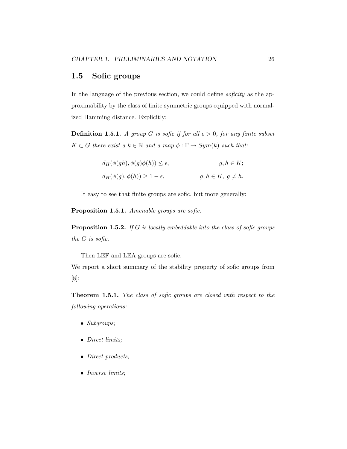## 1.5 Sofic groups

In the language of the previous section, we could define *soficity* as the approximability by the class of finite symmetric groups equipped with normalized Hamming distance. Explicitly:

**Definition 1.5.1.** A group G is sofic if for all  $\epsilon > 0$ , for any finite subset  $K \subset G$  there exist a  $k \in \mathbb{N}$  and a map  $\phi : \Gamma \to Sym(k)$  such that:

| $d_H(\phi(gh), \phi(g)\phi(h)) \leq \epsilon,$ | $g, h \in K;$           |
|------------------------------------------------|-------------------------|
| $d_H(\phi(g), \phi(h)) \geq 1 - \epsilon,$     | $g, h \in K, g \neq h.$ |

It easy to see that finite groups are sofic, but more generally:

Proposition 1.5.1. Amenable groups are sofic.

**Proposition 1.5.2.** If G is locally embeddable into the class of sofic groups the G is sofic.

Then LEF and LEA groups are sofic.

We report a short summary of the stability property of sofic groups from [8]:

Theorem 1.5.1. The class of sofic groups are closed with respect to the following operations:

- Subgroups;
- Direct limits;
- Direct products;
- Inverse limits;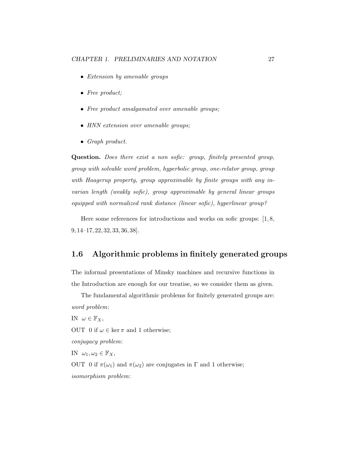- Extension by amenable groups
- Free product;
- Free product amalgamated over amenable groups;
- HNN extension over amenable groups:
- Graph product.

Question. Does there exist a non sofic: group, finitely presented group, group with solvable word problem, hyperbolic group, one-relator group, group with Haagerup property, group approximable by finite groups with any invarian length (weakly sofic), group approximable by general linear groups equipped with normalized rank distance (linear sofic), hyperlinear group?

Here some references for introductions and works on sofic groups: [1, 8, 9, 14–17, 22, 32, 33, 36, 38].

#### 1.6 Algorithmic problems in finitely generated groups

The informal presentations of Minsky machines and recursive functions in the Introduction are enough for our treatise, so we consider them as given.

The fundamental algorithmic problems for finitely generated groups are: word problem: IN  $\omega \in \mathbb{F}_X$ , OUT 0 if  $\omega \in \ker \pi$  and 1 otherwise; conjugacy problem: IN  $\omega_1, \omega_2 \in \mathbb{F}_X$ , OUT 0 if  $\pi(\omega_1)$  and  $\pi(\omega_2)$  are conjugates in  $\Gamma$  and 1 otherwise; isomorphism problem: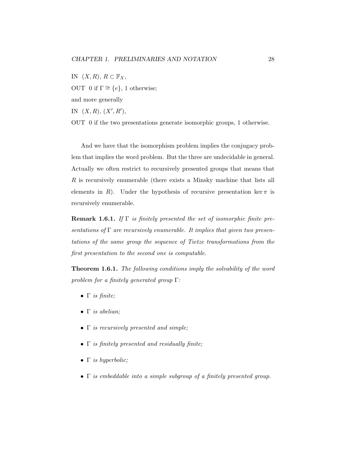IN  $(X, R)$ ,  $R \subset \mathbb{F}_X$ , OUT 0 if  $\Gamma \cong \{e\}$ , 1 otherwise; and more generally IN  $(X, R), (X', R'),$ OUT 0 if the two presentations generate isomorphic groups, 1 otherwise.

And we have that the isomorphism problem implies the conjugacy problem that implies the word problem. But the three are undecidable in general. Actually we often restrict to recursively presented groups that means that R is recursively enumerable (there exists a Minsky machine that lists all elements in R). Under the hypothesis of recursive presentation ker  $\pi$  is recursively enumerable.

**Remark 1.6.1.** If  $\Gamma$  is finitely presented the set of isomorphic finite presentations of  $\Gamma$  are recursively enumerable. It implies that given two presentations of the same group the sequence of Tietze transformations from the first presentation to the second one is computable.

Theorem 1.6.1. The following conditions imply the solvability of the word problem for a finitely generated group Γ:

- $\Gamma$  is finite;
- $\bullet$   $\Gamma$  is abelian;
- Γ is recursively presented and simple;
- $\Gamma$  is finitely presented and residually finite;
- Γ is hyperbolic;
- $\Gamma$  is embeddable into a simple subgroup of a finitely presented group.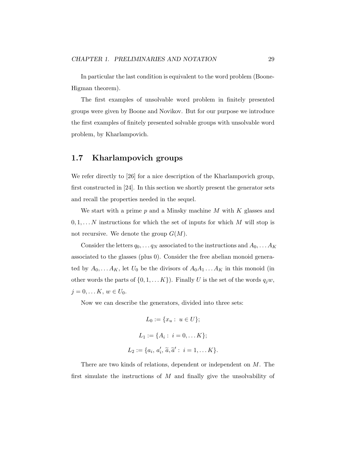In particular the last condition is equivalent to the word problem (Boone-Higman theorem).

The first examples of unsolvable word problem in finitely presented groups were given by Boone and Novikov. But for our purpose we introduce the first examples of finitely presented solvable groups with unsolvable word problem, by Kharlampovich.

### 1.7 Kharlampovich groups

We refer directly to [26] for a nice description of the Kharlampovich group, first constructed in [24]. In this section we shortly present the generator sets and recall the properties needed in the sequel.

We start with a prime  $p$  and a Minsky machine  $M$  with  $K$  glasses and  $0, 1, \ldots N$  instructions for which the set of inputs for which M will stop is not recursive. We denote the group  $G(M)$ .

Consider the letters  $q_0, \ldots q_N$  associated to the instructions and  $A_0, \ldots A_K$ associated to the glasses (plus 0). Consider the free abelian monoid generated by  $A_0, \ldots A_K$ , let  $U_0$  be the divisors of  $A_0A_1 \ldots A_K$  in this monoid (in other words the parts of  $\{0, 1, \ldots K\}$ . Finally U is the set of the words  $q_jw$ ,  $j = 0, \ldots K, w \in U_0$ .

Now we can describe the generators, divided into three sets:

$$
L_0 := \{x_u : u \in U\};
$$
  
\n
$$
L_1 := \{A_i : i = 0, \dots K\};
$$
  
\n
$$
L_2 := \{a_i, a'_i, \tilde{a}, \tilde{a}' : i = 1, \dots K\}.
$$

There are two kinds of relations, dependent or independent on M. The first simulate the instructions of  $M$  and finally give the unsolvability of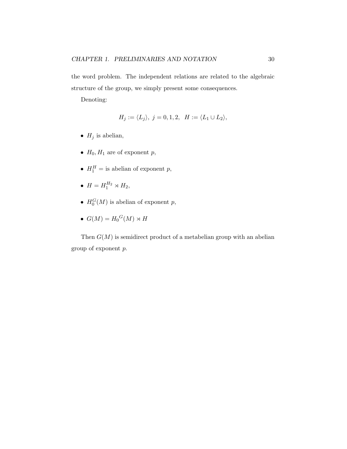the word problem. The independent relations are related to the algebraic structure of the group, we simply present some consequences.

Denoting:

$$
H_j := \langle L_j \rangle, \ j = 0, 1, 2, \ H := \langle L_1 \cup L_2 \rangle,
$$

- $H_j$  is abelian,
- $H_0, H_1$  are of exponent p,
- $H_1^H =$  is abelian of exponent p,
- $H = H_1^{H_2} \rtimes H_2$ ,
- $H_0^G(M)$  is abelian of exponent p,
- $G(M) = H_0^G(M) \rtimes H$

Then  $G(M)$  is semidirect product of a metabelian group with an abelian group of exponent p.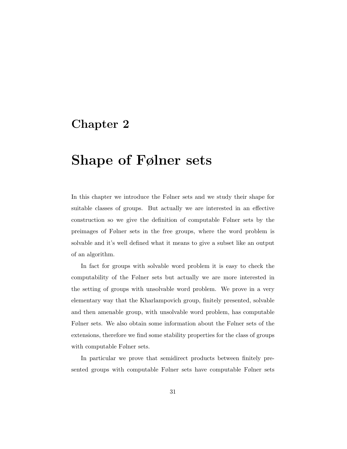## Chapter 2

# Shape of Følner sets

In this chapter we introduce the Følner sets and we study their shape for suitable classes of groups. But actually we are interested in an effective construction so we give the definition of computable Følner sets by the preimages of Følner sets in the free groups, where the word problem is solvable and it's well defined what it means to give a subset like an output of an algorithm.

In fact for groups with solvable word problem it is easy to check the computability of the Følner sets but actually we are more interested in the setting of groups with unsolvable word problem. We prove in a very elementary way that the Kharlampovich group, finitely presented, solvable and then amenable group, with unsolvable word problem, has computable Følner sets. We also obtain some information about the Følner sets of the extensions, therefore we find some stability properties for the class of groups with computable Følner sets.

In particular we prove that semidirect products between finitely presented groups with computable Følner sets have computable Følner sets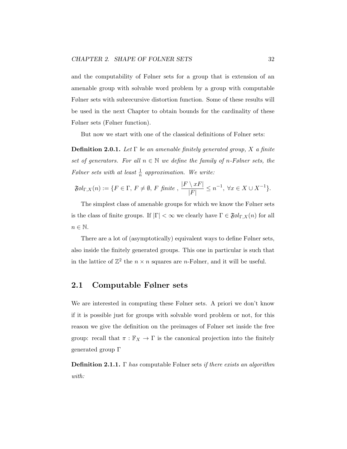and the computability of Følner sets for a group that is extension of an amenable group with solvable word problem by a group with computable Følner sets with subrecursive distortion function. Some of these results will be used in the next Chapter to obtain bounds for the cardinality of these Følner sets (Følner function).

But now we start with one of the classical definitions of Følner sets:

**Definition 2.0.1.** Let  $\Gamma$  be an amenable finitely generated group, X a finite set of generators. For all  $n \in \mathbb{N}$  we define the family of n-Følner sets, the Følner sets with at least  $\frac{1}{n}$  approximation. We write:

$$
\mathfrak{F}ol_{\Gamma,X}(n) := \{ F \in \Gamma, F \neq \emptyset, F \text{ finite }, \frac{|F \setminus xF|}{|F|} \leq n^{-1}, \ \forall x \in X \cup X^{-1} \}.
$$

The simplest class of amenable groups for which we know the Følner sets is the class of finite groups. If  $|\Gamma| < \infty$  we clearly have  $\Gamma \in \mathfrak{F}\mathfrak{gl}_{\Gamma,X}(n)$  for all  $n \in \mathbb{N}$ .

There are a lot of (asymptotically) equivalent ways to define Følner sets, also inside the finitely generated groups. This one in particular is such that in the lattice of  $\mathbb{Z}^2$  the  $n \times n$  squares are *n*-Følner, and it will be useful.

#### 2.1 Computable Følner sets

We are interested in computing these Følner sets. A priori we don't know if it is possible just for groups with solvable word problem or not, for this reason we give the definition on the preimages of Følner set inside the free group: recall that  $\pi : \mathbb{F}_X \to \Gamma$  is the canonical projection into the finitely generated group Γ

**Definition 2.1.1.** Γ has computable Følner sets if there exists an algorithm with: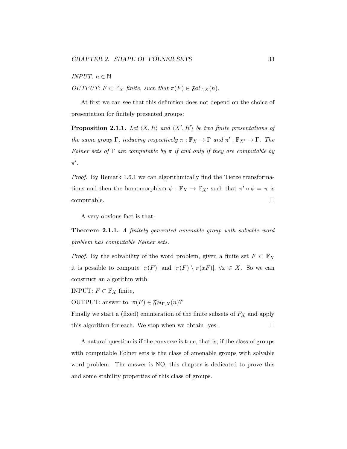*INPUT*:  $n \in \mathbb{N}$ 

OUTPUT:  $F \subset \mathbb{F}_X$  finite, such that  $\pi(F) \in \mathfrak{F} \mathfrak{gl}_{\Gamma,X}(n)$ .

At first we can see that this definition does not depend on the choice of presentation for finitely presented groups:

**Proposition 2.1.1.** Let  $\langle X, R \rangle$  and  $\langle X', R' \rangle$  be two finite presentations of the same group  $\Gamma$ , inducing respectively  $\pi : \mathbb{F}_X \to \Gamma$  and  $\pi' : \mathbb{F}_{X'} \to \Gamma$ . The Følner sets of  $\Gamma$  are computable by  $\pi$  if and only if they are computable by  $\pi'$ .

Proof. By Remark 1.6.1 we can algorithmically find the Tietze transformations and then the homomorphism  $\phi : \mathbb{F}_X \to \mathbb{F}_{X'}$  such that  $\pi' \circ \phi = \pi$  is  $\Box$ computable.

A very obvious fact is that:

Theorem 2.1.1. A finitely generated amenable group with solvable word problem has computable Følner sets.

*Proof.* By the solvability of the word problem, given a finite set  $F \subset \mathbb{F}_X$ it is possible to compute  $|\pi(F)|$  and  $|\pi(F) \setminus \pi(xF)|$ ,  $\forall x \in X$ . So we can construct an algorithm with:

INPUT:  $F \subset \mathbb{F}_X$  finite,

OUTPUT: answer to  $\mathcal{F}(F) \in \mathfrak{F}\mathfrak{gl}_{\Gamma,X}(n)$ ?'

Finally we start a (fixed) enumeration of the finite subsets of  $F_X$  and apply this algorithm for each. We stop when we obtain -yes-.  $\Box$ 

A natural question is if the converse is true, that is, if the class of groups with computable Følner sets is the class of amenable groups with solvable word problem. The answer is NO, this chapter is dedicated to prove this and some stability properties of this class of groups.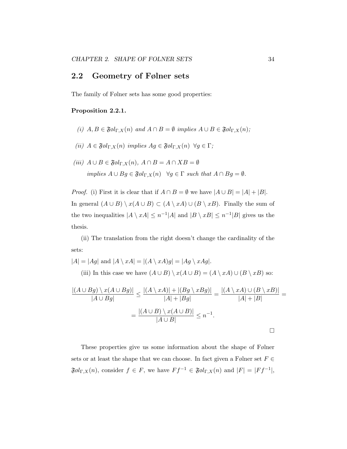### 2.2 Geometry of Følner sets

The family of Følner sets has some good properties:

#### Proposition 2.2.1.

- (i)  $A, B \in \mathfrak{F}ol_{\Gamma,X}(n)$  and  $A \cap B = \emptyset$  implies  $A \cup B \in \mathfrak{F}ol_{\Gamma,X}(n);$
- (ii)  $A \in \mathfrak{F} \mathfrak{gl}_{\Gamma,X}(n)$  implies  $Ag \in \mathfrak{F} \mathfrak{gl}_{\Gamma,X}(n)$   $\forall g \in \Gamma$ ;
- (iii)  $A \cup B \in \mathfrak{F}ol_{\Gamma,X}(n)$ ,  $A \cap B = A \cap XB = \emptyset$ implies  $A \cup Bg \in \mathfrak{F} \mathfrak{gl}_{\Gamma,X}(n) \quad \forall g \in \Gamma \text{ such that } A \cap Bg = \emptyset.$

*Proof.* (i) First it is clear that if  $A \cap B = \emptyset$  we have  $|A \cup B| = |A| + |B|$ . In general  $(A \cup B) \setminus x(A \cup B) \subset (A \setminus xA) \cup (B \setminus xB)$ . Finally the sum of the two inequalities  $|A \setminus xA| \leq n^{-1}|A|$  and  $|B \setminus xB| \leq n^{-1}|B|$  gives us the thesis.

(ii) The translation from the right doesn't change the cardinality of the sets:

$$
|A| = |Ag| \text{ and } |A \setminus xA| = |(A \setminus xA)g| = |Ag \setminus xAg|.
$$
  
(iii) In this case we have  $(A \cup B) \setminus x(A \cup B) = (A \setminus xA) \cup (B \setminus xB)$  so:  

$$
\frac{|(A \cup Bg) \setminus x(A \cup Bg)|}{|A \cup Bg|} \le \frac{|(A \setminus xA)| + |(Bg \setminus xBg)|}{|A| + |Bg|} = \frac{|(A \setminus xA) \cup (B \setminus xB)|}{|A| + |B|}
$$

$$
= \frac{|(A \cup B) \setminus x(A \cup B)|}{|A \cup B|} \le n^{-1}.
$$

These properties give us some information about the shape of Følner sets or at least the shape that we can choose. In fact given a Følner set  $F \in$  $\mathfrak{F}\otimes l_{\Gamma,X}(n)$ , consider  $f \in F$ , we have  $Ff^{-1} \in \mathfrak{F}\otimes l_{\Gamma,X}(n)$  and  $|F| = |Ff^{-1}|$ , =

 $\Box$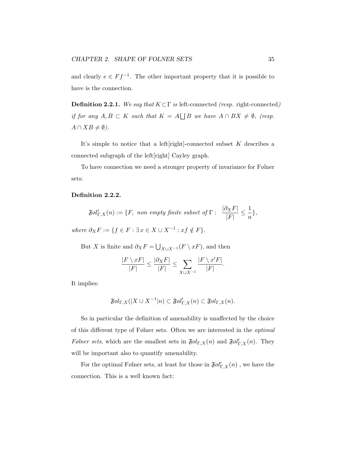and clearly  $e \in Ff^{-1}$ . The other important property that it is possible to have is the connection.

**Definition 2.2.1.** We say that  $K \subset \Gamma$  is left-connected (resp. right-connected) if for any  $A, B \subset K$  such that  $K = A \mid |B|$  we have  $A \cap BX \neq \emptyset$ , (resp.  $A \cap XB \neq \emptyset$ ).

It's simple to notice that a left[right]-connected subset  $K$  describes a connected subgraph of the left[right] Cayley graph.

To have connection we need a stronger property of invariance for Følner sets:

#### Definition 2.2.2.

$$
\mathfrak{F}ol'_{\Gamma,X}(n) := \{F, \text{ non empty finite subset of } \Gamma: \frac{|\partial_X F|}{|F|} \leq \frac{1}{n}\},
$$

where  $\partial_X F := \{ f \in F : \exists x \in X \cup X^{-1} : xf \notin F \}.$ 

But X is finite and  $\partial_X F = \bigcup_{X \cup X^{-1}} (F \setminus xF)$ , and then

$$
\frac{|F \setminus xF|}{|F|} \le \frac{|\partial_X F|}{|F|} \le \sum_{X \cup X^{-1}} \frac{|F \setminus x'F|}{|F|}.
$$

It implies:

$$
\mathfrak{F}\mathfrak{gl}_{\Gamma,X}(|X \cup X^{-1}|n) \subset \mathfrak{F}\mathfrak{gl}_{\Gamma,X}'(n) \subset \mathfrak{F}\mathfrak{gl}_{\Gamma,X}(n).
$$

So in particular the definition of amenability is unaffected by the choice of this different type of Følner sets. Often we are interested in the optimal Følner sets, which are the smallest sets in  $\mathfrak{F}ol_{\Gamma,X}(n)$  and  $\mathfrak{F}ol'_{\Gamma,X}(n)$ . They will be important also to quantify amenability.

For the optimal Følner sets, at least for those in  $\mathfrak{F}\mathfrak{gl}_{\Gamma,X}'(n)$  , we have the connection. This is a well known fact: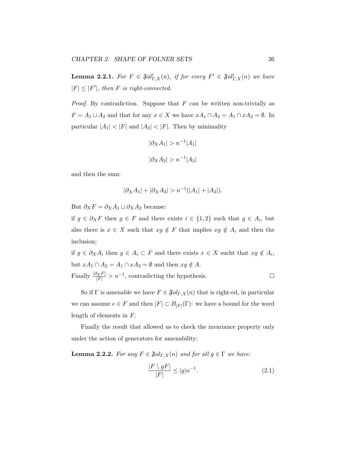**Lemma 2.2.1.** For  $F \in \mathfrak{F} \mathfrak{gl}'_{\Gamma,X}(n)$ , if for every  $F' \in \mathfrak{F} \mathfrak{gl}'_{\Gamma,X}(n)$  we have  $|F| \leq |F'|$ , then F is right-connected.

*Proof.* By contradiction. Suppose that  $F$  can be written non-trivially as  $F = A_1 \sqcup A_2$  and that for any  $x \in X$  we have  $xA_1 \cap A_2 = A_1 \cap xA_2 = \emptyset$ . In particular  $|A_1| < |F|$  and  $|A_2| < |F|$ . Then by minimality

$$
|\partial_X A_1| > n^{-1} |A_1|
$$
  

$$
|\partial_X A_2| > n^{-1} |A_2|
$$

and then the sum:

$$
|\partial_X A_1| + |\partial_X A_2| > n^{-1}(|A_1| + |A_2|).
$$

But  $\partial_X F = \partial_X A_1 \sqcup \partial_X A_2$  because:

if  $g \in \partial_X F$  then  $g \in F$  and there exists  $i \in \{1,2\}$  such that  $g \in A_i$ , but also there is  $x \in X$  such that  $xg \notin F$  that implies  $xg \notin A_i$  and then the inclusion;

if  $g \in \partial_X A_i$  then  $g \in A_i \subset F$  and there exists  $x \in X$  sucht that  $xg \notin A_i$ , but  $xA_1 \cap A_2 = A_1 \cap xA_2 = \emptyset$  and then  $xg \notin A$ . Finally  $\frac{|\partial_X F|}{|F|} > n^{-1}$ , contradicting the hypothesis.

So if  $\Gamma$  is amenable we have  $F \in \mathfrak{F}\mathfrak{gl}_{\Gamma,X}(n)$  that is right-ed, in particular we can assume  $e \in F$  and then  $|F| \subset B_{|F|}(\Gamma)$ : we have a bound for the word length of elements in F.

Finally the result that allowed us to check the invariance property only under the action of generators for amenability:

**Lemma 2.2.2.** For any  $F \in \mathfrak{Føl}_{\Gamma,X}(n)$  and for all  $g \in \Gamma$  we have:

$$
\frac{|F \setminus gF|}{|F|} \le |g|n^{-1}.\tag{2.1}
$$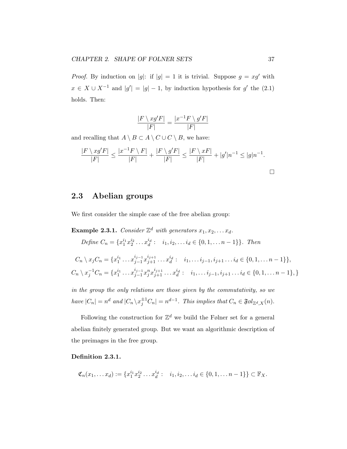*Proof.* By induction on |g|: if  $|g| = 1$  it is trivial. Suppose  $g = xg'$  with  $x \in X \cup X^{-1}$  and  $|g'| = |g| - 1$ , by induction hypothesis for g' the (2.1) holds. Then:

$$
\frac{|F \setminus xg'F|}{|F|} = \frac{|x^{-1}F \setminus g'F|}{|F|}
$$

and recalling that  $A \setminus B \subset A \setminus C \cup C \setminus B$ , we have:

$$
\frac{|F \setminus xg'F|}{|F|} \le \frac{|x^{-1}F \setminus F|}{|F|} + \frac{|F \setminus g'F|}{|F|} \le \frac{|F \setminus xF|}{|F|} + |g'|n^{-1} \le |g|n^{-1}.
$$

## 2.3 Abelian groups

We first consider the simple case of the free abelian group:

**Example 2.3.1.** Consider  $\mathbb{Z}^d$  with generators  $x_1, x_2, \ldots x_d$ .

Define  $C_n = \{x_1^{i_1} x_2^{i_2} \dots x_d^{i_d} : i_1, i_2, \dots i_d \in \{0, 1, \dots n-1\}\}$ . Then

$$
C_n \setminus x_j C_n = \{x_1^{i_1} \dots x_{j-1}^{i_{j-1}} x_{j+1}^{i_{j+1}} \dots x_d^{i_d} : i_1, \dots i_{j-1}, i_{j+1} \dots i_d \in \{0, 1, \dots n-1\}\},
$$
  
\n
$$
C_n \setminus x_j^{-1} C_n = \{x_1^{i_1} \dots x_{j-1}^{i_{j-1}} x_j^{n} x_{j+1}^{i_{j+1}} \dots x_d^{i_d} : i_1, \dots i_{j-1}, i_{j+1} \dots i_d \in \{0, 1, \dots n-1\},\}
$$

in the group the only relations are those given by the commutativity, so we have  $|C_n| = n^d$  and  $|C_n \backslash x_j^{\pm 1} C_n| = n^{d-1}$ . This implies that  $C_n \in \mathfrak{F}ol_{\mathbb{Z}^d, X}(n)$ .

Following the construction for  $\mathbb{Z}^d$  we build the Følner set for a general abelian finitely generated group. But we want an algorithmic description of the preimages in the free group.

### Definition 2.3.1.

$$
\mathfrak{C}_n(x_1,\ldots,x_d):=\{x_1^{i_1}x_2^{i_2}\ldots x_d^{i_d}:\ \ i_1,i_2,\ldots i_d\in\{0,1,\ldots n-1\}\}\subset\mathbb{F}_X.
$$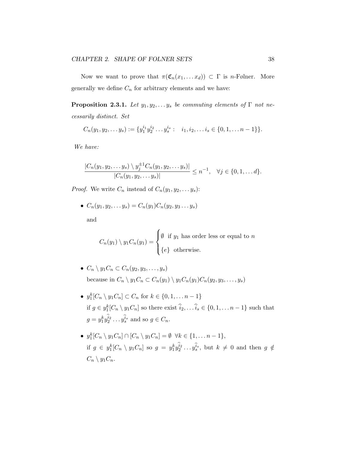Now we want to prove that  $\pi(\mathfrak{C}_n(x_1,...x_d)) \subset \Gamma$  is *n*-Følner. More generally we define  $C_n$  for arbitrary elements and we have:

**Proposition 2.3.1.** Let  $y_1, y_2, \ldots, y_s$  be commuting elements of  $\Gamma$  not necessarily distinct. Set

$$
C_n(y_1, y_2, \ldots y_s) := \{y_1^{i_1} y_2^{i_2} \ldots y_s^{i_s} : i_1, i_2, \ldots i_s \in \{0, 1, \ldots n-1\}\}.
$$

We have:

$$
\frac{|C_n(y_1, y_2, \dots y_s) \setminus y_j^{\pm 1} C_n(y_1, y_2, \dots y_s)|}{|C_n(y_1, y_2, \dots y_s)|} \le n^{-1}, \quad \forall j \in \{0, 1, \dots d\}.
$$

*Proof.* We write  $C_n$  instead of  $C_n(y_1, y_2, \ldots, y_s)$ :

•  $C_n(y_1, y_2, \ldots, y_s) = C_n(y_1)C_n(y_2, y_3 \ldots, y_s)$ 

and

 $C_n(y_1) \setminus y_1C_n(y_1) =$  $\sqrt{ }$  $\int$  $\overline{\mathcal{L}}$  $\emptyset$  if  $y_1$  has order less or equal to n  ${e}$  otherwise.

- $C_n \setminus y_1C_n \subset C_n(y_2, y_3, \ldots, y_s)$ because in  $C_n \setminus y_1C_n \subset C_n(y_1) \setminus y_1C_n(y_1)C_n(y_2, y_3, \ldots, y_s)$
- $y_1^k[C_n \setminus y_1C_n] \subset C_n$  for  $k \in \{0, 1, \ldots n-1\}$ if  $g \in y_1^k[C_n \setminus y_1C_n]$  so there exist  $\hat{i}_2, \dots, \hat{i}_s \in \{0, 1, \dots n-1\}$  such that  $g = y_1^k y_2^{i_2} \dots y_s^{\hat{i}_s}$  and so  $g \in C_n$ .
- $y_1^k[C_n \setminus y_1C_n] \cap [C_n \setminus y_1C_n] = \emptyset \ \forall k \in \{1, \ldots n-1\},\$ if  $g \in y_1^k[C_n \setminus y_1C_n]$  so  $g = y_1^k y_2^{i_2} \dots y_s^{i_s}$ , but  $k \neq 0$  and then  $g \notin$  $C_n \setminus y_1C_n$ .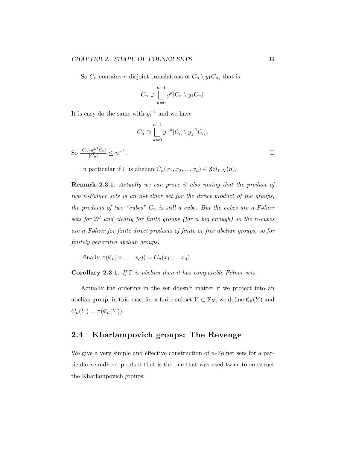So  $C_n$  contains n disjoint translations of  $C_n \setminus y_1C_n$ , that is:

$$
C_n \supset \bigsqcup_{k=0}^{n-1} y^k [C_n \setminus y_1 C_n].
$$

It is easy do the same with  $y_1^{-1}$  and we have

$$
C_n \supset \bigsqcup_{k=0}^{n-1} y^{-k} [C_n \setminus y_1^{-1} C_n].
$$

So  $\frac{|C_n \setminus y_1^{\pm 1} C_n|}{|C_n|} \leq n^{-1}$ . В последните последните последните последните последните последните последните последните последните последн<br>В последните последните последните последните последните последните последните последните последните последнит

In particular if  $\Gamma$  is abelian  $C_n(x_1, x_2, \ldots, x_d) \in \mathfrak{F} \mathfrak{gl}_{\Gamma,X}(n)$ .

Remark 2.3.1. Actually we can prove it also noting that the product of two n-Følner sets is an n-Følner set for the direct product of the groups, the products of two "cubes"  $C_n$  is still a cube. But the cubes are n-Følner sets for  $\mathbb{Z}^d$  and clearly for finite groups (for n big enough) so the n-cubes are n-Følner for finite direct products of finite or free abelian groups, so for finitely generated abelian groups.

Finally  $\pi(\mathfrak{C}_n(x_1,\ldots,x_d))=C_n(x_1,\ldots,x_d).$ 

Corollary 2.3.1. If  $\Gamma$  is abelian then it has computable Følner sets.

Actually the ordering in the set doesn't matter if we project into an abelian group, in this case, for a finite subset  $Y \subset \mathbb{F}_X$ , we define  $\mathfrak{C}_n(Y)$  and  $C_n(Y) = \pi(\mathfrak{C}_n(Y)).$ 

## 2.4 Kharlampovich groups: The Revenge

We give a very simple and effective construction of  $n$ -Følner sets for a particular semidirect product that is the one that was used twice to construct the Kharlampovich groups: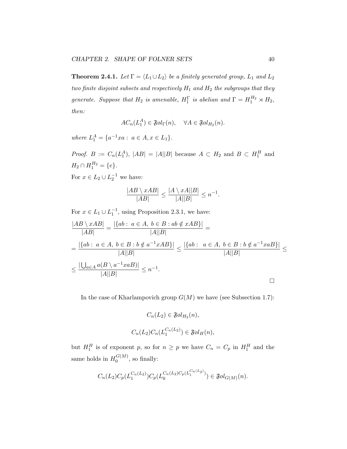**Theorem 2.4.1.** Let  $\Gamma = \langle L_1 \cup L_2 \rangle$  be a finitely generated group,  $L_1$  and  $L_2$ two finite disjoint subsets and respectively  $H_1$  and  $H_2$  the subgroups that they generate. Suppose that  $H_2$  is amenable,  $H_1^{\Gamma}$  is abelian and  $\Gamma = H_1^{H_2} \rtimes H_2$ , then:

$$
AC_n(L_1^A) \in \mathfrak{F}ol_{\Gamma}(n), \quad \forall A \in \mathfrak{F}ol_{H_2}(n).
$$

where  $L_1^A = \{a^{-1}xa : a \in A, x \in L_1\}.$ 

*Proof.*  $B := C_n(L_1^A), |AB| = |A||B|$  because  $A \subset H_2$  and  $B \subset H_1^H$  and  $H_2 \cap H_1^{H_2} = \{e\}.$ 

For  $x \in L_2 \cup L_2^{-1}$  we have:

$$
\frac{|AB \setminus xAB|}{|AB|} \le \frac{|A \setminus xA||B|}{|A||B|} \le n^{-1}.
$$

For  $x \in L_1 \cup L_1^{-1}$ , using Proposition 2.3.1, we have:

$$
\frac{|AB \setminus xAB|}{|AB|} = \frac{|\{ab : a \in A, b \in B : ab \notin xAB\}|}{|A||B|} =
$$
\n
$$
= \frac{|\{ab : a \in A, b \in B : b \notin a^{-1}xAB\}|}{|A||B|} \le \frac{|\{ab : a \in A, b \in B : b \notin a^{-1}xAB\}|}{|A||B|} \le \frac{|\{ab : a \in A, b \in B : b \notin a^{-1}xAB\}|}{|A||B|} \le n^{-1}.
$$

In the case of Kharlampovich group  $G(M)$  we have (see Subsection 1.7):

$$
C_n(L_2) \in \mathfrak{F} \mathfrak{gl}_{H_2}(n),
$$
  

$$
C_n(L_2)C_n(L_1^{C_n(L_2)}) \in \mathfrak{F} \mathfrak{gl}_H(n),
$$

but  $H_1^H$  is of exponent p, so for  $n \geq p$  we have  $C_n = C_p$  in  $H_1^H$  and the same holds in  $H_0^{G(M)}$  $\mathfrak{g}^{(m)}$ , so finally:

$$
C_n(L_2)C_p(L_1^{C_n(L_2)})C_p(L_0^{C_n(L_2)C_p(L_1^{C_n(L_2)})}) \in \mathfrak{F}\mathfrak{gl}_{G(M)}(n).
$$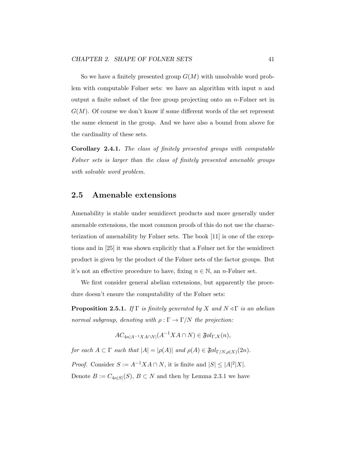So we have a finitely presented group  $G(M)$  with unsolvable word problem with computable Følner sets: we have an algorithm with input  $n$  and output a finite subset of the free group projecting onto an  $n$ -Følner set in  $G(M)$ . Of course we don't know if some different words of the set represent the same element in the group. And we have also a bound from above for the cardinality of these sets.

Corollary 2.4.1. The class of finitely presented groups with computable Følner sets is larger than the class of finitely presented amenable groups with solvable word problem.

## 2.5 Amenable extensions

Amenability is stable under semidirect products and more generally under amenable extensions, the most common proofs of this do not use the characterization of amenability by Følner sets. The book [11] is one of the exceptions and in [25] it was shown explicitly that a Følner net for the semidirect product is given by the product of the Følner nets of the factor groups. But it's not an effective procedure to have, fixing  $n \in \mathbb{N}$ , an n-Følner set.

We first consider general abelian extensions, but apparently the procedure doesn't ensure the computability of the Følner sets:

**Proposition 2.5.1.** If  $\Gamma$  is finitely generated by X and  $N \triangleleft \Gamma$  is an abelian normal subgroup, denoting with  $\rho : \Gamma \to \Gamma/N$  the projection:

$$
AC_{4n|A^{-1}XA\cap N|}(A^{-1}XA\cap N)\in \mathfrak{F}\otimes l_{\Gamma,X}(n),
$$

for each  $A \subset \Gamma$  such that  $|A| = |\rho(A)|$  and  $\rho(A) \in \mathfrak{F}ol_{\Gamma/N, \rho(X)}(2n)$ .

*Proof.* Consider  $S := A^{-1} X A \cap N$ , it is finite and  $|S| \leq |A|^2 |X|$ . Denote  $B := C_{4n|S|}(S)$ ,  $B \subset N$  and then by Lemma 2.3.1 we have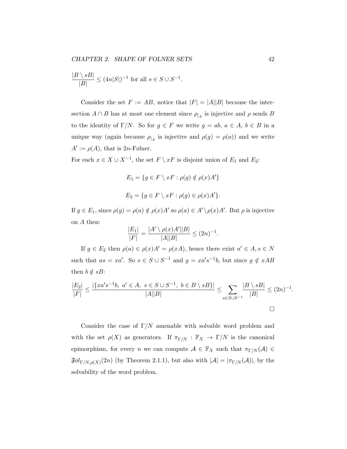$$
\frac{|B\setminus sB|}{|B|}\leq (4n|S|)^{-1}\text{ for all }s\in S\cup S^{-1}.
$$

Consider the set  $F := AB$ , notice that  $|F| = |A||B|$  because the intersection  $A \cap B$  has at most one element since  $\rho_{|A}$  is injective and  $\rho$  sends B to the identity of  $\Gamma/N$ . So for  $g \in F$  we write  $g = ab, a \in A, b \in B$  in a unique way (again because  $\rho_{|A}$  is injective and  $\rho(g) = \rho(a)$ ) and we write  $A' := \rho(A)$ , that is 2n-Følner.

For each  $x \in X \cup X^{-1}$ , the set  $F \setminus xF$  is disjoint union of  $E_1$  and  $E_2$ :

$$
E_1 = \{ g \in F \setminus xF : \rho(g) \notin \rho(x)A' \}
$$
  

$$
E_2 = \{ g \in F \setminus xF : \rho(g) \in \rho(x)A' \}.
$$

If  $g \in E_1$ , since  $\rho(g) = \rho(a) \notin \rho(x)A'$  so  $\rho(a) \in A' \setminus \rho(x)A'$ . But  $\rho$  is injective on A then:

$$
\frac{|E_1|}{|F|} = \frac{|A' \setminus \rho(x)A'||B|}{|A||B|} \le (2n)^{-1}.
$$

If  $g \in E_2$  then  $\rho(a) \in \rho(x)A' = \rho(xA)$ , hence there exist  $a' \in A, s \in N$ such that  $as = xa'$ . So  $s \in S \cup S^{-1}$  and  $g = xa's^{-1}b$ , but since  $g \notin xAB$ then  $b \notin sB$ :

$$
\frac{|E_2|}{|F|} \le \frac{|\{xa's^{-1}b, a' \in A, s \in S \cup S^{-1}, b \in B \setminus sB\}|}{|A||B|} \le \sum_{s \in S \cup S^{-1}} \frac{|B \setminus sB|}{|B|} \le (2n)^{-1}.
$$

Consider the case of  $\Gamma/N$  amenable with solvable word problem and with the set  $\rho(X)$  as generators. If  $\pi_{\Gamma/N} : \mathbb{F}_X \to \Gamma/N$  is the canonical epimorphism, for every n we can compute  $A \in \mathbb{F}_X$  such that  $\pi_{\Gamma/N}(A) \in$  $\mathfrak{F}ol_{\Gamma/N,\rho(X)}(2n)$  (by Theorem 2.1.1), but also with  $|\mathcal{A}| = |\pi_{\Gamma/N}(\mathcal{A})|$ , by the solvability of the word problem.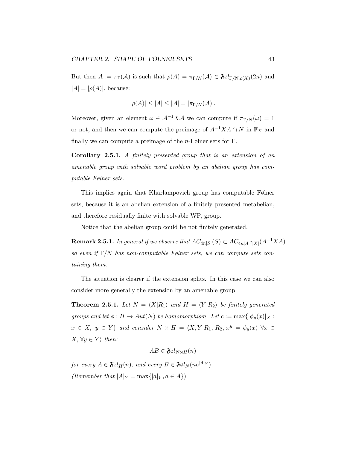But then  $A := \pi_{\Gamma}(\mathcal{A})$  is such that  $\rho(A) = \pi_{\Gamma/N}(\mathcal{A}) \in \mathfrak{F} \mathfrak{gl}_{\Gamma/N, \rho(X)}(2n)$  and  $|A| = |\rho(A)|$ , because:

$$
|\rho(A)| \le |A| \le |\mathcal{A}| = |\pi_{\Gamma/N}(\mathcal{A})|.
$$

Moreover, given an element  $\omega \in \mathcal{A}^{-1}X\mathcal{A}$  we can compute if  $\pi_{\Gamma/N}(\omega) = 1$ or not, and then we can compute the preimage of  $A^{-1}XA \cap N$  in  $\mathbb{F}_X$  and finally we can compute a preimage of the  $n$ -Følner sets for  $\Gamma$ .

Corollary 2.5.1. A finitely presented group that is an extension of an amenable group with solvable word problem by an abelian group has computable Følner sets.

This implies again that Kharlampovich group has computable Følner sets, because it is an abelian extension of a finitely presented metabelian, and therefore residually finite with solvable WP, group.

Notice that the abelian group could be not finitely generated.

**Remark 2.5.1.** In general if we observe that  $AC_{4n|S|}(S) \subset AC_{4n|A|^2|X|}(A^{-1}XA)$ so even if  $\Gamma/N$  has non-computable Følner sets, we can compute sets containing them.

The situation is clearer if the extension splits. In this case we can also consider more generally the extension by an amenable group.

**Theorem 2.5.1.** Let  $N = \langle X | R_1 \rangle$  and  $H = \langle Y | R_2 \rangle$  be finitely generated groups and let  $\phi: H \to Aut(N)$  be homomorphism. Let  $c := \max\{|\phi_y(x)|_X :$  $x \in X$ ,  $y \in Y$  and consider  $N \rtimes H = \langle X, Y | R_1, R_2, x^y = \phi_y(x) \ \forall x \in Y$  $X, \forall y \in Y$  then:

$$
AB \in \mathfrak{F}ol_{N \rtimes H}(n)
$$

for every  $A \in \mathfrak{F}ol_H(n)$ , and every  $B \in \mathfrak{F}ol_N(nc^{|A|_Y})$ . (Remember that  $|A|_Y = \max\{|a|_Y, a \in A\}$ ).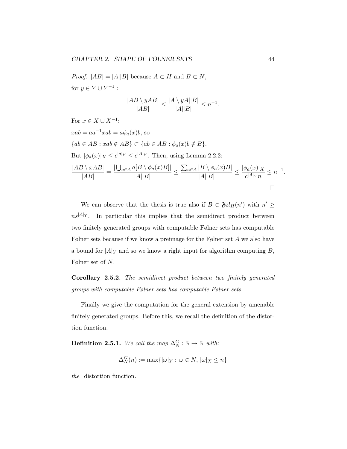*Proof.*  $|AB| = |A||B|$  because  $A \subset H$  and  $B \subset N$ , for  $y \in Y \cup Y^{-1}$  :

$$
\frac{|AB \setminus yAB|}{|AB|} \le \frac{|A \setminus yA||B|}{|A||B|} \le n^{-1}.
$$

For 
$$
x \in X \cup X^{-1}
$$
:  
\n $xab = aa^{-1}xab = a\phi_a(x)b$ , so  
\n $\{ab \in AB : xab \notin AB\} \subset \{ab \in AB : \phi_a(x)b \notin B\}$ .  
\nBut  $|\phi_a(x)|_X \le c^{|a|_Y} \le c^{|A|_Y}$ . Then, using Lemma 2.2.2:  
\n
$$
\frac{|AB \setminus xAB|}{|AB|} = \frac{|\bigcup_{a \in A} a[B \setminus \phi_a(x)B]|}{|A||B|} \le \frac{\sum_{a \in A} |B \setminus \phi_a(x)B|}{|A||B|} \le \frac{|\phi_a(x)|_X}{c^{|A|_Y}n} \le n^{-1}
$$

We can observe that the thesis is true also if  $B \in \mathfrak{F}ol_H(n')$  with  $n' \geq$  $n s^{|A|_Y}$ . In particular this implies that the semidirect product between two finitely generated groups with computable Følner sets has computable Følner sets because if we know a preimage for the Følner set A we also have a bound for  $|A|_Y$  and so we know a right input for algorithm computing B, Følner set of N.

Corollary 2.5.2. The semidirect product between two finitely generated groups with computable Følner sets has computable Følner sets.

Finally we give the computation for the general extension by amenable finitely generated groups. Before this, we recall the definition of the distortion function.

**Definition 2.5.1.** We call the map  $\Delta_N^G : \mathbb{N} \to \mathbb{N}$  with:

$$
\Delta_N^G(n) := \max\{|\omega|_Y : \omega \in N, |\omega|_X \le n\}
$$

the distortion function.

.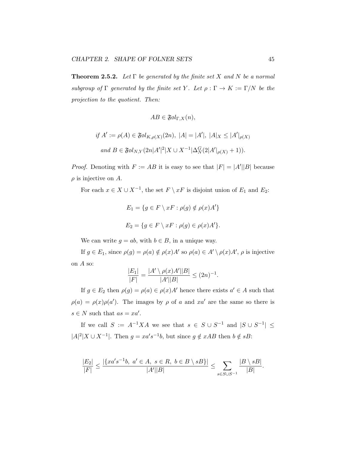**Theorem 2.5.2.** Let  $\Gamma$  be generated by the finite set X and N be a normal subgroup of  $\Gamma$  generated by the finite set Y. Let  $\rho : \Gamma \to K := \Gamma/N$  be the projection to the quotient. Then:

$$
AB \in \mathfrak{F}\mathfrak{gl}_{\Gamma,X}(n),
$$
  

$$
if A' := \rho(A) \in \mathfrak{F}\mathfrak{gl}_{K,\rho(X)}(2n), |A| = |A'|, |A|_X \le |A'|_{\rho(X)}
$$
  

$$
and B \in \mathfrak{F}\mathfrak{gl}_{N,Y}(2n|A'|^2|X \cup X^{-1}|\Delta_N^G(2|A'|_{\rho(X)} + 1)).
$$

*Proof.* Denoting with  $F := AB$  it is easy to see that  $|F| = |A'||B|$  because  $\rho$  is injective on A.

For each  $x \in X \cup X^{-1}$ , the set  $F \setminus xF$  is disjoint union of  $E_1$  and  $E_2$ :

$$
E_1 = \{ g \in F \setminus xF : \rho(g) \notin \rho(x)A' \}
$$
  

$$
E_2 = \{ g \in F \setminus xF : \rho(g) \in \rho(x)A' \}.
$$

We can write  $g = ab$ , with  $b \in B$ , in a unique way.

If  $g \in E_1$ , since  $\rho(g) = \rho(a) \notin \rho(x)A'$  so  $\rho(a) \in A' \setminus \rho(x)A'$ ,  $\rho$  is injective on A so:

$$
\frac{|E_1|}{|F|} = \frac{|A' \setminus \rho(x)A'||B|}{|A'||B|} \le (2n)^{-1}.
$$

If  $g \in E_2$  then  $\rho(g) = \rho(a) \in \rho(x)A'$  hence there exists  $a' \in A$  such that  $\rho(a) = \rho(x)\rho(a')$ . The images by  $\rho$  of a and  $xa'$  are the same so there is  $s \in N$  such that  $as = xa'.$ 

If we call  $S := A^{-1}XA$  we see that  $s \in S \cup S^{-1}$  and  $|S \cup S^{-1}| \leq$  $|A|^2|X \cup X^{-1}|$ . Then  $g = xa's^{-1}b$ , but since  $g \notin xAB$  then  $b \notin sB$ :

$$
\frac{|E_2|}{|F|} \le \frac{|\{xa's^{-1}b, a' \in A, s \in R, b \in B \setminus sB\}|}{|A'||B|} \le \sum_{s \in S \cup S^{-1}} \frac{|B \setminus sB|}{|B|}.
$$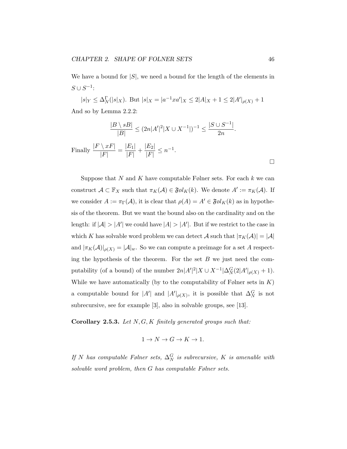We have a bound for  $|S|$ , we need a bound for the length of the elements in  $S \cup S^{-1}$ :

 $|s|_Y \leq \Delta^{\Gamma}_N(|s|_X)$ . But  $|s|_X = |a^{-1}xa'|_X \leq 2|A|_X + 1 \leq 2|A'|_{\rho(X)} + 1$ And so by Lemma 2.2.2:

$$
\frac{|B \setminus sB|}{|B|} \le (2n|A'|^2|X \cup X^{-1}|)^{-1} \le \frac{|S \cup S^{-1}|}{2n}.
$$
  
Finally 
$$
\frac{|F \setminus xF|}{|F|} = \frac{|E_1|}{|F|} + \frac{|E_2|}{|F|} \le n^{-1}.
$$

Suppose that N and K have computable Følner sets. For each  $k$  we can construct  $\mathcal{A} \subset \mathbb{F}_X$  such that  $\pi_K(\mathcal{A}) \in \mathfrak{F} \otimes l_K(k)$ . We denote  $A' := \pi_K(\mathcal{A})$ . If we consider  $A := \pi_{\Gamma}(\mathcal{A})$ , it is clear that  $\rho(A) = A' \in \mathfrak{F} \mathfrak{gl}_K(k)$  as in hypothesis of the theorem. But we want the bound also on the cardinality and on the length: if  $|A| > |A'|$  we could have  $|A| > |A'|$ . But if we restrict to the case in which K has solvable word problem we can detect  $\mathcal A$  such that  $|\pi_K(\mathcal A)| = |\mathcal A|$ and  $|\pi_K(\mathcal{A})|_{\rho(X)} = |\mathcal{A}|_w$ . So we can compute a preimage for a set A respecting the hypothesis of the theorem. For the set  $B$  we just need the computability (of a bound) of the number  $2n|A'|^2|X \cup X^{-1}|\Delta_N^G(2|A'|_{\rho(X)}+1)$ . While we have automatically (by to the computability of Følner sets in  $K$ ) a computable bound for  $|A'|$  and  $|A'|_{\rho(X)}$ , it is possible that  $\Delta_N^G$  is not subrecursive, see for example [3], also in solvable groups, see [13].

Corollary 2.5.3. Let  $N, G, K$  finitely generated groups such that:

$$
1\rightarrow N\rightarrow G\rightarrow K\rightarrow 1.
$$

If N has computable Følner sets,  $\Delta_N^G$  is subrecursive, K is amenable with solvable word problem, then G has computable Følner sets.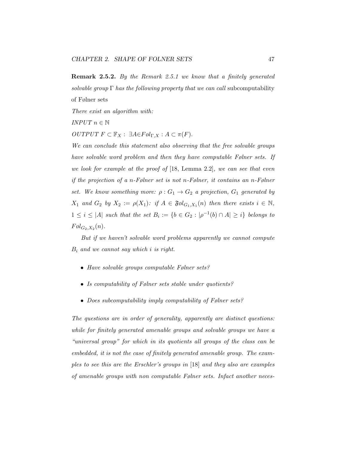Remark 2.5.2. By the Remark 2.5.1 we know that a finitely generated solvable group  $\Gamma$  has the following property that we can call subcomputability of Følner sets

There exist an algorithm with:

INPUT  $n \in \mathbb{N}$ 

OUTPUT  $F \subset \mathbb{F}_X$ :  $\exists A \in F \mathfrak{gl}_{\Gamma,X}$ :  $A \subset \pi(F)$ .

We can conclude this statement also observing that the free solvable groups have solvable word problem and then they have computable Følner sets. If we look for example at the proof of  $[18, \text{ Lemma } 2.2]$ , we can see that even if the projection of a n-Følner set is not n-Følner, it contains an n-Følner set. We know something more:  $\rho: G_1 \to G_2$  a projection,  $G_1$  generated by  $X_1$  and  $G_2$  by  $X_2 := \rho(X_1)$ : if  $A \in \mathfrak{F}ol_{G_1,X_1}(n)$  then there exists  $i \in \mathbb{N}$ ,  $1 \leq i \leq |A|$  such that the set  $B_i := \{b \in G_2 : |\rho^{-1}(b) \cap A| \geq i\}$  belongs to  $F \& d_{G_2,X_2}(n)$ .

But if we haven't solvable word problems apparently we cannot compute  $B_i$  and we cannot say which i is right.

- Have solvable groups computable Følner sets?
- Is computability of Følner sets stable under quotients?
- Does subcomputability imply computability of Følner sets?

The questions are in order of generality, apparently are distinct questions: while for finitely generated amenable groups and solvable groups we have a "universal group" for which in its quotients all groups of the class can be embedded, it is not the case of finitely generated amenable group. The examples to see this are the Erschler's groups in [18] and they also are examples of amenable groups with non computable Følner sets. Infact another neces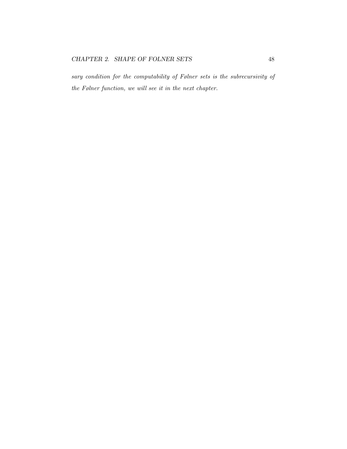sary condition for the computability of Følner sets is the subrecursivity of the Følner function, we will see it in the next chapter.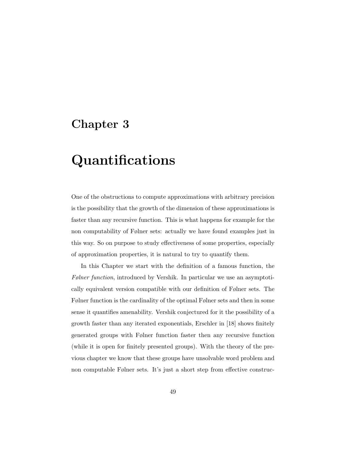## Chapter 3

# Quantifications

One of the obstructions to compute approximations with arbitrary precision is the possibility that the growth of the dimension of these approximations is faster than any recursive function. This is what happens for example for the non computability of Følner sets: actually we have found examples just in this way. So on purpose to study effectiveness of some properties, especially of approximation properties, it is natural to try to quantify them.

In this Chapter we start with the definition of a famous function, the Følner function, introduced by Vershik. In particular we use an asymptotically equivalent version compatible with our definition of Følner sets. The Følner function is the cardinality of the optimal Følner sets and then in some sense it quantifies amenability. Vershik conjectured for it the possibility of a growth faster than any iterated exponentials, Erschler in [18] shows finitely generated groups with Følner function faster then any recursive function (while it is open for finitely presented groups). With the theory of the previous chapter we know that these groups have unsolvable word problem and non computable Følner sets. It's just a short step from effective construc-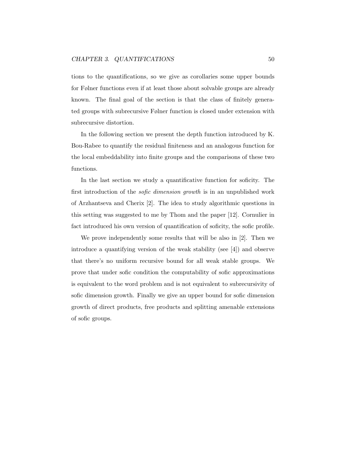tions to the quantifications, so we give as corollaries some upper bounds for Følner functions even if at least those about solvable groups are already known. The final goal of the section is that the class of finitely generated groups with subrecursive Følner function is closed under extension with subrecursive distortion.

In the following section we present the depth function introduced by K. Bou-Rabee to quantify the residual finiteness and an analogous function for the local embeddability into finite groups and the comparisons of these two functions.

In the last section we study a quantificative function for soficity. The first introduction of the sofic dimension growth is in an unpublished work of Arzhantseva and Cherix [2]. The idea to study algorithmic questions in this setting was suggested to me by Thom and the paper [12]. Cornulier in fact introduced his own version of quantification of soficity, the sofic profile.

We prove independently some results that will be also in [2]. Then we introduce a quantifying version of the weak stability (see [4]) and observe that there's no uniform recursive bound for all weak stable groups. We prove that under sofic condition the computability of sofic approximations is equivalent to the word problem and is not equivalent to subrecursivity of sofic dimension growth. Finally we give an upper bound for sofic dimension growth of direct products, free products and splitting amenable extensions of sofic groups.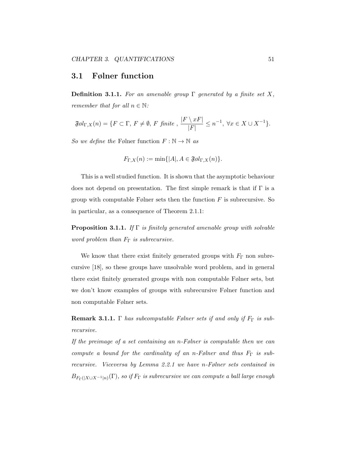## 3.1 Følner function

**Definition 3.1.1.** For an amenable group  $\Gamma$  generated by a finite set X, remember that for all  $n \in \mathbb{N}$ :

$$
\mathfrak{F}ol_{\Gamma,X}(n) = \{ F \subset \Gamma, F \neq \emptyset, F \text{ finite }, \frac{|F \setminus xF|}{|F|} \leq n^{-1}, \ \forall x \in X \cup X^{-1} \}.
$$

So we define the Følner function  $F : \mathbb{N} \to \mathbb{N}$  as

$$
F_{\Gamma,X}(n) := \min\{|A|, A \in \mathfrak{F} \mathfrak{gl}_{\Gamma,X}(n)\}.
$$

This is a well studied function. It is shown that the asymptotic behaviour does not depend on presentation. The first simple remark is that if  $\Gamma$  is a group with computable Følner sets then the function  $F$  is subrecursive. So in particular, as a consequence of Theorem 2.1.1:

**Proposition 3.1.1.** If  $\Gamma$  is finitely generated amenable group with solvable word problem than  $F_{\Gamma}$  is subrecursive.

We know that there exist finitely generated groups with  $F_{\Gamma}$  non subrecursive [18], so these groups have unsolvable word problem, and in general there exist finitely generated groups with non computable Følner sets, but we don't know examples of groups with subrecursive Følner function and non computable Følner sets.

**Remark 3.1.1.** Γ has subcomputable Følner sets if and only if  $F_{\Gamma}$  is subrecursive.

If the preimage of a set containing an n-Følner is computable then we can compute a bound for the cardinality of an n-Følner and thus  $F_{\Gamma}$  is subrecursive. Viceversa by Lemma 2.2.1 we have n-Følner sets contained in  $B_{F_\Gamma\left(\vert X\cup X^{-1}\vert n\right)}(\Gamma),$  so if  $F_\Gamma$  is subrecursive we can compute a ball large enough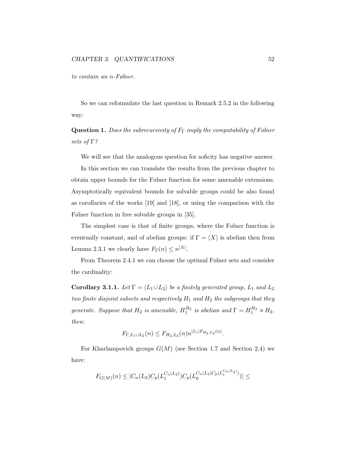to contain an n-Følner.

So we can reformulate the last question in Remark 2.5.2 in the following way:

**Question 1.** Does the subrecursivity of  $F_{\Gamma}$  imply the computability of Følner sets of Γ?

We will see that the analogous question for soficity has negative answer.

In this section we can translate the results from the previous chapter to obtain upper bounds for the Følner function for some amenable extensions. Asymptotically equivalent bounds for solvable groups could be also found as corollaries of the works [19] and [18], or using the comparison with the Følner function in free solvable groups in [35].

The simplest case is that of finite groups, where the Følner function is eventually constant, and of abelian groups: if  $\Gamma = \langle X \rangle$  is abelian then from Lemma 2.3.1 we clearly have  $F_{\Gamma}(n) \leq n^{|X|}$ .

From Theorem 2.4.1 we can choose the optimal Følner sets and consider the cardinality:

**Corollary 3.1.1.** Let  $\Gamma = \langle L_1 \cup L_2 \rangle$  be a finitely generated group,  $L_1$  and  $L_2$ two finite disjoint subsets and respectively  $H_1$  and  $H_2$  the subgroups that they generate. Suppose that  $H_2$  is amenable,  $H_1^{H_2}$  is abelian and  $\Gamma = H_1^{H_2} \rtimes H_2$ , then:

$$
F_{\Gamma,L_1\cup L_2}(n) \le F_{H_2,L_2}(n) n^{|L_1|F_{H_2,L_2}(n)}.
$$

For Kharlampovich groups  $G(M)$  (see Section 1.7 and Section 2.4) we have:

$$
F_{G(M)}(n) \leq |C_n(L_2)C_p(L_1^{C_n(L_2)})C_p(L_0^{C_n(L_2)C_p(L_1^{C_n(L_2)})})| \leq
$$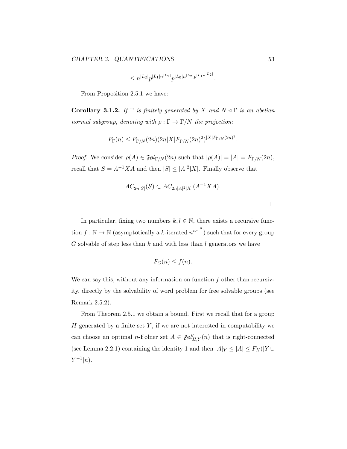$$
\leq n^{|L_2|}p^{|L_1|n^{|L_2|}}p^{|L_0|n^{|L_2|}}p^{|L_1n^{|L_2|}}.
$$

From Proposition 2.5.1 we have:

Corollary 3.1.2. If  $\Gamma$  is finitely generated by X and  $N \triangleleft \Gamma$  is an abelian normal subgroup, denoting with  $\rho : \Gamma \to \Gamma/N$  the projection:

$$
F_{\Gamma}(n) \leq F_{\Gamma/N}(2n)(2n|X|F_{\Gamma/N}(2n)^2)^{|X|F_{\Gamma/N}(2n)^2}.
$$

*Proof.* We consider  $\rho(A) \in \mathfrak{F}ol_{\Gamma/N}(2n)$  such that  $|\rho(A)| = |A| = F_{\Gamma/N}(2n)$ , recall that  $S = A^{-1}XA$  and then  $|S| \leq |A|^2|X|$ . Finally observe that

$$
AC_{2n|S|}(S) \subset AC_{2n|A|^{2}|X|}(A^{-1}XA).
$$

In particular, fixing two numbers  $k, l \in \mathbb{N}$ , there exists a recursive function  $f : \mathbb{N} \to \mathbb{N}$  (asymptotically a k-iterated  $n^{n^{...n}}$ ) such that for every group G solvable of step less than k and with less than l generators we have

$$
F_G(n) \le f(n).
$$

We can say this, without any information on function  $f$  other than recursivity, directly by the solvability of word problem for free solvable groups (see Remark 2.5.2).

From Theorem 2.5.1 we obtain a bound. First we recall that for a group  $H$  generated by a finite set  $Y$ , if we are not interested in computability we can choose an optimal *n*-Følner set  $A \in \mathfrak{F}ol'_{H,Y}(n)$  that is right-connected (see Lemma 2.2.1) containing the identity 1 and then  $|A|_Y \leq |A| \leq F_H(|Y \cup Y|)$  $Y^{-1}|n$ .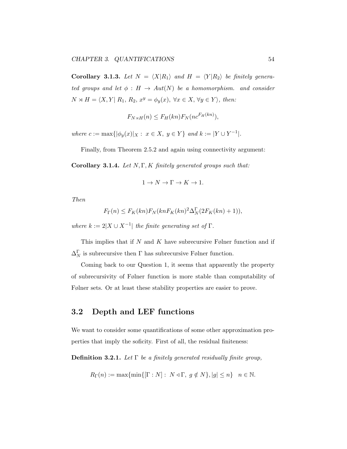Corollary 3.1.3. Let  $N = \langle X | R_1 \rangle$  and  $H = \langle Y | R_2 \rangle$  be finitely generated groups and let  $\phi : H \to Aut(N)$  be a homomorphism. and consider  $N \rtimes H = \langle X, Y | R_1, R_2, x^y = \phi_y(x), \ \forall x \in X, \ \forall y \in Y \rangle$ , then:

$$
F_{N\rtimes H}(n) \le F_H(kn) F_N(n c^{F_H(kn)}),
$$

where  $c := \max\{|\phi_y(x)|_X : x \in X, y \in Y\}$  and  $k := |Y \cup Y^{-1}|$ .

Finally, from Theorem 2.5.2 and again using connectivity argument:

Corollary 3.1.4. Let  $N, \Gamma, K$  finitely generated groups such that:

$$
1\rightarrow N\rightarrow \Gamma\rightarrow K\rightarrow 1.
$$

Then

$$
F_{\Gamma}(n) \le F_K(kn) F_N(kn F_K(kn)^2 \Delta_N^{\Gamma}(2F_K(kn) + 1)),
$$

where  $k := 2|X \cup X^{-1}|$  the finite generating set of  $\Gamma$ .

This implies that if  $N$  and  $K$  have subrecursive Følner function and if  $\Delta_N^{\Gamma}$  is subrecursive then  $\Gamma$  has subrecursive Følner function.

Coming back to our Question 1, it seems that apparently the property of subrecursivity of Følner function is more stable than computability of Følner sets. Or at least these stability properties are easier to prove.

## 3.2 Depth and LEF functions

We want to consider some quantifications of some other approximation properties that imply the soficity. First of all, the residual finiteness:

**Definition 3.2.1.** Let  $\Gamma$  be a finitely generated residually finite group,

 $R_{\Gamma}(n) := \max\{\min\{[\Gamma : N] : N \triangleleft \Gamma, g \notin N\}, |g| \leq n\} \quad n \in \mathbb{N}.$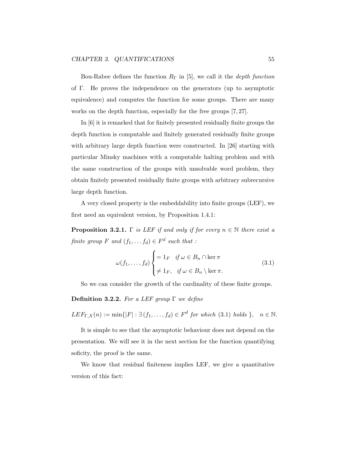Bou-Rabee defines the function  $R_{\Gamma}$  in [5], we call it the *depth function* of Γ. He proves the independence on the generators (up to asymptotic equivalence) and computes the function for some groups. There are many works on the depth function, especially for the free groups [7, 27].

In [6] it is remarked that for finitely presented residually finite groups the depth function is computable and finitely generated residually finite groups with arbitrary large depth function were constructed. In [26] starting with particular Minsky machines with a computable halting problem and with the same construction of the groups with unsolvable word problem, they obtain finitely presented residually finite groups with arbitrary subrecursive large depth function.

A very closed property is the embeddability into finite groups (LEF), we first need an equivalent version, by Proposition 1.4.1:

**Proposition 3.2.1.** Γ is LEF if and only if for every  $n \in \mathbb{N}$  there exist a finite group F and  $(f_1, \ldots, f_d) \in F^d$  such that :

$$
\omega(f_1, \dots, f_d) \begin{cases} = 1_F & \text{if } \omega \in B_n \cap \ker \pi \\ \neq 1_F, & \text{if } \omega \in B_n \setminus \ker \pi. \end{cases} \tag{3.1}
$$

So we can consider the growth of the cardinality of these finite groups.

Definition 3.2.2. For a LEF group  $\Gamma$  we define

 $LEF_{\Gamma,X}(n) := \min\{|F| : \exists (f_1,\ldots,f_d) \in F^d \text{ for which (3.1) holds } \}, \quad n \in \mathbb{N}.$ 

It is simple to see that the asymptotic behaviour does not depend on the presentation. We will see it in the next section for the function quantifying soficity, the proof is the same.

We know that residual finiteness implies LEF, we give a quantitative version of this fact: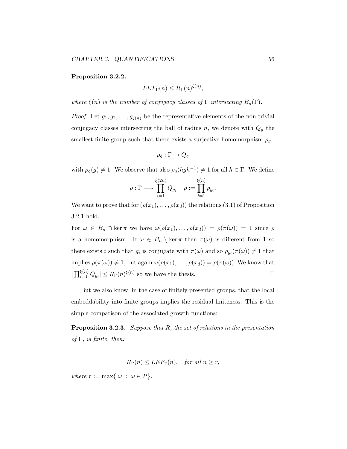#### Proposition 3.2.2.

$$
LEF_{\Gamma}(n) \le R_{\Gamma}(n)^{\xi(n)},
$$

where  $\xi(n)$  is the number of conjugacy classes of  $\Gamma$  intersecting  $B_n(\Gamma)$ .

*Proof.* Let  $g_1, g_2, \ldots, g_{\xi(n)}$  be the representative elements of the non trivial conjugacy classes intersecting the ball of radius  $n$ , we denote with  $Q_g$  the smallest finite group such that there exists a surjective homomorphism  $\rho_g$ :

$$
\rho_g : \Gamma \to Q_g
$$

with  $\rho_g(g) \neq 1$ . We observe that also  $\rho_g(hgh^{-1}) \neq 1$  for all  $h \in \Gamma$ . We define

$$
\rho : \Gamma \longrightarrow \prod_{i=1}^{\xi(2n)} Q_{g_i} \quad \rho := \prod_{i=1}^{\xi(n)} \rho_{g_i}.
$$

We want to prove that for  $(\rho(x_1), \ldots, \rho(x_d))$  the relations (3.1) of Proposition 3.2.1 hold.

For  $\omega \in B_n \cap \ker \pi$  we have  $\omega(\rho(x_1), \ldots, \rho(x_d)) = \rho(\pi(\omega)) = 1$  since  $\rho$ is a homomorphism. If  $\omega \in B_n \setminus \ker \pi$  then  $\pi(\omega)$  is different from 1 so there exists *i* such that  $g_i$  is conjugate with  $\pi(\omega)$  and so  $\rho_{g_i}(\pi(\omega)) \neq 1$  that implies  $\rho(\pi(\omega)) \neq 1$ , but again  $\omega(\rho(x_1), \ldots, \rho(x_d)) = \rho(\pi(\omega))$ . We know that  $|\prod_{i=1}^{\xi(n)} Q_{g_i}| \le R_{\Gamma}(n)^{\xi(n)}$  so we have the thesis.

But we also know, in the case of finitely presented groups, that the local embeddability into finite groups implies the residual finiteness. This is the simple comparison of the associated growth functions:

**Proposition 3.2.3.** Suppose that  $R$ , the set of relations in the presentation of  $\Gamma$ , is finite, then:

$$
R_{\Gamma}(n) \leq LEF_{\Gamma}(n), \quad \text{for all } n \geq r,
$$

where  $r := \max\{|\omega| : \omega \in R\}.$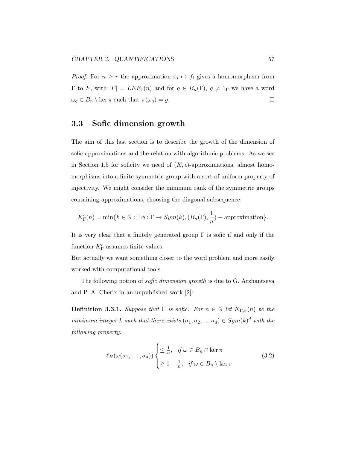*Proof.* For  $n \geq r$  the approximation  $x_i \mapsto f_i$  gives a homomorphism from  $\Gamma$  to F, with  $|F| = LEF_{\Gamma}(n)$  and for  $g \in B_n(\Gamma)$ ,  $g \neq 1_{\Gamma}$  we have a word  $\omega_g \in B_n \setminus \ker \pi$  such that  $\pi(\omega_g) = g$ .

## 3.3 Sofic dimension growth

The aim of this last section is to describe the growth of the dimension of sofic approximations and the relation with algorithmic problems. As we see in Section 1.5 for soficity we need of  $(K, \epsilon)$ -approximations, almost homomorphisms into a finite symmetric group with a sort of uniform property of injectivity. We might consider the minimum rank of the symmetric groups containing approximations, choosing the diagonal subsequence:

$$
K'_{\Gamma}(n) = \min\{k \in \mathbb{N} : \exists \phi : \Gamma \to Sym(k), (B_n(\Gamma), \frac{1}{n}) - \text{approximation}\}.
$$

It is very clear that a finitely generated group Γ is sofic if and only if the function  $K'_{\Gamma}$  assumes finite values.

But actually we want something closer to the word problem and more easily worked with computational tools.

The following notion of *sofic dimension growth* is due to G. Arzhantseva and P. A. Cherix in an unpublished work [2]:

**Definition 3.3.1.** Suppose that  $\Gamma$  is sofic. For  $n \in \mathbb{N}$  let  $K_{\Gamma,\pi}(n)$  be the minimum integer k such that there exists  $(\sigma_1, \sigma_2, \dots \sigma_d) \in Sym(k)^d$  with the following property:

$$
\ell_H(\omega(\sigma_1,\ldots,\sigma_d))\begin{cases} \leq \frac{1}{n}, & \text{if } \omega \in B_n \cap \ker \pi \\ \geq 1 - \frac{1}{n}, & \text{if } \omega \in B_n \setminus \ker \pi \end{cases} \tag{3.2}
$$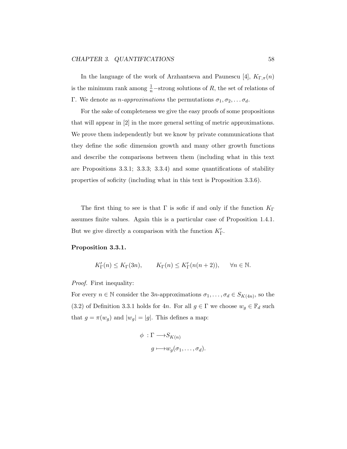In the language of the work of Arzhantseva and Paunescu [4],  $K_{\Gamma,\pi}(n)$ is the minimum rank among  $\frac{1}{n}$ -strong solutions of R, the set of relations of Γ. We denote as *n*-approximations the permutations  $\sigma_1, \sigma_2, \ldots, \sigma_d$ .

For the sake of completeness we give the easy proofs of some propositions that will appear in [2] in the more general setting of metric approximations. We prove them independently but we know by private communications that they define the sofic dimension growth and many other growth functions and describe the comparisons between them (including what in this text are Propositions 3.3.1; 3.3.3; 3.3.4) and some quantifications of stability properties of soficity (including what in this text is Proposition 3.3.6).

The first thing to see is that  $\Gamma$  is sofic if and only if the function  $K_{\Gamma}$ assumes finite values. Again this is a particular case of Proposition 1.4.1. But we give directly a comparison with the function  $K'_{\Gamma}$ .

#### Proposition 3.3.1.

$$
K'_{\Gamma}(n) \le K_{\Gamma}(3n), \qquad K_{\Gamma}(n) \le K'_{\Gamma}(n(n+2)), \qquad \forall n \in \mathbb{N}.
$$

Proof. First inequality:

For every  $n \in \mathbb{N}$  consider the 3n-approximations  $\sigma_1, \ldots, \sigma_d \in S_{K(4n)}$ , so the (3.2) of Definition 3.3.1 holds for 4n. For all  $g \in \Gamma$  we choose  $w_g \in \mathbb{F}_d$  such that  $g = \pi(w_g)$  and  $|w_g| = |g|$ . This defines a map:

$$
\phi \,:\Gamma \longrightarrow S_{K(n)}
$$
\n
$$
g \longmapsto w_g(\sigma_1,\ldots,\sigma_d).
$$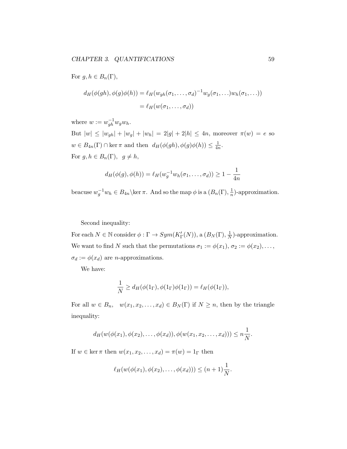For  $g, h \in B_n(\Gamma)$ ,

$$
d_H(\phi(gh), \phi(g)\phi(h)) = \ell_H(w_{gh}(\sigma_1, \dots, \sigma_d)^{-1} w_g(\sigma_1, \dots) w_h(\sigma_1, \dots))
$$
  
=  $\ell_H(w(\sigma_1, \dots, \sigma_d))$ 

where  $w := w_{gh}^{-1} w_g w_h$ .

But  $|w| \le |w_{gh}| + |w_g| + |w_h| = 2|g| + 2|h| \le 4n$ , moreover  $\pi(w) = e$  so  $w \in B_{4n}(\Gamma) \cap \ker \pi$  and then  $d_H(\phi(gh), \phi(g)\phi(h)) \leq \frac{1}{4n}$  $\frac{1}{4n}$ . For  $g, h \in B_n(\Gamma)$ ,  $g \neq h$ ,

$$
d_H(\phi(g), \phi(h)) = \ell_H(w_g^{-1}w_h(\sigma_1, \dots, \sigma_d)) \ge 1 - \frac{1}{4n}
$$

beacuse  $w_g^{-1}w_h \in B_{4n}$  \ker  $\pi$ . And so the map  $\phi$  is a  $(B_n(\Gamma), \frac{1}{n})$  $\frac{1}{n}$ )-approximation.

Second inequality:

For each  $N \in \mathbb{N}$  consider  $\phi : \Gamma \to Sym(K'_{\Gamma}(N))$ , a  $(B_N(\Gamma), \frac{1}{N})$  $\frac{1}{N}$ )-approximation. We want to find N such that the permutations  $\sigma_1 := \phi(x_1), \sigma_2 := \phi(x_2), \ldots$ ,  $\sigma_d := \phi(x_d)$  are *n*-approximations.

We have:

$$
\frac{1}{N} \ge d_H(\phi(1_\Gamma), \phi(1_\Gamma)\phi(1_\Gamma)) = \ell_H(\phi(1_\Gamma)),
$$

For all  $w \in B_n$ ,  $w(x_1, x_2, \ldots, x_d) \in B_N(\Gamma)$  if  $N \geq n$ , then by the triangle inequality:

$$
d_H(w(\phi(x_1), \phi(x_2), \ldots, \phi(x_d)), \phi(w(x_1, x_2, \ldots, x_d))) \leq n \frac{1}{N}.
$$

If  $w \in \ker \pi$  then  $w(x_1, x_2, \ldots, x_d) = \pi(w) = 1_\Gamma$  then

$$
\ell_H(w(\phi(x_1), \phi(x_2), \ldots, \phi(x_d))) \leq (n+1)\frac{1}{N}.
$$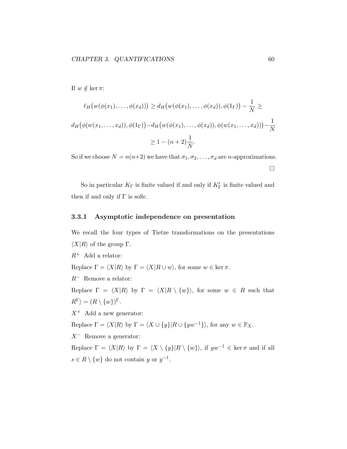If  $w \notin \ker \pi$ :

$$
\ell_H\big(w(\phi(x_1),\ldots,\phi(x_d))\big) \ge d_H\big(w(\phi(x_1),\ldots,\phi(x_d)),\phi(1_\Gamma)\big) - \frac{1}{N} \ge
$$
  

$$
d_H\big(\phi(w(x_1,\ldots,x_d)),\phi(1_\Gamma)\big) - d_H\big(w(\phi(x_1),\ldots,\phi(x_d)),\phi(w(x_1,\ldots,x_d))\big) - \frac{1}{N}
$$
  

$$
\ge 1 - (n+2)\frac{1}{N}.
$$

So if we choose  $N = n(n+2)$  we have that  $\sigma_1, \sigma_2, \ldots, \sigma_d$  are *n*-approximations.  $\Box$ 

So in particular  $K_{\Gamma}$  is finite valued if and only if  $K'_{\Gamma}$  is finite valued and then if and only if  $\Gamma$  is sofic.

#### 3.3.1 Asymptotic independence on presentation

We recall the four types of Tietze transformations on the presentations  $\langle X|R\rangle$  of the group Γ.

 $R^+$  Add a relator:

Replace  $\Gamma = \langle X|R \rangle$  by  $\Gamma = \langle X|R \cup w \rangle$ , for some  $w \in \text{ker } \pi$ .

 $R^-$  Remove a relator:

Replace  $\Gamma = \langle X|R \rangle$  by  $\Gamma = \langle X|R \setminus \{w\} \rangle$ , for some  $w \in R$  such that  $R^{\Gamma}$  $\rangle = (R \setminus \{w\})^{\Gamma}.$ 

 $X^+$  Add a new generator:

Replace  $\Gamma = \langle X|R\rangle$  by  $\Gamma = \langle X \cup \{y\}|R \cup \{yw^{-1}\}\rangle$ , for any  $w \in \mathbb{F}_X$ .

 $X^-$  Remove a generator:

Replace  $\Gamma = \langle X|R \rangle$  by  $\Gamma = \langle X \setminus \{y\}|R \setminus \{w\} \rangle$ , if  $yw^{-1} \in \text{ker } \pi$  and if all  $s \in R \setminus \{w\}$  do not contain y or  $y^{-1}$ .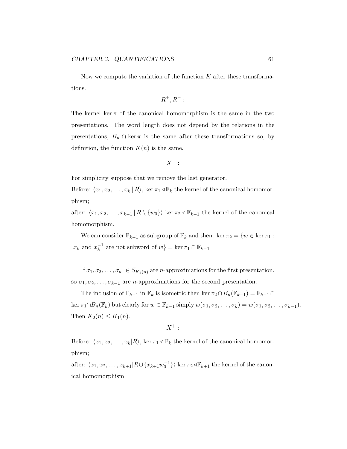Now we compute the variation of the function  $K$  after these transformations.

$$
R^+, R^-:
$$

The kernel ker  $\pi$  of the canonical homomorphism is the same in the two presentations. The word length does not depend by the relations in the presentations,  $B_n \cap \text{ker } \pi$  is the same after these transformations so, by definition, the function  $K(n)$  is the same.

$$
X^-:
$$

For simplicity suppose that we remove the last generator.

Before:  $\langle x_1, x_2, \ldots, x_k | R \rangle$ , ker  $\pi_1 \triangleleft \mathbb{F}_k$  the kernel of the canonical homomorphism;

after:  $\langle x_1, x_2, \ldots, x_{k-1} | R \setminus \{w_0\} \rangle$  ker  $\pi_2 \triangleleft \mathbb{F}_{k-1}$  the kernel of the canonical homomorphism.

We can consider  $\mathbb{F}_{k-1}$  as subgroup of  $\mathbb{F}_k$  and then: ker  $\pi_2 = \{w \in \ker \pi_1 :$  $x_k$  and  $x_k^{-1}$  $k_k^{-1}$  are not subword of  $w$ } = ker  $\pi_1 \cap \mathbb{F}_{k-1}$ 

If  $\sigma_1, \sigma_2, \ldots, \sigma_k \in S_{K_1(n)}$  are *n*-approximations for the first presentation, so  $\sigma_1, \sigma_2, \ldots, \sigma_{k-1}$  are *n*-approximations for the second presentation.

The inclusion of  $\mathbb{F}_{k-1}$  in  $\mathbb{F}_k$  is isometric then ker  $\pi_2 \cap B_n(\mathbb{F}_{k-1}) = \mathbb{F}_{k-1} \cap$ ker  $\pi_1 \cap B_n(\mathbb{F}_k)$  but clearly for  $w \in \mathbb{F}_{k-1}$  simply  $w(\sigma_1, \sigma_2, \ldots, \sigma_k) = w(\sigma_1, \sigma_2, \ldots, \sigma_{k-1}).$ Then  $K_2(n) \leq K_1(n)$ .

$$
X^+:
$$

Before:  $\langle x_1, x_2, \ldots, x_k|R \rangle$ , ker  $\pi_1 \triangleleft \mathbb{F}_k$  the kernel of the canonical homomorphism;

after:  $\langle x_1, x_2, \ldots, x_{k+1}| R \cup \{x_{k+1}w_0^{-1}\}\rangle$  ker  $\pi_2 \triangleleft \mathbb{F}_{k+1}$  the kernel of the canonical homomorphism.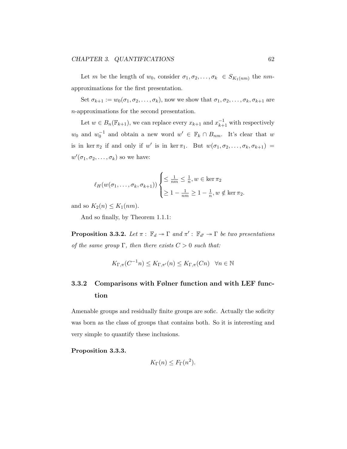Let m be the length of  $w_0$ , consider  $\sigma_1, \sigma_2, \ldots, \sigma_k \in S_{K_1(nm)}$  the nmapproximations for the first presentation.

Set  $\sigma_{k+1} := w_0(\sigma_1, \sigma_2, \ldots, \sigma_k)$ , now we show that  $\sigma_1, \sigma_2, \ldots, \sigma_k, \sigma_{k+1}$  are n-approximations for the second presentation.

Let  $w \in B_n(\mathbb{F}_{k+1})$ , we can replace every  $x_{k+1}$  and  $x_{k+1}^{-1}$  with respectively  $w_0$  and  $w_0^{-1}$  and obtain a new word  $w' \in \mathbb{F}_k \cap B_{nm}$ . It's clear that w is in ker  $\pi_2$  if and only if w' is in ker  $\pi_1$ . But  $w(\sigma_1, \sigma_2, \ldots, \sigma_k, \sigma_{k+1})$  =  $w'(\sigma_1, \sigma_2, \ldots, \sigma_k)$  so we have:

$$
\ell_H(w(\sigma_1,\ldots,\sigma_k,\sigma_{k+1}))\begin{cases} \leq \frac{1}{nm} \leq \frac{1}{n}, w \in \ker \pi_2 \\ \geq 1 - \frac{1}{nm} \geq 1 - \frac{1}{n}, w \notin \ker \pi_2. \end{cases}
$$

and so  $K_2(n) \leq K_1(nm)$ .

And so finally, by Theorem 1.1.1:

**Proposition 3.3.2.** Let  $\pi$ :  $\mathbb{F}_d \to \Gamma$  and  $\pi'$ :  $\mathbb{F}_{d'} \to \Gamma$  be two presentations of the same group  $\Gamma$ , then there exists  $C > 0$  such that:

$$
K_{\Gamma,\pi}(C^{-1}n) \le K_{\Gamma,\pi'}(n) \le K_{\Gamma,\pi}(Cn) \quad \forall n \in \mathbb{N}
$$

## 3.3.2 Comparisons with Følner function and with LEF function

Amenable groups and residually finite groups are sofic. Actually the soficity was born as the class of groups that contains both. So it is interesting and very simple to quantify these inclusions.

Proposition 3.3.3.

$$
K_{\Gamma}(n) \leq F_{\Gamma}(n^2).
$$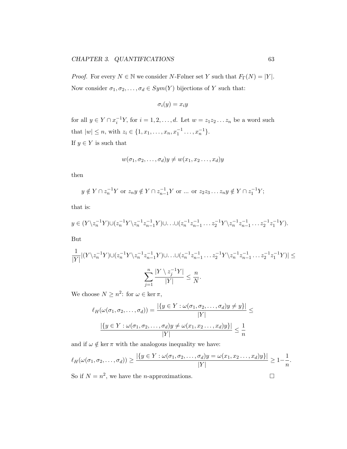*Proof.* For every  $N \in \mathbb{N}$  we consider N-Følner set Y such that  $F_{\Gamma}(N) = |Y|$ . Now consider  $\sigma_1, \sigma_2, \ldots, \sigma_d \in Sym(Y)$  bijections of Y such that:

$$
\sigma_i(y)=x_iy
$$

for all  $y \in Y \cap x_i^{-1}Y$ , for  $i = 1, 2, ..., d$ . Let  $w = z_1 z_2 ... z_n$  be a word such that  $|w| \leq n$ , with  $z_i \in \{1, x_1, \ldots, x_n, x_1^{-1} \ldots, x_n^{-1}\}.$ If  $y \in Y$  is such that

$$
w(\sigma_1, \sigma_2, \dots, \sigma_d)y \neq w(x_1, x_2 \dots, x_d)y
$$

then

$$
y \notin Y \cap z_n^{-1}Y
$$
 or  $z_n y \notin Y \cap z_{n-1}^{-1}Y$  or ... or  $z_2 z_3 \dots z_n y \notin Y \cap z_1^{-1}Y$ ;

that is:

$$
y \in (Y \setminus z_n^{-1}Y) \cup (z_n^{-1}Y \setminus z_n^{-1}z_{n-1}^{-1}Y) \cup \ldots \cup (z_n^{-1}z_{n-1}^{-1} \ldots z_2^{-1}Y \setminus z_n^{-1}z_{n-1}^{-1} \ldots z_2^{-1}z_1^{-1}Y).
$$

But

$$
\frac{1}{|Y|} |(Y \setminus z_n^{-1} Y) \cup (z_n^{-1} Y \setminus z_n^{-1} z_{n-1}^{-1} Y) \cup \ldots \cup (z_n^{-1} z_{n-1}^{-1} \ldots z_2^{-1} Y \setminus z_n^{-1} z_{n-1}^{-1} \ldots z_2^{-1} z_1^{-1} Y)| \le \frac{n}{|Y|} \frac{|Y \setminus z_j^{-1} Y|}{|Y|} \le \frac{n}{N}.
$$

We choose  $N \geq n^2$ : for  $\omega \in \ker \pi$ ,

$$
\ell_H(\omega(\sigma_1, \sigma_2, \dots, \sigma_d)) = \frac{|\{y \in Y : \omega(\sigma_1, \sigma_2, \dots, \sigma_d)y \neq y\}|}{|Y|} \leq \frac{|\{y \in Y : \omega(\sigma_1, \sigma_2, \dots, \sigma_d)y \neq \omega(x_1, x_2, \dots, x_d)y\}|}{|Y|} \leq \frac{1}{n}
$$

and if  $\omega \notin \ker \pi$  with the analogous inequality we have:

$$
\ell_H(\omega(\sigma_1, \sigma_2, \dots, \sigma_d)) \ge \frac{|\{y \in Y : \omega(\sigma_1, \sigma_2, \dots, \sigma_d)y = \omega(x_1, x_2 \dots, x_d)y\}|}{|Y|} \ge 1 - \frac{1}{n}.
$$
  
So if  $N = n^2$ , we have the *n*-approximations.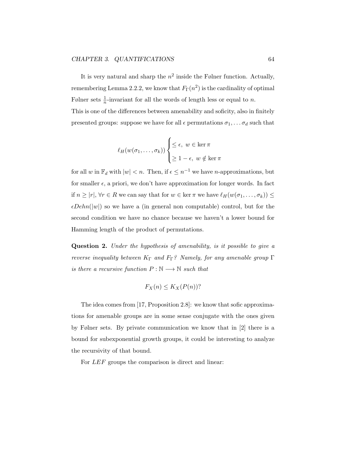It is very natural and sharp the  $n^2$  inside the Følner function. Actually, remembering Lemma 2.2.2, we know that  $F_\Gamma(n^2)$  is the cardinality of optimal Følner sets  $\frac{1}{n}$ -invariant for all the words of length less or equal to *n*. This is one of the differences between amenability and soficity, also in finitely presented groups: suppose we have for all  $\epsilon$  permutations  $\sigma_1, \ldots, \sigma_d$  such that

$$
\ell_H(w(\sigma_1,\ldots,\sigma_k))\begin{cases} \leq \epsilon, \ w \in \ker \pi \\ \geq 1-\epsilon, \ w \notin \ker \pi \end{cases}
$$

for all w in  $\mathbb{F}_d$  with  $|w| < n$ . Then, if  $\epsilon \leq n^{-1}$  we have *n*-approximations, but for smaller  $\epsilon$ , a priori, we don't have approximation for longer words. In fact if  $n \geq |r|, \forall r \in R$  we can say that for  $w \in \ker \pi$  we have  $\ell_H(w(\sigma_1, \ldots, \sigma_k)) \leq$  $\epsilon Dehn(|w|)$  so we have a (in general non computable) control, but for the second condition we have no chance because we haven't a lower bound for Hamming length of the product of permutations.

Question 2. Under the hypothesis of amenability, is it possible to give a reverse inequality between  $K_{\Gamma}$  and  $F_{\Gamma}$ ? Namely, for any amenable group  $\Gamma$ is there a recursive function  $P : \mathbb{N} \longrightarrow \mathbb{N}$  such that

$$
F_X(n) \le K_X(P(n))?
$$

The idea comes from [17, Proposition 2.8]: we know that sofic approximations for amenable groups are in some sense conjugate with the ones given by Følner sets. By private communication we know that in [2] there is a bound for subexponential growth groups, it could be interesting to analyze the recursivity of that bound.

For *LEF* groups the comparison is direct and linear: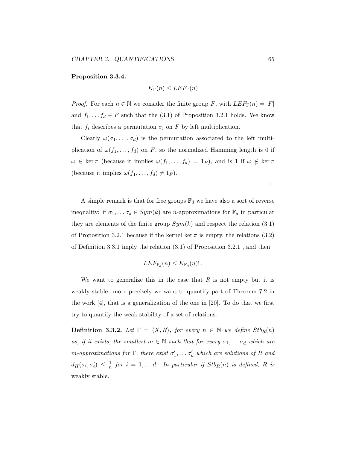#### Proposition 3.3.4.

$$
K_{\Gamma}(n) \leq LEF_{\Gamma}(n)
$$

*Proof.* For each  $n \in \mathbb{N}$  we consider the finite group F, with  $LEF_{\Gamma}(n) = |F|$ and  $f_1, \ldots, f_d \in F$  such that the (3.1) of Proposition 3.2.1 holds. We know that  $f_i$  describes a permutation  $\sigma_i$  on F by left multiplication.

Clearly  $\omega(\sigma_1,\ldots,\sigma_d)$  is the permutation associated to the left multiplication of  $\omega(f_1,\ldots,f_d)$  on F, so the normalized Hamming length is 0 if  $\omega \in \ker \pi$  (because it implies  $\omega(f_1, \ldots, f_d) = 1_F$ ), and is 1 if  $\omega \notin \ker \pi$ (because it implies  $\omega(f_1, \ldots, f_d) \neq 1_F$ ).

 $\Box$ 

A simple remark is that for free groups  $\mathbb{F}_d$  we have also a sort of reverse inequality: if  $\sigma_1, \ldots, \sigma_d \in Sym(k)$  are *n*-approximations for  $\mathbb{F}_d$  in particular they are elements of the finite group  $Sym(k)$  and respect the relation (3.1) of Proposition 3.2.1 because if the kernel ker  $\pi$  is empty, the relations (3.2) of Definition 3.3.1 imply the relation (3.1) of Proposition 3.2.1 , and then

$$
LEF_{\mathbb{F}_d}(n) \leq K_{\mathbb{F}_d}(n)!
$$

We want to generalize this in the case that  $R$  is not empty but it is weakly stable: more precisely we want to quantify part of Theorem 7.2 in the work [4], that is a generalization of the one in [20]. To do that we first try to quantify the weak stability of a set of relations.

**Definition 3.3.2.** Let  $\Gamma = \langle X, R \rangle$ , for every  $n \in \mathbb{N}$  we define  $Stb_R(n)$ as, if it exists, the smallest  $m \in \mathbb{N}$  such that for every  $\sigma_1, \ldots, \sigma_d$  which are m-approximations for  $\Gamma$ , there exist  $\sigma'_1, \ldots \sigma'_d$  which are solutions of R and  $d_H(\sigma_i,\sigma'_i) \ \leq \ \frac{1}{n}$  $\frac{1}{n}$  for  $i = 1, \ldots d$ . In particular if  $Stb_R(n)$  is defined, R is weakly stable.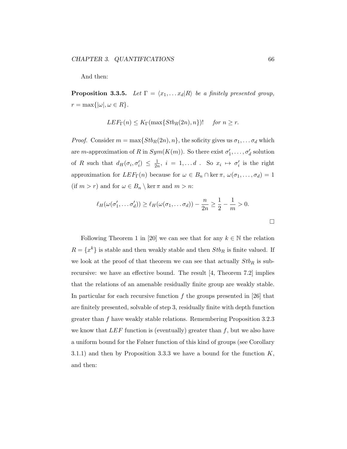And then:

**Proposition 3.3.5.** Let  $\Gamma = \langle x_1, \ldots x_d | R \rangle$  be a finitely presented group,  $r = \max\{|\omega|, \omega \in R\}.$ 

$$
LEF_{\Gamma}(n) \leq K_{\Gamma}(\max\{Stb_{R}(2n), n\})! \quad \text{ for } n \geq r.
$$

*Proof.* Consider  $m = \max\{Stb_R(2n), n\}$ , the soficity gives us  $\sigma_1, \ldots, \sigma_d$  which are *m*-approximation of R in  $Sym(K(m))$ . So there exist  $\sigma'_1, \ldots, \sigma'_d$  solution of R such that  $d_H(\sigma_i, \sigma'_i) \leq \frac{1}{2i}$  $\frac{1}{2n}$ ,  $i = 1, \ldots d$ . So  $x_i \mapsto \sigma'_i$  is the right approximation for  $LEF_{\Gamma}(n)$  because for  $\omega \in B_n \cap \ker \pi$ ,  $\omega(\sigma_1, \ldots, \sigma_d) = 1$ (if  $m > r$ ) and for  $\omega \in B_n \setminus \ker \pi$  and  $m > n$ :

$$
\ell_H(\omega(\sigma'_1,\ldots,\sigma'_d)) \ge \ell_H(\omega(\sigma_1,\ldots\sigma_d)) - \frac{n}{2n} \ge \frac{1}{2} - \frac{1}{m} > 0.
$$

Following Theorem 1 in [20] we can see that for any  $k \in \mathbb{N}$  the relation  $R = \{x^k\}$  is stable and then weakly stable and then  $Stb_R$  is finite valued. If we look at the proof of that theorem we can see that actually  $Stb_R$  is subrecursive: we have an effective bound. The result [4, Theorem 7.2] implies that the relations of an amenable residually finite group are weakly stable. In particular for each recursive function f the groups presented in [26] that are finitely presented, solvable of step 3, residually finite with depth function greater than f have weakly stable relations. Remembering Proposition 3.2.3 we know that  $LEF$  function is (eventually) greater than f, but we also have a uniform bound for the Følner function of this kind of groups (see Corollary 3.1.1) and then by Proposition 3.3.3 we have a bound for the function  $K$ , and then:

 $\Box$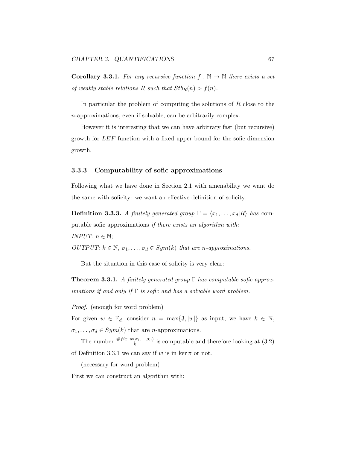**Corollary 3.3.1.** For any recursive function  $f : \mathbb{N} \to \mathbb{N}$  there exists a set of weakly stable relations R such that  $Stb_R(n) > f(n)$ .

In particular the problem of computing the solutions of  $R$  close to the n-approximations, even if solvable, can be arbitrarily complex.

However it is interesting that we can have arbitrary fast (but recursive) growth for LEF function with a fixed upper bound for the sofic dimension growth.

#### 3.3.3 Computability of sofic approximations

Following what we have done in Section 2.1 with amenability we want do the same with soficity: we want an effective definition of soficity.

**Definition 3.3.3.** A finitely generated group  $\Gamma = \langle x_1, \ldots, x_d | R \rangle$  has computable sofic approximations if there exists an algorithm with: *INPUT*:  $n \in \mathbb{N}$ ;

OUTPUT:  $k \in \mathbb{N}, \sigma_1, \ldots, \sigma_d \in Sym(k)$  that are n-approximations.

But the situation in this case of soficity is very clear:

**Theorem 3.3.1.** A finitely generated group  $\Gamma$  has computable sofic approximations if and only if  $\Gamma$  is sofic and has a solvable word problem.

Proof. (enough for word problem)

For given  $w \in \mathbb{F}_d$ , consider  $n = \max\{3, |w|\}$  as input, we have  $k \in \mathbb{N}$ ,  $\sigma_1, \ldots, \sigma_d \in Sym(k)$  that are *n*-approximations.

The number  $\frac{\#fix \ w(\sigma_1,...,\sigma_d)}{k}$  is computable and therefore looking at (3.2) of Definition 3.3.1 we can say if w is in ker  $\pi$  or not.

(necessary for word problem)

First we can construct an algorithm with: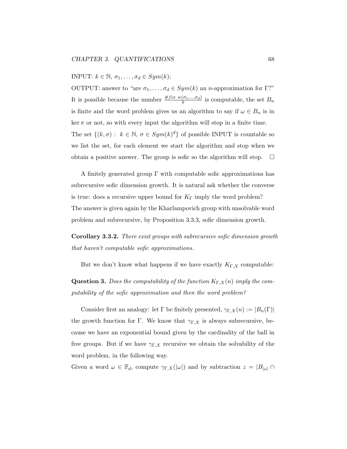### INPUT:  $k \in \mathbb{N}, \sigma_1, \ldots, \sigma_d \in Sym(k);$

OUTPUT: answer to "are  $\sigma_1, \ldots, \sigma_d \in Sym(k)$  an n-approximation for Γ?" It is possible because the number  $\frac{\#fix w(\sigma_1,...,\sigma_d)}{k}$  is computable, the set  $B_n$ is finite and the word problem gives us an algorithm to say if  $\omega \in B_n$  is in  $\ker \pi$  or not, so with every input the algorithm will stop in a finite time. The set  $\{(k,\sigma): k \in \mathbb{N}, \sigma \in Sym(k)^d\}$  of possible INPUT is countable so we list the set, for each element we start the algorithm and stop when we obtain a positive answer. The group is sofic so the algorithm will stop.  $\Box$ 

A finitely generated group  $\Gamma$  with computable sofic approximations has subrecursive sofic dimension growth. It is natural ask whether the converse is true: does a recursive upper bound for  $K_{\Gamma}$  imply the word problem? The answer is given again by the Kharlampovich group with unsolvable word problem and subrecursive, by Proposition 3.3.3, sofic dimension growth.

Corollary 3.3.2. There exist groups with subrecursive sofic dimension growth that haven't computable sofic approximations.

But we don't know what happens if we have exactly  $K_{\Gamma,X}$  computable:

**Question 3.** Does the computability of the function  $K_{\Gamma,X}(n)$  imply the computability of the sofic approximation and then the word problem?

Consider first an analogy: let  $\Gamma$  be finitely presented,  $\gamma_{\Gamma,X}(n) := |B_n(\Gamma)|$ the growth function for Γ. We know that  $\gamma_{\Gamma,X}$  is always subrecursive, because we have an exponential bound given by the cardinality of the ball in free groups. But if we have  $\gamma_{\Gamma,X}$  recursive we obtain the solvability of the word problem, in the following way.

Given a word  $\omega \in \mathbb{F}_d$ , compute  $\gamma_{\Gamma,X}(\omega)$  and by subtraction  $z = |B_{|\omega|} \cap$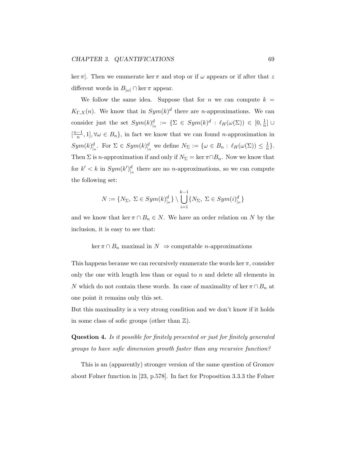ker  $\pi$ . Then we enumerate ker  $\pi$  and stop or if  $\omega$  appears or if after that z different words in  $B_{|\omega|} \cap \ker \pi$  appear.

We follow the same idea. Suppose that for n we can compute  $k =$  $K_{\Gamma,X}(n)$ . We know that in  $Sym(k)^d$  there are *n*-approximations. We can consider just the set  $Sym(k)|_n^d := \{\Sigma \in Sym(k)^d : \ell_H(\omega(\Sigma)) \in [0, \frac{1}{n}]$  $\frac{1}{n}$ ]∪  $\left\lceil \frac{n-1}{n} \right\rceil$  $\frac{-1}{n}, 1$ ,  $\forall \omega \in B_n$ , in fact we know that we can found *n*-approximation in  $Sym(k)_{\vert n}^d$ . For  $\Sigma \in Sym(k)_{\vert n}^d$  we define  $N_{\Sigma} := \{ \omega \in B_n : \ell_H(\omega(\Sigma)) \leq \frac{1}{n} \}$  $\frac{1}{n}$ . Then  $\Sigma$  is *n*-approximation if and only if  $N_{\Sigma} = \ker \pi \cap B_n$ . Now we know that for  $k' < k$  in  $Sym(k')_{\vert n}^d$  there are no *n*-approximations, so we can compute the following set:

$$
N:=\{N_\Sigma, \ \Sigma \in Sym(k)_{\mid n}^d\} \setminus \bigcup_{i=1}^{k-1}\{N_\Sigma, \ \Sigma \in Sym(i)_{\mid n}^d\}
$$

and we know that ker  $\pi \cap B_n \in N$ . We have an order relation on N by the inclusion, it is easy to see that:

#### $\ker \pi \cap B_n$  maximal in  $N \Rightarrow$  computable *n*-approximations

This happens because we can recursively enumerate the words ker  $\pi$ , consider only the one with length less than or equal to n and delete all elements in N which do not contain these words. In case of maximality of ker  $\pi \cap B_n$  at one point it remains only this set.

But this maximality is a very strong condition and we don't know if it holds in some class of sofic groups (other than  $\mathbb{Z}$ ).

Question 4. Is it possible for finitely presented or just for finitely generated groups to have sofic dimension growth faster than any recursive function?

This is an (apparently) stronger version of the same question of Gromov about Følner function in [23, p.578]. In fact for Proposition 3.3.3 the Følner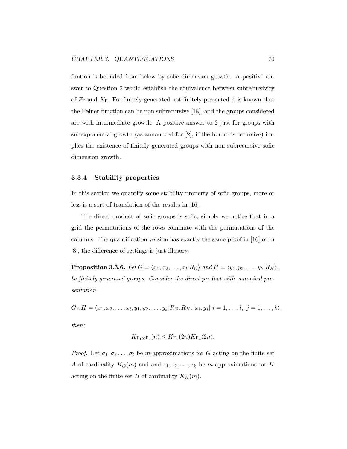funtion is bounded from below by sofic dimension growth. A positive answer to Question 2 would establish the equivalence between subrecursivity of  $F_{\Gamma}$  and  $K_{\Gamma}$ . For finitely generated not finitely presented it is known that the Følner function can be non subrecursive [18], and the groups considered are with intermediate growth. A positive answer to 2 just for groups with subexponential growth (as announced for [2], if the bound is recursive) implies the existence of finitely generated groups with non subrecursive sofic dimension growth.

#### 3.3.4 Stability properties

In this section we quantify some stability property of sofic groups, more or less is a sort of translation of the results in [16].

The direct product of sofic groups is sofic, simply we notice that in a grid the permutations of the rows commute with the permutations of the columns. The quantification version has exactly the same proof in [16] or in [8], the difference of settings is just illusory.

**Proposition 3.3.6.** Let  $G = \langle x_1, x_2, \ldots, x_l | R_G \rangle$  and  $H = \langle y_1, y_2, \ldots, y_k | R_H \rangle,$ be finitely generated groups. Consider the direct product with canonical presentation

 $G \times H = \langle x_1, x_2, \ldots, x_l, y_1, y_2, \ldots, y_k | R_G, R_H, [x_i, y_j] | i = 1, \ldots, l, j = 1, \ldots, k \rangle,$ 

then:

$$
K_{\Gamma_1 \times \Gamma_2}(n) \leq K_{\Gamma_1}(2n) K_{\Gamma_2}(2n).
$$

*Proof.* Let  $\sigma_1, \sigma_2, \ldots, \sigma_l$  be m-approximations for G acting on the finite set A of cardinality  $K_G(m)$  and and  $\tau_1, \tau_2, \ldots, \tau_k$  be m-approximations for H acting on the finite set B of cardinality  $K_H(m)$ .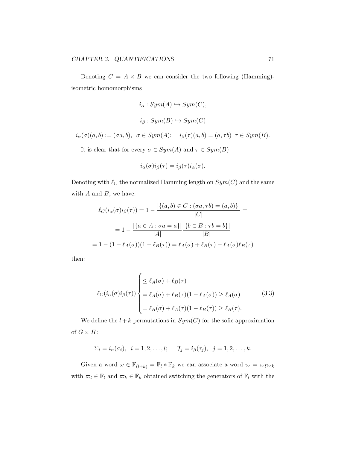Denoting  $C = A \times B$  we can consider the two following (Hamming)isometric homomorphisms

$$
i_{\alpha}: Sym(A) \hookrightarrow Sym(C),
$$
  

$$
i_{\beta}: Sym(B) \hookrightarrow Sym(C)
$$
  

$$
i_{\alpha}(\sigma)(a, b) := (\sigma a, b), \ \sigma \in Sym(A); \quad i_{\beta}(\tau)(a, b) = (a, \tau b) \ \tau \in Sym(B).
$$

It is clear that for every  $\sigma \in Sym(A)$  and  $\tau \in Sym(B)$ 

$$
i_{\alpha}(\sigma)i_{\beta}(\tau)=i_{\beta}(\tau)i_{\alpha}(\sigma).
$$

Denoting with  $\ell_C$  the normalized Hamming length on  $Sym(C)$  and the same with  $A$  and  $B$ , we have:

$$
\ell_C(i_{\alpha}(\sigma)i_{\beta}(\tau)) = 1 - \frac{|\{(a,b) \in C : (\sigma a, \tau b) = (a,b)\}|}{|C|} =
$$

$$
= 1 - \frac{|\{a \in A : \sigma a = a\}|}{|A|} \frac{|\{b \in B : \tau b = b\}|}{|B|}
$$

$$
= 1 - (1 - \ell_A(\sigma))(1 - \ell_B(\tau)) = \ell_A(\sigma) + \ell_B(\tau) - \ell_A(\sigma)\ell_B(\tau)
$$

then:

$$
\ell_C(i_{\alpha}(\sigma)i_{\beta}(\tau)) \begin{cases} \leq \ell_A(\sigma) + \ell_B(\tau) \\ = \ell_A(\sigma) + \ell_B(\tau)(1 - \ell_A(\sigma)) \geq \ell_A(\sigma) \\ = \ell_B(\sigma) + \ell_A(\tau)(1 - \ell_B(\tau)) \geq \ell_B(\tau). \end{cases}
$$
(3.3)

We define the  $l + k$  permutations in  $Sym(C)$  for the sofic approximation of  $G \times H$ :

$$
\Sigma_i = i_\alpha(\sigma_i), \quad i = 1, 2, \dots, l; \qquad \mathcal{T}_j = i_\beta(\tau_j), \quad j = 1, 2, \dots, k.
$$

Given a word  $\omega \in \mathbb{F}_{(l+k)} = \mathbb{F}_l * \mathbb{F}_k$  we can associate a word  $\omega = \omega_l \omega_k$ with  $\varpi_l \in \mathbb{F}_l$  and  $\varpi_k \in \mathbb{F}_k$  obtained switching the generators of  $\mathbb{F}_l$  with the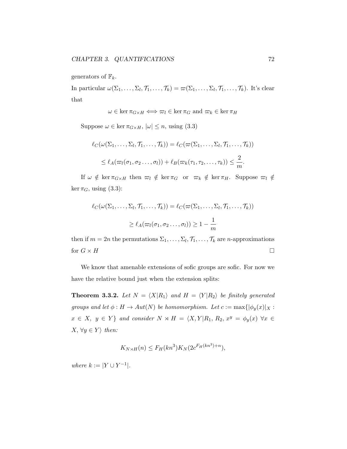generators of  $\mathbb{F}_k$ .

In particular  $\omega(\Sigma_1,\ldots,\Sigma_l,\mathcal{T}_1,\ldots,\mathcal{T}_k)=\omega(\Sigma_1,\ldots,\Sigma_l,\mathcal{T}_1,\ldots,\mathcal{T}_k)$ . It's clear that

 $\omega \in \ker \pi_{G \times H} \iff \varpi_l \in \ker \pi_G$  and  $\varpi_k \in \ker \pi_H$ 

Suppose  $\omega \in \ker \pi_{G \times H}$ ,  $|\omega| \leq n$ , using (3.3)

$$
\ell_C(\omega(\Sigma_1,\ldots,\Sigma_l,\mathcal{T}_1,\ldots,\mathcal{T}_k)) = \ell_C(\varpi(\Sigma_1,\ldots,\Sigma_l,\mathcal{T}_1,\ldots,\mathcal{T}_k))
$$
  

$$
\leq \ell_A(\varpi_l(\sigma_1,\sigma_2\ldots,\sigma_l)) + \ell_B(\varpi_k(\tau_1,\tau_2,\ldots,\tau_k)) \leq \frac{2}{m}.
$$

If  $\omega \notin \ker \pi_{G \times H}$  then  $\varpi_l \notin \ker \pi_G$  or  $\varpi_k \notin \ker \pi_H$ . Suppose  $\varpi_l \notin$ ker  $\pi_G$ , using (3.3):

$$
\ell_C(\omega(\Sigma_1,\ldots,\Sigma_l,\mathcal{T}_1,\ldots,\mathcal{T}_k)) = \ell_C(\varpi(\Sigma_1,\ldots,\Sigma_l,\mathcal{T}_1,\ldots,\mathcal{T}_k))
$$

$$
\geq \ell_A(\varpi_l(\sigma_1,\sigma_2\ldots,\sigma_l)) \geq 1 - \frac{1}{m}
$$

then if  $m = 2n$  the permutations  $\Sigma_1, \ldots, \Sigma_l, \mathcal{T}_1, \ldots, \mathcal{T}_k$  are *n*-approximations for  $G \times H$ 

We know that amenable extensions of sofic groups are sofic. For now we have the relative bound just when the extension splits:

**Theorem 3.3.2.** Let  $N = \langle X | R_1 \rangle$  and  $H = \langle Y | R_2 \rangle$  be finitely generated groups and let  $\phi: H \to Aut(N)$  be homomorphism. Let  $c := \max{\{\phi_y(x)|_X :$  $x \in X$ ,  $y \in Y$  and consider  $N \rtimes H = \langle X, Y | R_1, R_2, x^y = \phi_y(x) \ \forall x \in Y$  $X, \forall y \in Y$  then:

$$
K_{N\rtimes H}(n) \le F_H(kn^3)K_N(2c^{F_H(kn^3)+n}),
$$

where  $k := |Y \cup Y^{-1}|$ .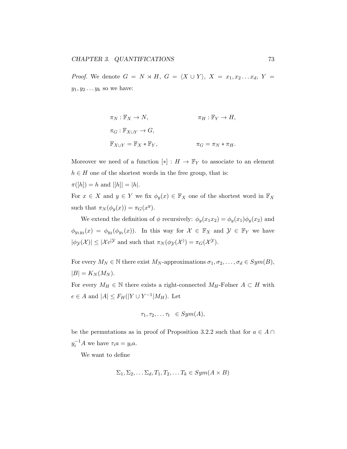*Proof.* We denote  $G = N \rtimes H$ ,  $G = \langle X \cup Y \rangle$ ,  $X = x_1, x_2 \ldots x_d$ ,  $Y =$  $y_1, y_2 \ldots y_k$  so we have:

$$
\pi_N : \mathbb{F}_X \to N, \qquad \pi_H : \mathbb{F}_Y \to H,
$$
  

$$
\pi_G : \mathbb{F}_{X \cup Y} \to G,
$$
  

$$
\mathbb{F}_{X \cup Y} = \mathbb{F}_X * \mathbb{F}_Y, \qquad \pi_G = \pi_N * \pi_H.
$$

Moreover we need of a function  $[*]: H \to \mathbb{F}_Y$  to associate to an element  $h \in H$  one of the shortest words in the free group, that is:  $\pi([h]) = h$  and  $|[h]| = |h|.$ For  $x \in X$  and  $y \in Y$  we fix  $\phi_y(x) \in \mathbb{F}_X$  one of the shortest word in  $\mathbb{F}_X$ 

such that  $\pi_N(\phi_y(x)) = \pi_G(x^y)$ .

We extend the definition of  $\phi$  recursively:  $\phi_y(x_1x_2) = \phi_y(x_1)\phi_y(x_2)$  and  $\phi_{y_1y_2}(x) = \phi_{y_2}(\phi_{y_1}(x))$ . In this way for  $\mathcal{X} \in \mathbb{F}_X$  and  $\mathcal{Y} \in \mathbb{F}_Y$  we have  $|\phi_{\mathcal{Y}}(\mathcal{X})| \leq |\mathcal{X}c|^{\mathcal{Y}}$  and such that  $\pi_N(\phi_{\mathcal{Y}}(\mathcal{X})) = \pi_G(\mathcal{X}^{\mathcal{Y}})$ .

For every  $M_N \in \mathbb{N}$  there exist  $M_N$ -approximations  $\sigma_1, \sigma_2, \ldots, \sigma_d \in Sym(B)$ ,  $|B| = K_N(M_N)$ .

For every  $M_H \in \mathbb{N}$  there exists a right-connected  $M_H$ -Følner  $A \subset H$  with  $e \in A$  and  $|A| \leq F_H(|Y \cup Y^{-1}|M_H)$ . Let

$$
\tau_1, \tau_2, \ldots \tau_t \in Sym(A),
$$

be the permutations as in proof of Proposition 3.2.2 such that for  $a \in A \cap$  $y_i^{-1}A$  we have  $\tau_i a = y_i a$ .

We want to define

$$
\Sigma_1, \Sigma_2, \dots \Sigma_d, T_1, T_2, \dots T_k \in Sym(A \times B)
$$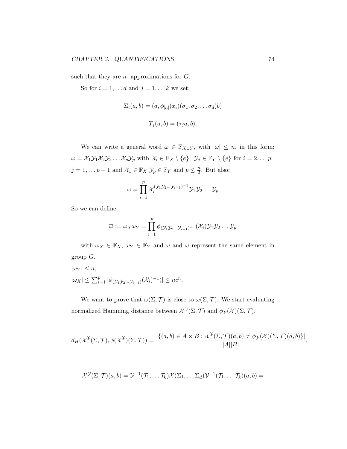such that they are  $n$ - approximations for  $G$ .

So for  $i = 1, \ldots d$  and  $j = 1, \ldots k$  we set:

$$
\Sigma_i(a, b) = (a, \phi_{[a]}(x_i)(\sigma_1, \sigma_2, \dots \sigma_d)b)
$$

$$
T_j(a, b) = (\tau_j a, b).
$$

We can write a general word  $\omega \in \mathbb{F}_{X\cup Y}$ , with  $|\omega| \leq n$ , in this form:  $\omega = \mathcal{X}_1 \mathcal{Y}_1 \mathcal{X}_2 \mathcal{Y}_2 \ldots \mathcal{X}_p \mathcal{Y}_p$  with  $\mathcal{X}_i \in \mathbb{F}_X \setminus \{e\}, \ \mathcal{Y}_j \in \mathbb{F}_Y \setminus \{e\}$  for  $i = 2, \ldots p$ ;  $j = 1, \ldots p - 1$  and  $\mathcal{X}_1 \in \mathbb{F}_X \mathcal{Y}_p \in \mathbb{F}_Y$  and  $p \leq \frac{n}{2}$  $\frac{n}{2}$ . But also:

$$
\omega = \prod_{i=1}^p \mathcal{X}_i^{(\mathcal{Y}_1 \mathcal{Y}_2 \dots \mathcal{Y}_{i-1})^{-1}} \mathcal{Y}_1 \mathcal{Y}_2 \dots \mathcal{Y}_p
$$

So we can define:

$$
\overline{\omega} := \omega_X \omega_Y = \prod_{i=1}^p \phi_{(\mathcal{Y}_1 \mathcal{Y}_2 \dots \mathcal{Y}_{i-1})^{-1}}(\mathcal{X}_i) \mathcal{Y}_1 \mathcal{Y}_2 \dots \mathcal{Y}_p
$$

with  $\omega_X \in \mathbb{F}_X$ ,  $\omega_Y \in \mathbb{F}_Y$  and  $\omega$  and  $\overline{\omega}$  represent the same element in group  $G$ .

$$
|\omega_Y| \le n,
$$
  

$$
|\omega_X| \le \sum_{i=1}^p |\phi(\mathbf{y}_1 \mathbf{y}_2 \dots \mathbf{y}_{i-1})(\mathcal{X}_i)^{-1})| \le nc^n.
$$

We want to prove that  $\omega(\Sigma, \mathcal{T})$  is close to  $\overline{\omega}(\Sigma, \mathcal{T})$ . We start evaluating normalized Hamming distance between  $\mathcal{X}^{\mathcal{Y}}(\Sigma, \mathcal{T})$  and  $\phi_{\mathcal{Y}}(\mathcal{X})(\Sigma, \mathcal{T})$ .

$$
d_H(\mathcal{X}^{\mathcal{Y}}(\Sigma,\mathcal{T}),\phi(\mathcal{X}^{\mathcal{Y}})(\Sigma,\mathcal{T}))=\frac{|\{(a,b)\in A\times B:\mathcal{X}^{\mathcal{Y}}(\Sigma,\mathcal{T})(a,b)\neq \phi_{\mathcal{Y}}(\mathcal{X})(\Sigma,\mathcal{T})(a,b)\}|}{|A||B|},
$$

$$
\mathcal{X}^{\mathcal{Y}}(\Sigma,\mathcal{T})(a,b)=\mathcal{Y}^{-1}(\mathcal{T}_1,\ldots,\mathcal{T}_k)\mathcal{X}(\Sigma_1,\ldots,\Sigma_d)\mathcal{Y}^{-1}(\mathcal{T}_1,\ldots,\mathcal{T}_k)(a,b)=
$$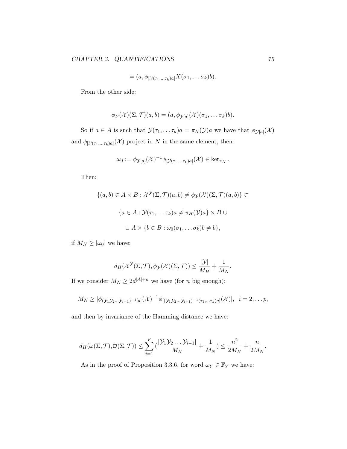$$
= (a, \phi_{[\mathcal{Y}(\tau_1, \ldots, \tau_k)a]} X(\sigma_1, \ldots, \sigma_k)b).
$$

From the other side:

$$
\phi_{\mathcal{Y}}(\mathcal{X})(\Sigma, \mathcal{T})(a, b) = (a, \phi_{\mathcal{Y}[a]}(\mathcal{X})(\sigma_1, \ldots \sigma_k)b).
$$

So if  $a \in A$  is such that  $\mathcal{Y}(\tau_1, \ldots \tau_k)a = \pi_H(\mathcal{Y})a$  we have that  $\phi_{\mathcal{Y}[a]}(\mathcal{X})$ and  $\phi_{[\mathcal{Y}(\tau_1,\ldots\tau_k)a]}(\mathcal{X})$  project in N in the same element, then:

$$
\omega_0 := \phi_{\mathcal{Y}[a]}(\mathcal{X})^{-1} \phi_{[\mathcal{Y}(\tau_1, \ldots, \tau_k)a]}(\mathcal{X}) \in \ker_{\pi_N}.
$$

Then:

$$
\{(a,b) \in A \times B : \mathcal{X}^{\mathcal{Y}}(\Sigma, \mathcal{T})(a,b) \neq \phi_{\mathcal{Y}}(\mathcal{X})(\Sigma, \mathcal{T})(a,b)\} \subset
$$

$$
\{a \in A : \mathcal{Y}(\tau_1, \dots \tau_k)a \neq \pi_H(\mathcal{Y})a\} \times B \cup
$$

$$
\cup A \times \{b \in B : \omega_0(\sigma_1, \dots \sigma_k)b \neq b\},
$$

if  $M_N \geq |\omega_0|$  we have:

$$
d_H(\mathcal{X}^{\mathcal{Y}}(\Sigma,\mathcal{T}),\phi_{\mathcal{Y}}(\mathcal{X})(\Sigma,\mathcal{T})) \leq \frac{|\mathcal{Y}|}{M_H} + \frac{1}{M_N}.
$$

If we consider  $M_N \geq 2d^{|A|+n}$  we have (for *n* big enough):

$$
M_N \geq |\phi_{(\mathcal{Y}_1 \mathcal{Y}_2 \dots \mathcal{Y}_{i-1})^{-1}[a]}(\mathcal{X})^{-1} \phi_{[(\mathcal{Y}_1 \mathcal{Y}_2 \dots \mathcal{Y}_{i-1})^{-1}(\tau_1, \dots \tau_k)a]}(\mathcal{X})|, \quad i=2,\dots p,
$$

and then by invariance of the Hamming distance we have:

$$
d_H(\omega(\Sigma, \mathcal{T}), \overline{\omega}(\Sigma, \mathcal{T})) \leq \sum_{i=1}^p \left( \frac{|\mathcal{Y}_1 \mathcal{Y}_2 \dots \mathcal{Y}_{i-1}|}{M_H} + \frac{1}{M_N} \right) \leq \frac{n^2}{2M_H} + \frac{n}{2M_N}.
$$

As in the proof of Proposition 3.3.6, for word  $\omega_Y \in \mathbb{F}_Y$  we have: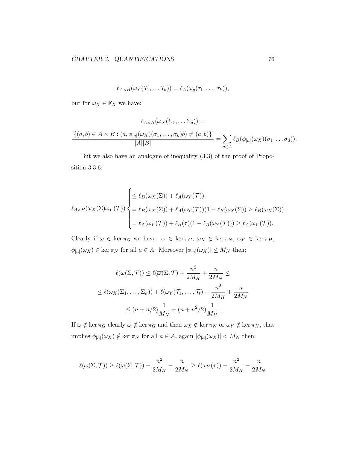$$
\ell_{A\times B}(\omega_Y(\mathcal{T}_1,\ldots\mathcal{T}_k))=\ell_A(\omega_y(\tau_1,\ldots,\tau_k)),
$$

but for  $\omega_X \in \mathbb{F}_X$  we have:

$$
\ell_{A\times B}(\omega_X(\Sigma_1,\dots\Sigma_d)) =
$$

$$
\frac{|\{(a,b)\in A\times B:(a,\phi_{[a]}(\omega_X)(\sigma_1,\dots,\sigma_k)b)\neq (a,b)\}|}{|A||B|} = \sum_{a\in A} \ell_B(\phi_{[a]}(\omega_X)(\sigma_1,\dots\sigma_d)).
$$

But we also have an analogue of inequality (3.3) of the proof of Proposition 3.3.6:

$$
\ell_{A \times B}(\omega_X(\Sigma)\omega_Y(\mathcal{T})) \begin{cases} \leq \ell_B(\omega_X(\Sigma)) + \ell_A(\omega_Y(\mathcal{T})) \\ = \ell_B(\omega_X(\Sigma)) + \ell_A(\omega_Y(\mathcal{T}))(1 - \ell_B(\omega_X(\Sigma))) \geq \ell_B(\omega_X(\Sigma)) \\ = \ell_A(\omega_Y(\mathcal{T})) + \ell_B(\tau)(1 - \ell_A(\omega_Y(\mathcal{T}))) \geq \ell_A(\omega_Y(\mathcal{T})). \end{cases}
$$

Clearly if  $\omega \in \ker \pi_G$  we have:  $\overline{\omega} \in \ker \pi_G$ ,  $\omega_X \in \ker \pi_N$ ,  $\omega_Y \in \ker \pi_H$ ,  $\phi_{[a]}(\omega_X) \in \ker \pi_N$  for all  $a \in A$ . Moreover  $|\phi_{[a]}(\omega_X)| \leq M_N$  then:

$$
\ell(\omega(\Sigma, \mathcal{T})) \leq \ell(\overline{\omega}(\Sigma, \mathcal{T}) + \frac{n^2}{2M_H} + \frac{n}{2M_N} \leq
$$
  

$$
\leq \ell(\omega_X(\Sigma_1, \dots, \Sigma_k)) + \ell(\omega_Y(\mathcal{T}_1, \dots, \mathcal{T}_t) + \frac{n^2}{2M_H} + \frac{n}{2M_N}
$$
  

$$
\leq (n + n/2) \frac{1}{M_N} + (n + n^2/2) \frac{1}{M_H}.
$$

If  $\omega \notin \ker \pi_G$  clearly  $\overline{\omega} \notin \ker \pi_G$  and then  $\omega_X \notin \ker \pi_N$  or  $\omega_Y \notin \ker \pi_H$ , that implies  $\phi_{[a]}(\omega_X) \notin \ker \pi_N$  for all  $a \in A$ , again  $|\phi_{[a]}(\omega_X)| < M_N$  then:

$$
\ell(\omega(\Sigma, \mathcal{T})) \ge \ell(\overline{\omega}(\Sigma, \mathcal{T})) - \frac{n^2}{2M_H} - \frac{n}{2M_N} \ge \ell(\omega_Y(\tau)) - \frac{n^2}{2M_H} - \frac{n}{2M_N}
$$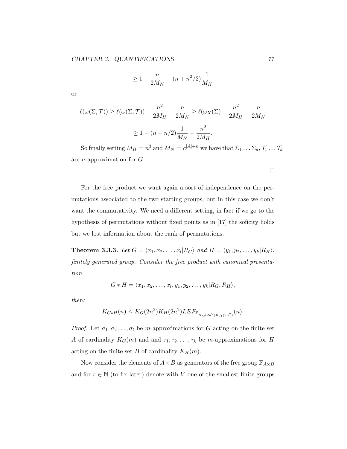$$
\geq 1 - \frac{n}{2M_N} - (n + n^2/2) \frac{1}{M_H}
$$

or

$$
\ell(\omega(\Sigma, \mathcal{T})) \ge \ell(\overline{\omega}(\Sigma, \mathcal{T})) - \frac{n^2}{2M_H} - \frac{n}{2M_N} \ge \ell(\omega_X(\Sigma) - \frac{n^2}{2M_H} - \frac{n}{2M_N})
$$

$$
\ge 1 - (n + n/2)\frac{1}{M_N} - \frac{n^2}{2M_H}.
$$

So finally setting  $M_H = n^3$  and  $M_N = c^{|A|+n}$  we have that  $\Sigma_1 \dots \Sigma_d$ ,  $\mathcal{T}_1 \dots \mathcal{T}_k$ are n-approximation for G.

For the free product we want again a sort of independence on the permutations associated to the two starting groups, but in this case we don't want the commutativity. We need a different setting, in fact if we go to the hypothesis of permutations without fixed points as in [17] the soficity holds but we lost information about the rank of permutations.

**Theorem 3.3.3.** Let  $G = \langle x_1, x_2, \ldots, x_l | R_G \rangle$  and  $H = \langle y_1, y_2, \ldots, y_k | R_H \rangle$ , finitely generated group. Consider the free product with canonical presentation

$$
G * H = \langle x_1, x_2, \ldots, x_l, y_1, y_2, \ldots, y_k | R_G, R_H \rangle,
$$

then:

$$
K_{G*H}(n) \le K_G(2n^2)K_H(2n^2)LEF_{\mathbb{F}_{K_G(2n^2)K_H(2n^2)}}(n).
$$

*Proof.* Let  $\sigma_1, \sigma_2, \ldots, \sigma_l$  be m-approximations for G acting on the finite set A of cardinality  $K_G(m)$  and and  $\tau_1, \tau_2, \ldots, \tau_k$  be m-approximations for H acting on the finite set B of cardinality  $K_H(m)$ .

Now consider the elements of  $A \times B$  as generators of the free group  $\mathbb{F}_{A \times B}$ and for  $r \in \mathbb{N}$  (to fix later) denote with V one of the smallest finite groups

 $\Box$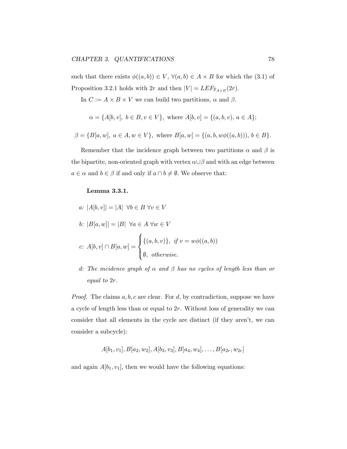such that there exists  $\phi((a, b)) \in V$ ,  $\forall (a, b) \in A \times B$  for which the (3.1) of Proposition 3.2.1 holds with  $2r$  and then  $|V| = LEF_{\mathbb{F}_{A\times B}}(2r)$ .

In  $C := A \times B \times V$  we can build two partitions,  $\alpha$  and  $\beta$ .

$$
\alpha = \{A[b, v], b \in B, v \in V\}, \text{ where } A[b, v] = \{(a, b, v), a \in A\};
$$

$$
\beta = \{B[a, w], \ a \in A, w \in V\}, \text{ where } B[a, w] = \{(a, b, w\phi((a, b))), b \in B\}.
$$

Remember that the incidence graph between two partitions  $\alpha$  and  $\beta$  is the bipartite, non-oriented graph with vertex  $\alpha \cup \beta$  and with an edge between  $a \in \alpha$  and  $b \in \beta$  if and only if  $a \cap b \neq \emptyset$ . We observe that:

## Lemma 3.3.1.

- a:  $|A[b, v]| = |A| \forall b \in B \forall v \in V$ b:  $|B[a, w]| = |B| \; \forall a \in A \; \forall w \in V$ c:  $A[b, v] ∩ B[a, w] =$  $\sqrt{ }$  $\int$  $\overline{\mathcal{L}}$  $\{(a, b, v)\}, \text{ if } v = w\phi((a, b))$  $\emptyset$ , otherwise.
- d: The incidence graph of  $\alpha$  and  $\beta$  has no cycles of length less than or equal to 2r.

*Proof.* The claims  $a, b, c$  are clear. For  $d$ , by contradiction, suppose we have a cycle of length less than or equal to 2r. Without loss of generality we can consider that all elements in the cycle are distinct (if they aren't, we can consider a subcycle):

$$
A[b_1, v_1], B[a_2, w_2], A[b_3, v_3], B[a_4, w_4], \ldots, B[a_{2r}, w_{2r}]
$$

and again  $A[b_1, v_1]$ , then we would have the following equations: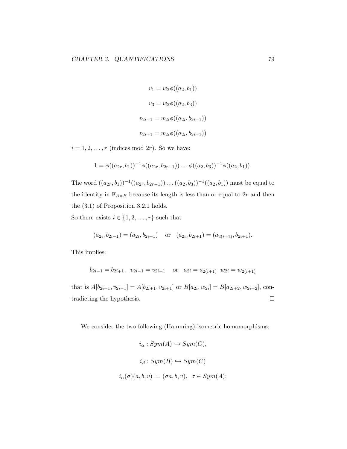$$
v_1 = w_2 \phi((a_2, b_1))
$$
  

$$
v_3 = w_2 \phi((a_2, b_3))
$$
  

$$
v_{2i-1} = w_{2i} \phi((a_{2i}, b_{2i-1}))
$$
  

$$
v_{2i+1} = w_{2i} \phi((a_{2i}, b_{2i+1}))
$$

 $i = 1, 2, \ldots, r$  (indices mod 2r). So we have:

$$
1 = \phi((a_{2r}, b_1))^{-1}\phi((a_{2r}, b_{2r-1}))\dots\phi((a_2, b_3))^{-1}\phi((a_2, b_1)).
$$

The word  $((a_{2r}, b_1))^{-1}((a_{2r}, b_{2r-1}))\dots((a_2, b_3))^{-1}((a_2, b_1))$  must be equal to the identity in  $\mathbb{F}_{A\times B}$  because its length is less than or equal to  $2r$  and then the (3.1) of Proposition 3.2.1 holds.

So there exists  $i \in \{1, 2, \ldots, r\}$  such that

$$
(a_{2i}, b_{2i-1}) = (a_{2i}, b_{2i+1})
$$
 or  $(a_{2i}, b_{2i+1}) = (a_{2(i+1)}, b_{2i+1}).$ 

This implies:

$$
b_{2i-1} = b_{2i+1}, v_{2i-1} = v_{2i+1}
$$
 or  $a_{2i} = a_{2(i+1)} w_{2i} = w_{2(i+1)}$ 

that is  $A[b_{2i-1}, v_{2i-1}] = A[b_{2i+1}, v_{2i+1}]$  or  $B[a_{2i}, w_{2i}] = B[a_{2i+2}, w_{2i+2}]$ , contradicting the hypothesis.

We consider the two following (Hamming)-isometric homomorphisms:

$$
i_{\alpha}: Sym(A) \hookrightarrow Sym(C),
$$
  

$$
i_{\beta}: Sym(B) \hookrightarrow Sym(C)
$$
  

$$
i_{\alpha}(\sigma)(a, b, v) := (\sigma a, b, v), \ \sigma \in Sym(A);
$$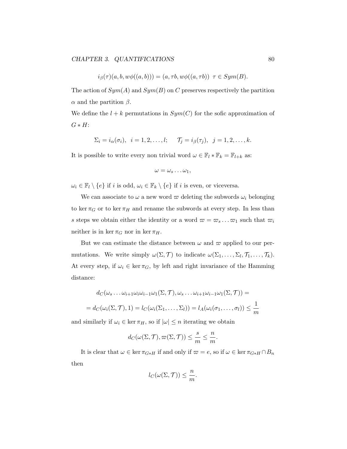$$
i_{\beta}(\tau)(a,b,w\phi((a,b)))=(a,\tau b,w\phi((a,\tau b))\ \tau\in Sym(B).
$$

The action of  $Sym(A)$  and  $Sym(B)$  on C preserves respectively the partition  $\alpha$  and the partition  $\beta$ .

We define the  $l + k$  permutations in  $Sym(C)$  for the sofic approximation of  $G * H$ :

$$
\Sigma_i = i_\alpha(\sigma_i), \quad i = 1, 2, \dots, l; \qquad \mathcal{T}_j = i_\beta(\tau_j), \quad j = 1, 2, \dots, k.
$$

It is possible to write every non trivial word  $\omega \in \mathbb{F}_l * \mathbb{F}_k = \mathbb{F}_{l+k}$  as:

$$
\omega=\omega_s\ldots\omega_1,
$$

 $\omega_i \in \mathbb{F}_l \setminus \{e\}$  if i is odd,  $\omega_i \in \mathbb{F}_k \setminus \{e\}$  if i is even, or viceversa.

We can associate to  $\omega$  a new word  $\varpi$  deleting the subwords  $\omega_i$  belonging to ker  $\pi_G$  or to ker  $\pi_H$  and rename the subwords at every step. In less than s steps we obtain either the identity or a word  $\varpi = \varpi_s \dots \varpi_1$  such that  $\varpi_i$ neither is in ker  $\pi_G$  nor in ker  $\pi_H$ .

But we can estimate the distance between  $\omega$  and  $\varpi$  applied to our permutations. We write simply  $\omega(\Sigma, \mathcal{T})$  to indicate  $\omega(\Sigma_1, \ldots, \Sigma_l, \mathcal{T}_1, \ldots, \mathcal{T}_k)$ . At every step, if  $\omega_i \in \ker \pi_G$ , by left and right invariance of the Hamming distance:

$$
d_C(\omega_s \dots \omega_{i+1} \omega_i \omega_{i-1} \omega_1(\Sigma, \mathcal{T}), \omega_s \dots \omega_{i+1} \omega_{i-1} \omega_1(\Sigma, \mathcal{T})) =
$$
  
=  $d_C(\omega_i(\Sigma, \mathcal{T}), 1) = l_C(\omega_i(\Sigma_1, \dots, \Sigma_l)) = l_A(\omega_i(\sigma_1, \dots, \sigma_l)) \le \frac{1}{m}$ 

and similarly if  $\omega_i \in \ker \pi_H$ , so if  $|\omega| \leq n$  iterating we obtain

$$
d_C(\omega(\Sigma, \mathcal{T}), \varpi(\Sigma, \mathcal{T})) \le \frac{s}{m} \le \frac{n}{m}.
$$

It is clear that  $\omega \in \ker \pi_{G*H}$  if and only if  $\omega = e$ , so if  $\omega \in \ker \pi_{G*H} \cap B_n$ then

$$
l_C(\omega(\Sigma, \mathcal{T})) \leq \frac{n}{m}.
$$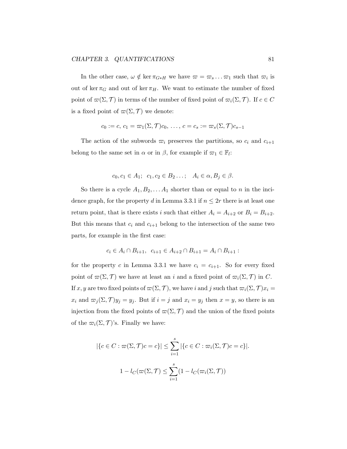In the other case,  $\omega \notin \ker \pi_{G*H}$  we have  $\omega = \omega_s \dots \omega_1$  such that  $\omega_i$  is out of ker  $\pi_G$  and out of ker  $\pi_H$ . We want to estimate the number of fixed point of  $\varpi(\Sigma, \mathcal{T})$  in terms of the number of fixed point of  $\varpi_i(\Sigma, \mathcal{T})$ . If  $c \in C$ is a fixed point of  $\varpi(\Sigma, \mathcal{T})$  we denote:

$$
c_0 := c, c_1 = \varpi_1(\Sigma, \mathcal{T})c_0, \ldots, c = c_s := \varpi_s(\Sigma, \mathcal{T})c_{s-1}
$$

The action of the subwords  $\overline{\omega}_i$  preserves the partitions, so  $c_i$  and  $c_{i+1}$ belong to the same set in  $\alpha$  or in  $\beta$ , for example if  $\varpi_1 \in \mathbb{F}_l$ :

$$
c_0, c_1 \in A_1; \ \ c_1, c_2 \in B_2 \ldots; \ \ A_i \in \alpha, B_j \in \beta.
$$

So there is a cycle  $A_1, B_2, \ldots, A_1$  shorter than or equal to n in the incidence graph, for the property d in Lemma 3.3.1 if  $n \leq 2r$  there is at least one return point, that is there exists i such that either  $A_i = A_{i+2}$  or  $B_i = B_{i+2}$ . But this means that  $c_i$  and  $c_{i+1}$  belong to the intersection of the same two parts, for example in the first case:

$$
c_i \in A_i \cap B_{i+1}, \ \ c_{i+1} \in A_{i+2} \cap B_{i+1} = A_i \cap B_{i+1} :
$$

for the property c in Lemma 3.3.1 we have  $c_i = c_{i+1}$ . So for every fixed point of  $\varpi(\Sigma, \mathcal{T})$  we have at least an i and a fixed point of  $\varpi_i(\Sigma, \mathcal{T})$  in C. If x, y are two fixed points of  $\varpi(\Sigma, \mathcal{T})$ , we have i and j such that  $\varpi_i(\Sigma, \mathcal{T})x_i =$  $x_i$  and  $\varpi_j(\Sigma, \mathcal{T})y_j = y_j$ . But if  $i = j$  and  $x_i = y_j$  then  $x = y$ , so there is an injection from the fixed points of  $\varpi(\Sigma, \mathcal{T})$  and the union of the fixed points of the  $\varpi_i(\Sigma, \mathcal{T})$ 's. Finally we have:

$$
|\{c \in C : \varpi(\Sigma, \mathcal{T})c = c\}| \le \sum_{i=1}^{s} |\{c \in C : \varpi_i(\Sigma, \mathcal{T})c = c\}|.
$$
  

$$
1 - l_C(\varpi(\Sigma, \mathcal{T}) \le \sum_{i=1}^{s} (1 - l_C(\varpi_i(\Sigma, \mathcal{T}))
$$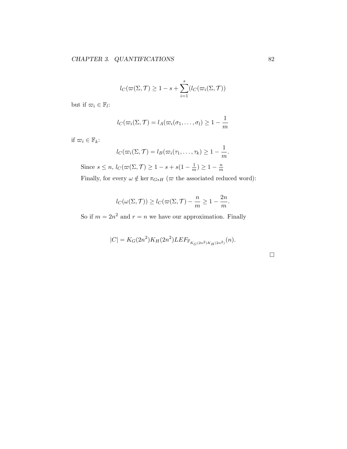$$
l_C(\varpi(\Sigma, \mathcal{T}) \ge 1 - s + \sum_{i=1}^s (l_C(\varpi_i(\Sigma, \mathcal{T}))
$$

but if  $\varpi_i \in \mathbb{F}_l$ :

$$
l_C(\varpi_i(\Sigma,\mathcal{T})=l_A(\varpi_i(\sigma_1,\ldots,\sigma_l)\geq 1-\frac{1}{m})
$$

if  $\varpi_i \in \mathbb{F}_k$ :

$$
l_C(\varpi_i(\Sigma,\mathcal{T})=l_B(\varpi_i(\tau_1,\ldots,\tau_k)\geq 1-\frac{1}{m}.
$$

Since  $s \leq n$ ,  $l_C(\varpi(\Sigma, \mathcal{T}) \geq 1 - s + s(1 - \frac{1}{m}))$  $\frac{1}{m}$ )  $\geq 1 - \frac{n}{m}$  $\overline{m}$ 

Finally, for every  $\omega \notin \ker \pi_{G*H}$  ( $\varpi$  the associated reduced word):

$$
l_C(\omega(\Sigma, \mathcal{T})) \ge l_C(\varpi(\Sigma, \mathcal{T}) - \frac{n}{m} \ge 1 - \frac{2n}{m}.
$$

So if  $m = 2n^2$  and  $r = n$  we have our approximation. Finally

$$
|C| = K_G(2n^2)K_H(2n^2)LEF_{\mathbb{F}_{K_G(2n^2)K_H(2n^2)}}(n).
$$

 $\Box$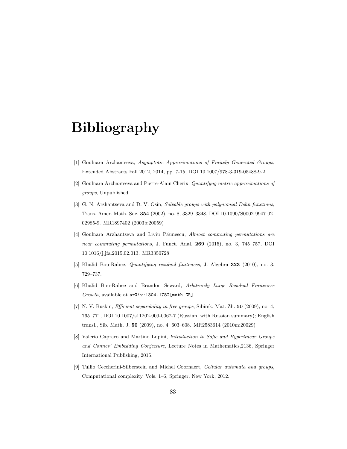## Bibliography

- [1] Goulnara Arzhantseva, Asymptotic Approximations of Finitely Generated Groups, Extended Abstracts Fall 2012, 2014, pp. 7-15, DOI 10.1007/978-3-319-05488-9-2.
- [2] Goulnara Arzhantseva and Pierre-Alain Cherix, Quantifyng metric approximations of groups, Unpublished.
- [3] G. N. Arzhantseva and D. V. Osin, Solvable groups with polynomial Dehn functions, Trans. Amer. Math. Soc. 354 (2002), no. 8, 3329–3348, DOI 10.1090/S0002-9947-02- 02985-9. MR1897402 (2003b:20059)
- [4] Goulnara Arzhantseva and Liviu Păunescu, Almost commuting permutations are near commuting permutations, J. Funct. Anal. 269 (2015), no. 3, 745–757, DOI 10.1016/j.jfa.2015.02.013. MR3350728
- [5] Khalid Bou-Rabee, Quantifying residual finiteness, J. Algebra 323 (2010), no. 3, 729–737.
- [6] Khalid Bou-Rabee and Brandon Seward, Arbitrarily Large Residual Finiteness Growth, available at arXiv:1304.1782[math.GR].
- [7] N. V. Buskin, *Efficient separability in free groups*, Sibirsk. Mat. Zh. **50** (2009), no. 4, 765–771, DOI 10.1007/s11202-009-0067-7 (Russian, with Russian summary); English transl., Sib. Math. J. 50 (2009), no. 4, 603–608. MR2583614 (2010m:20029)
- [8] Valerio Capraro and Martino Lupini, Introduction to Sofic and Hyperlinear Groups and Connes' Embedding Conjecture, Lecture Notes in Mathematics,2136, Springer International Publishing, 2015.
- [9] Tullio Ceccherini-Silberstein and Michel Coornaert, Cellular automata and groups, Computational complexity. Vols. 1–6, Springer, New York, 2012.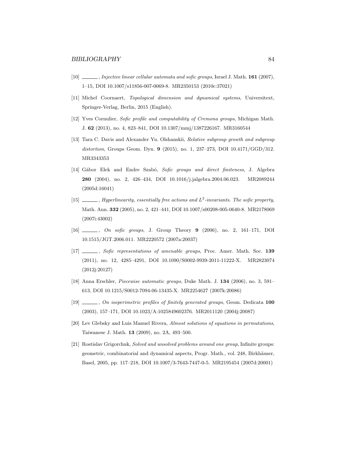- [10] , Injective linear cellular automata and sofic groups, Israel J. Math. **161** (2007), 1–15, DOI 10.1007/s11856-007-0069-8. MR2350153 (2010c:37021)
- [11] Michel Coornaert, Topological dimension and dynamical systems, Universitext, Springer-Verlag, Berlin, 2015 (English).
- [12] Yves Cornulier, Sofic profile and computability of Cremona groups, Michigan Math. J. 62 (2013), no. 4, 823–841, DOI 10.1307/mmj/1387226167. MR3160544
- [13] Tara C. Davis and Alexander Yu. Olshanskii, Relative subgroup growth and subgroup distortion, Groups Geom. Dyn. 9 (2015), no. 1, 237–273, DOI 10.4171/GGD/312. MR3343353
- [14] Gábor Elek and Endre Szabó, Sofic groups and direct finiteness, J. Algebra 280 (2004), no. 2, 426–434, DOI 10.1016/j.jalgebra.2004.06.023. MR2089244 (2005d:16041)
- [15]  $\ldots$ , Hyperlinearity, essentially free actions and  $L^2$ -invariants. The sofic property, Math. Ann. 332 (2005), no. 2, 421–441, DOI 10.1007/s00208-005-0640-8. MR2178069 (2007i:43002)
- [16] , On sofic groups, J. Group Theory 9 (2006), no. 2, 161–171, DOI 10.1515/JGT.2006.011. MR2220572 (2007a:20037)
- [17]  $\ldots$ , Sofic representations of amenable groups, Proc. Amer. Math. Soc. 139 (2011), no. 12, 4285–4291, DOI 10.1090/S0002-9939-2011-11222-X. MR2823074 (2012j:20127)
- [18] Anna Erschler, Piecewise automatic groups, Duke Math. J. 134 (2006), no. 3, 591– 613, DOI 10.1215/S0012-7094-06-13435-X. MR2254627 (2007k:20086)
- [19]  $\_\_\_\_\_$ , On isoperimetric profiles of finitely generated groups, Geom. Dedicata 100 (2003), 157–171, DOI 10.1023/A:1025849602376. MR2011120 (2004j:20087)
- [20] Lev Glebsky and Luis Manuel Rivera, Almost solutions of equations in permutations, Taiwanese J. Math. 13 (2009), no. 2A, 493–500.
- [21] Rostislav Grigorchuk, Solved and unsolved problems around one group, Infinite groups: geometric, combinatorial and dynamical aspects, Progr. Math., vol. 248, Birkhäuser, Basel, 2005, pp. 117–218, DOI 10.1007/3-7643-7447-0-5. MR2195454 (2007d:20001)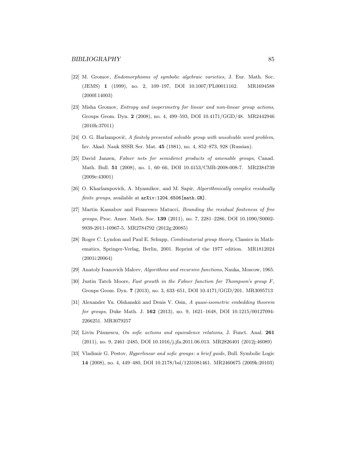- [22] M. Gromov, Endomorphisms of symbolic algebraic varieties, J. Eur. Math. Soc. (JEMS) 1 (1999), no. 2, 109–197, DOI 10.1007/PL00011162. MR1694588 (2000f:14003)
- [23] Misha Gromov, Entropy and isoperimetry for linear and non-linear group actions, Groups Geom. Dyn. 2 (2008), no. 4, 499–593, DOI 10.4171/GGD/48. MR2442946 (2010h:37011)
- [24] O. G. Harlampovič, A finitely presented solvable group with unsolvable word problem, Izv. Akad. Nauk SSSR Ser. Mat. 45 (1981), no. 4, 852–873, 928 (Russian).
- [25] David Janzen, Følner nets for semidirect products of amenable groups, Canad. Math. Bull. 51 (2008), no. 1, 60–66, DOI 10.4153/CMB-2008-008-7. MR2384739 (2009e:43001)
- [26] O. Kharlampovich, A. Myasnikov, and M. Sapir, Algorithmically complex residually finite groups, available at  $arXiv:1204.6506$ [math.GR].
- [27] Martin Kassabov and Francesco Matucci, Bounding the residual finiteness of free groups, Proc. Amer. Math. Soc. 139 (2011), no. 7, 2281-2286, DOI 10.1090/S0002-9939-2011-10967-5. MR2784792 (2012g:20085)
- [28] Roger C. Lyndon and Paul E. Schupp, Combinatorial group theory, Classics in Mathematics, Springer-Verlag, Berlin, 2001. Reprint of the 1977 edition. MR1812024 (2001i:20064)
- [29] Anatoly Ivanovich Malcev, Algorithms and recursive functions, Nauka, Moscow, 1965.
- [30] Justin Tatch Moore, Fast growth in the Følner function for Thompson's group F, Groups Geom. Dyn. 7 (2013), no. 3, 633–651, DOI 10.4171/GGD/201. MR3095713
- [31] Alexander Yu. Olshanskii and Denis V. Osin, A quasi-isometric embedding theorem for groups, Duke Math. J. 162 (2013), no. 9, 1621-1648, DOI 10.1215/00127094-2266251. MR3079257
- [32] Liviu Păunescu, On sofic actions and equivalence relations, J. Funct. Anal. 261 (2011), no. 9, 2461–2485, DOI 10.1016/j.jfa.2011.06.013. MR2826401 (2012j:46089)
- [33] Vladimir G. Pestov, Hyperlinear and sofic groups: a brief guide, Bull. Symbolic Logic 14 (2008), no. 4, 449–480, DOI 10.2178/bsl/1231081461. MR2460675 (2009k:20103)